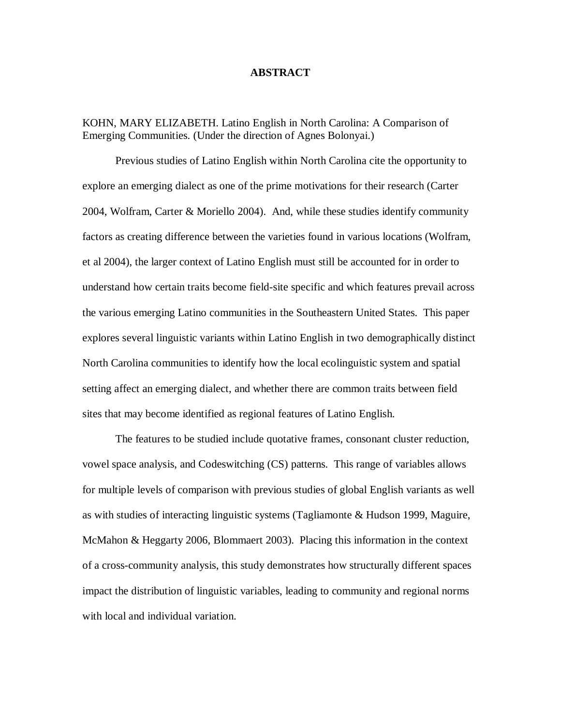#### **ABSTRACT**

KOHN, MARY ELIZABETH. Latino English in North Carolina: A Comparison of Emerging Communities. (Under the direction of Agnes Bolonyai.)

Previous studies of Latino English within North Carolina cite the opportunity to explore an emerging dialect as one of the prime motivations for their research (Carter 2004, Wolfram, Carter & Moriello 2004). And, while these studies identify community factors as creating difference between the varieties found in various locations (Wolfram, et al 2004), the larger context of Latino English must still be accounted for in order to understand how certain traits become field-site specific and which features prevail across the various emerging Latino communities in the Southeastern United States. This paper explores several linguistic variants within Latino English in two demographically distinct North Carolina communities to identify how the local ecolinguistic system and spatial setting affect an emerging dialect, and whether there are common traits between field sites that may become identified as regional features of Latino English.

The features to be studied include quotative frames, consonant cluster reduction, vowel space analysis, and Codeswitching (CS) patterns. This range of variables allows for multiple levels of comparison with previous studies of global English variants as well as with studies of interacting linguistic systems (Tagliamonte & Hudson 1999, Maguire, McMahon & Heggarty 2006, Blommaert 2003). Placing this information in the context of a cross-community analysis, this study demonstrates how structurally different spaces impact the distribution of linguistic variables, leading to community and regional norms with local and individual variation.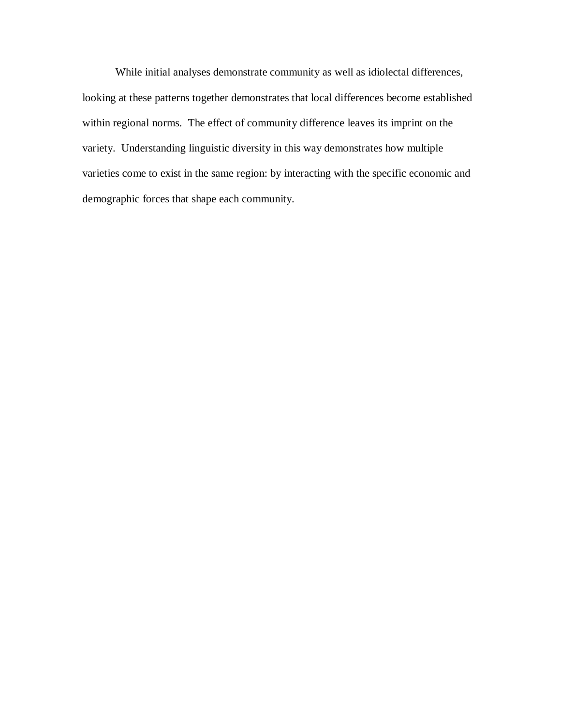While initial analyses demonstrate community as well as idiolectal differences, looking at these patterns together demonstrates that local differences become established within regional norms. The effect of community difference leaves its imprint on the variety. Understanding linguistic diversity in this way demonstrates how multiple varieties come to exist in the same region: by interacting with the specific economic and demographic forces that shape each community.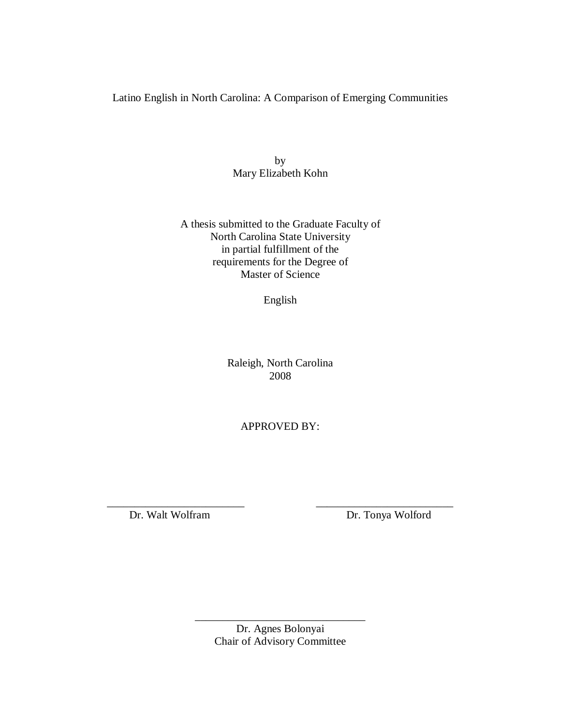Latino English in North Carolina: A Comparison of Emerging Communities

by Mary Elizabeth Kohn

A thesis submitted to the Graduate Faculty of North Carolina State University in partial fulfillment of the requirements for the Degree of Master of Science

English

Raleigh, North Carolina 2008

APPROVED BY:

\_\_\_\_\_\_\_\_\_\_\_\_\_\_\_\_\_\_\_\_\_\_\_\_\_ \_\_\_\_\_\_\_\_\_\_\_\_\_\_\_\_\_\_\_\_\_\_\_\_\_ Dr. Walt Wolfram Dr. Tonya Wolford

> Dr. Agnes Bolonyai Chair of Advisory Committee

\_\_\_\_\_\_\_\_\_\_\_\_\_\_\_\_\_\_\_\_\_\_\_\_\_\_\_\_\_\_\_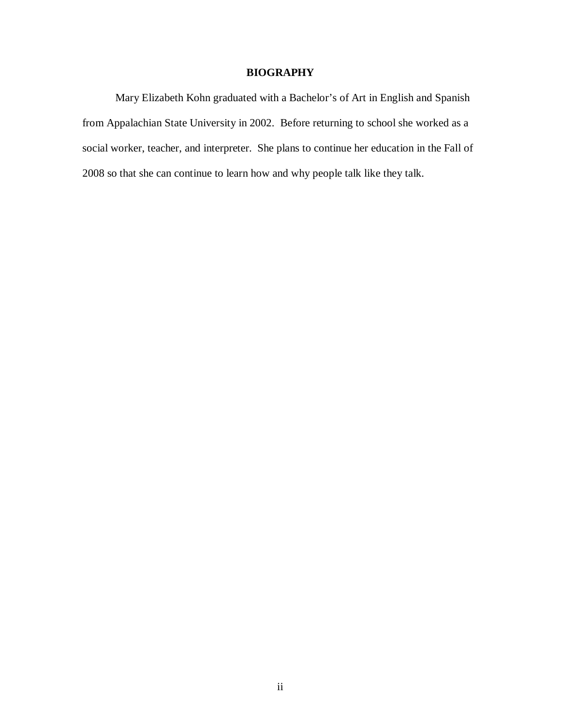### **BIOGRAPHY**

Mary Elizabeth Kohn graduated with a Bachelor's of Art in English and Spanish from Appalachian State University in 2002. Before returning to school she worked as a social worker, teacher, and interpreter. She plans to continue her education in the Fall of 2008 so that she can continue to learn how and why people talk like they talk.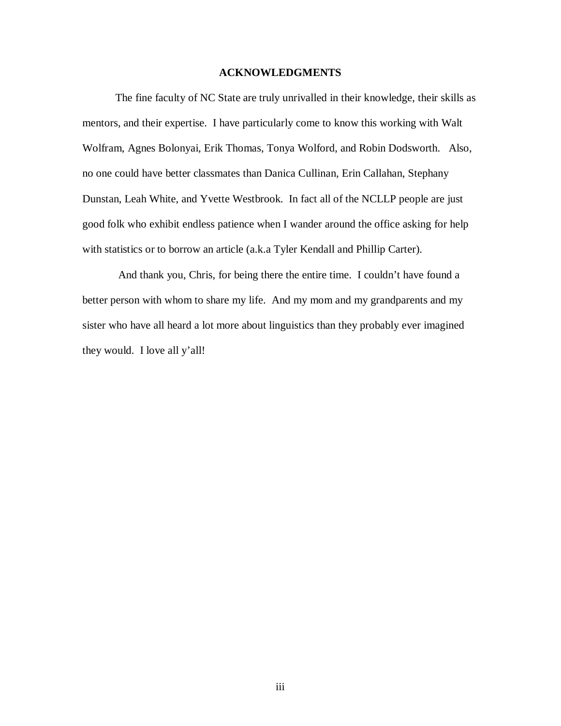### **ACKNOWLEDGMENTS**

The fine faculty of NC State are truly unrivalled in their knowledge, their skills as mentors, and their expertise. I have particularly come to know this working with Walt Wolfram, Agnes Bolonyai, Erik Thomas, Tonya Wolford, and Robin Dodsworth. Also, no one could have better classmates than Danica Cullinan, Erin Callahan, Stephany Dunstan, Leah White, and Yvette Westbrook. In fact all of the NCLLP people are just good folk who exhibit endless patience when I wander around the office asking for help with statistics or to borrow an article (a.k.a Tyler Kendall and Phillip Carter).

And thank you, Chris, for being there the entire time. I couldn't have found a better person with whom to share my life. And my mom and my grandparents and my sister who have all heard a lot more about linguistics than they probably ever imagined they would. I love all y'all!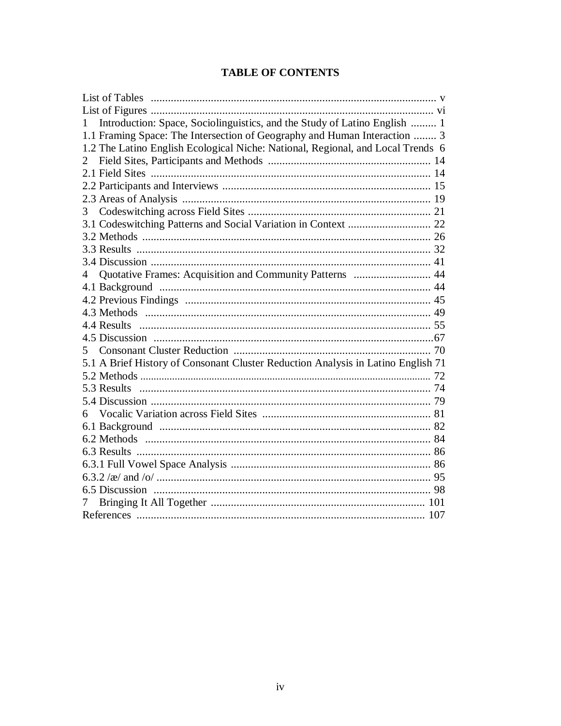# **TABLE OF CONTENTS**

| Introduction: Space, Sociolinguistics, and the Study of Latino English  1        |  |
|----------------------------------------------------------------------------------|--|
| 1.1 Framing Space: The Intersection of Geography and Human Interaction  3        |  |
| 1.2 The Latino English Ecological Niche: National, Regional, and Local Trends 6  |  |
|                                                                                  |  |
|                                                                                  |  |
|                                                                                  |  |
|                                                                                  |  |
| 3                                                                                |  |
| 3.1 Codeswitching Patterns and Social Variation in Context  22                   |  |
|                                                                                  |  |
|                                                                                  |  |
|                                                                                  |  |
| Quotative Frames: Acquisition and Community Patterns  44<br>$4 \square$          |  |
|                                                                                  |  |
|                                                                                  |  |
|                                                                                  |  |
|                                                                                  |  |
|                                                                                  |  |
| 5                                                                                |  |
| 5.1 A Brief History of Consonant Cluster Reduction Analysis in Latino English 71 |  |
|                                                                                  |  |
|                                                                                  |  |
|                                                                                  |  |
|                                                                                  |  |
|                                                                                  |  |
|                                                                                  |  |
|                                                                                  |  |
|                                                                                  |  |
|                                                                                  |  |
|                                                                                  |  |
| 7                                                                                |  |
|                                                                                  |  |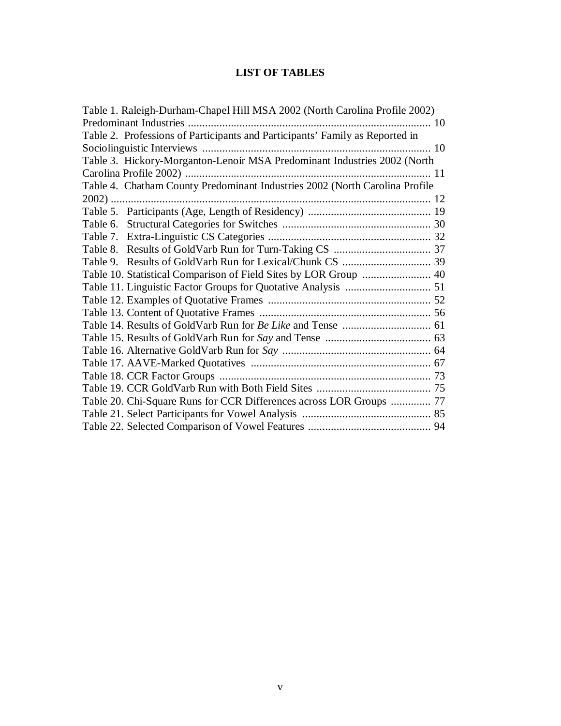# **LIST OF TABLES**

| Table 1. Raleigh-Durham-Chapel Hill MSA 2002 (North Carolina Profile 2002)   |  |
|------------------------------------------------------------------------------|--|
|                                                                              |  |
| Table 2. Professions of Participants and Participants' Family as Reported in |  |
|                                                                              |  |
| Table 3. Hickory-Morganton-Lenoir MSA Predominant Industries 2002 (North     |  |
|                                                                              |  |
| Table 4. Chatham County Predominant Industries 2002 (North Carolina Profile  |  |
|                                                                              |  |
|                                                                              |  |
|                                                                              |  |
|                                                                              |  |
|                                                                              |  |
|                                                                              |  |
|                                                                              |  |
|                                                                              |  |
|                                                                              |  |
|                                                                              |  |
|                                                                              |  |
|                                                                              |  |
|                                                                              |  |
|                                                                              |  |
|                                                                              |  |
|                                                                              |  |
| Table 20. Chi-Square Runs for CCR Differences across LOR Groups  77          |  |
|                                                                              |  |
|                                                                              |  |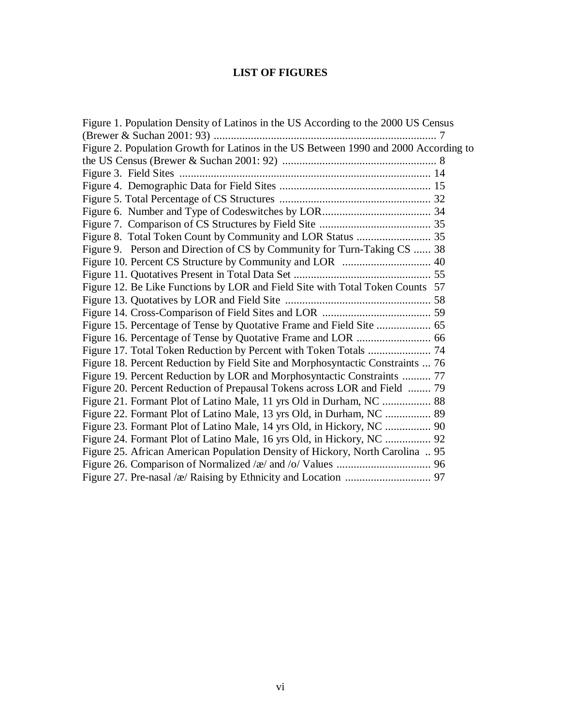## **LIST OF FIGURES**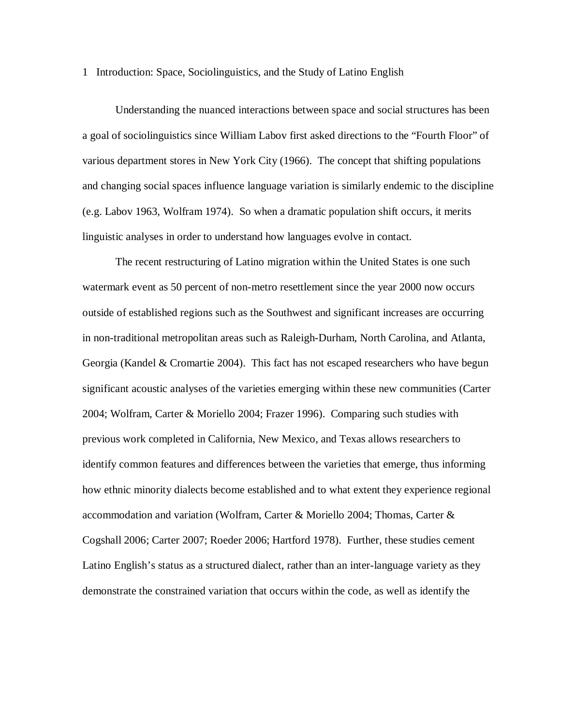1 Introduction: Space, Sociolinguistics, and the Study of Latino English

Understanding the nuanced interactions between space and social structures has been a goal of sociolinguistics since William Labov first asked directions to the "Fourth Floor" of various department stores in New York City (1966). The concept that shifting populations and changing social spaces influence language variation is similarly endemic to the discipline (e.g. Labov 1963, Wolfram 1974). So when a dramatic population shift occurs, it merits linguistic analyses in order to understand how languages evolve in contact.

The recent restructuring of Latino migration within the United States is one such watermark event as 50 percent of non-metro resettlement since the year 2000 now occurs outside of established regions such as the Southwest and significant increases are occurring in non-traditional metropolitan areas such as Raleigh-Durham, North Carolina, and Atlanta, Georgia (Kandel & Cromartie 2004). This fact has not escaped researchers who have begun significant acoustic analyses of the varieties emerging within these new communities (Carter 2004; Wolfram, Carter & Moriello 2004; Frazer 1996). Comparing such studies with previous work completed in California, New Mexico, and Texas allows researchers to identify common features and differences between the varieties that emerge, thus informing how ethnic minority dialects become established and to what extent they experience regional accommodation and variation (Wolfram, Carter & Moriello 2004; Thomas, Carter & Cogshall 2006; Carter 2007; Roeder 2006; Hartford 1978). Further, these studies cement Latino English's status as a structured dialect, rather than an inter-language variety as they demonstrate the constrained variation that occurs within the code, as well as identify the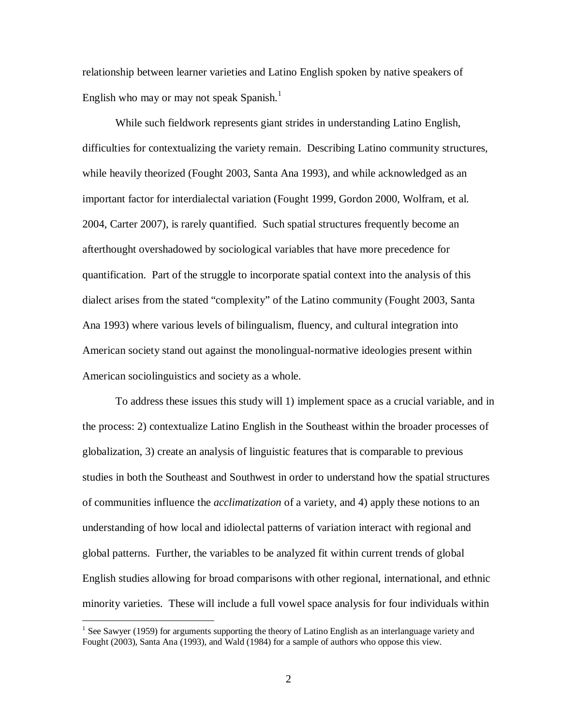relationship between learner varieties and Latino English spoken by native speakers of English who may or may not speak Spanish.<sup>1</sup>

While such fieldwork represents giant strides in understanding Latino English, difficulties for contextualizing the variety remain. Describing Latino community structures, while heavily theorized (Fought 2003, Santa Ana 1993), and while acknowledged as an important factor for interdialectal variation (Fought 1999, Gordon 2000, Wolfram, et al. 2004, Carter 2007), is rarely quantified. Such spatial structures frequently become an afterthought overshadowed by sociological variables that have more precedence for quantification. Part of the struggle to incorporate spatial context into the analysis of this dialect arises from the stated "complexity" of the Latino community (Fought 2003, Santa Ana 1993) where various levels of bilingualism, fluency, and cultural integration into American society stand out against the monolingual-normative ideologies present within American sociolinguistics and society as a whole.

To address these issues this study will 1) implement space as a crucial variable, and in the process: 2) contextualize Latino English in the Southeast within the broader processes of globalization, 3) create an analysis of linguistic features that is comparable to previous studies in both the Southeast and Southwest in order to understand how the spatial structures of communities influence the *acclimatization* of a variety, and 4) apply these notions to an understanding of how local and idiolectal patterns of variation interact with regional and global patterns. Further, the variables to be analyzed fit within current trends of global English studies allowing for broad comparisons with other regional, international, and ethnic minority varieties. These will include a full vowel space analysis for four individuals within

<u>.</u>

<sup>&</sup>lt;sup>1</sup> See Sawyer (1959) for arguments supporting the theory of Latino English as an interlanguage variety and Fought (2003), Santa Ana (1993), and Wald (1984) for a sample of authors who oppose this view.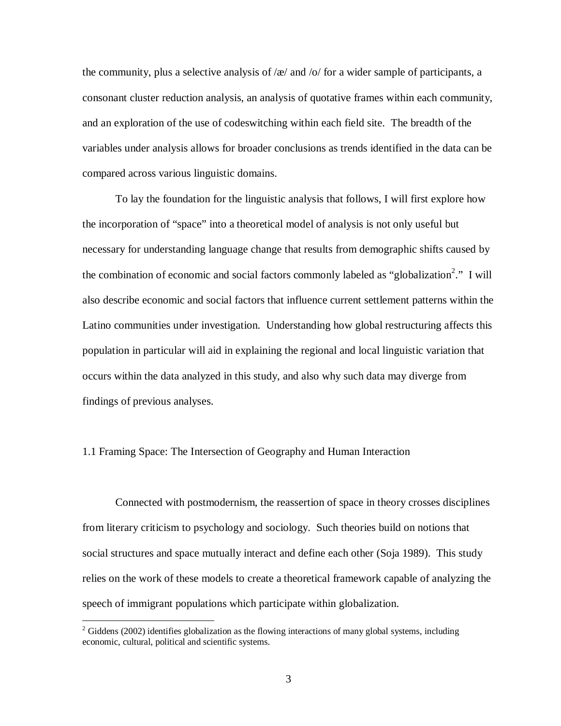the community, plus a selective analysis of / $\alpha$ / and /o/ for a wider sample of participants, a consonant cluster reduction analysis, an analysis of quotative frames within each community, and an exploration of the use of codeswitching within each field site. The breadth of the variables under analysis allows for broader conclusions as trends identified in the data can be compared across various linguistic domains.

To lay the foundation for the linguistic analysis that follows, I will first explore how the incorporation of "space" into a theoretical model of analysis is not only useful but necessary for understanding language change that results from demographic shifts caused by the combination of economic and social factors commonly labeled as "globalization<sup>2</sup>." I will also describe economic and social factors that influence current settlement patterns within the Latino communities under investigation. Understanding how global restructuring affects this population in particular will aid in explaining the regional and local linguistic variation that occurs within the data analyzed in this study, and also why such data may diverge from findings of previous analyses.

#### 1.1 Framing Space: The Intersection of Geography and Human Interaction

Connected with postmodernism, the reassertion of space in theory crosses disciplines from literary criticism to psychology and sociology. Such theories build on notions that social structures and space mutually interact and define each other (Soja 1989). This study relies on the work of these models to create a theoretical framework capable of analyzing the speech of immigrant populations which participate within globalization.

<u>.</u>

 $2$  Giddens (2002) identifies globalization as the flowing interactions of many global systems, including economic, cultural, political and scientific systems.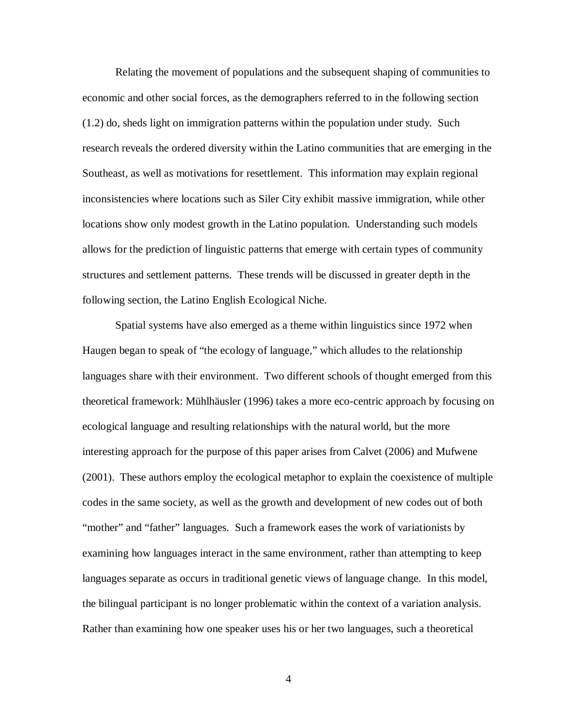Relating the movement of populations and the subsequent shaping of communities to economic and other social forces, as the demographers referred to in the following section (1.2) do, sheds light on immigration patterns within the population under study. Such research reveals the ordered diversity within the Latino communities that are emerging in the Southeast, as well as motivations for resettlement. This information may explain regional inconsistencies where locations such as Siler City exhibit massive immigration, while other locations show only modest growth in the Latino population. Understanding such models allows for the prediction of linguistic patterns that emerge with certain types of community structures and settlement patterns. These trends will be discussed in greater depth in the following section, the Latino English Ecological Niche.

Spatial systems have also emerged as a theme within linguistics since 1972 when Haugen began to speak of "the ecology of language," which alludes to the relationship languages share with their environment. Two different schools of thought emerged from this theoretical framework: Mühlhäusler (1996) takes a more eco-centric approach by focusing on ecological language and resulting relationships with the natural world, but the more interesting approach for the purpose of this paper arises from Calvet (2006) and Mufwene (2001). These authors employ the ecological metaphor to explain the coexistence of multiple codes in the same society, as well as the growth and development of new codes out of both "mother" and "father" languages. Such a framework eases the work of variationists by examining how languages interact in the same environment, rather than attempting to keep languages separate as occurs in traditional genetic views of language change. In this model, the bilingual participant is no longer problematic within the context of a variation analysis. Rather than examining how one speaker uses his or her two languages, such a theoretical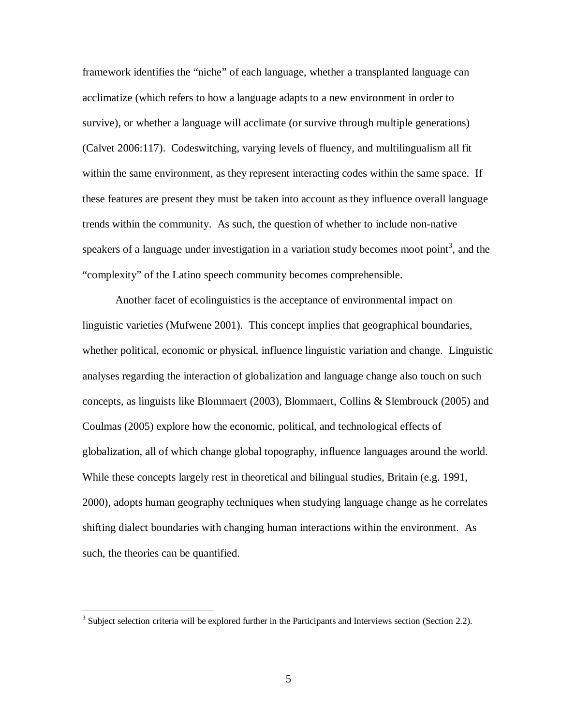framework identifies the "niche" of each language, whether a transplanted language can acclimatize (which refers to how a language adapts to a new environment in order to survive), or whether a language will acclimate (or survive through multiple generations) (Calvet 2006:117). Codeswitching, varying levels of fluency, and multilingualism all fit within the same environment, as they represent interacting codes within the same space. If these features are present they must be taken into account as they influence overall language trends within the community. As such, the question of whether to include non-native speakers of a language under investigation in a variation study becomes moot point<sup>3</sup>, and the "complexity" of the Latino speech community becomes comprehensible.

Another facet of ecolinguistics is the acceptance of environmental impact on linguistic varieties (Mufwene 2001). This concept implies that geographical boundaries, whether political, economic or physical, influence linguistic variation and change. Linguistic analyses regarding the interaction of globalization and language change also touch on such concepts, as linguists like Blommaert (2003), Blommaert, Collins & Slembrouck (2005) and Coulmas (2005) explore how the economic, political, and technological effects of globalization, all of which change global topography, influence languages around the world. While these concepts largely rest in theoretical and bilingual studies, Britain (e.g. 1991, 2000), adopts human geography techniques when studying language change as he correlates shifting dialect boundaries with changing human interactions within the environment. As such, the theories can be quantified.

<sup>&</sup>lt;sup>3</sup> Subject selection criteria will be explored further in the Participants and Interviews section (Section 2.2).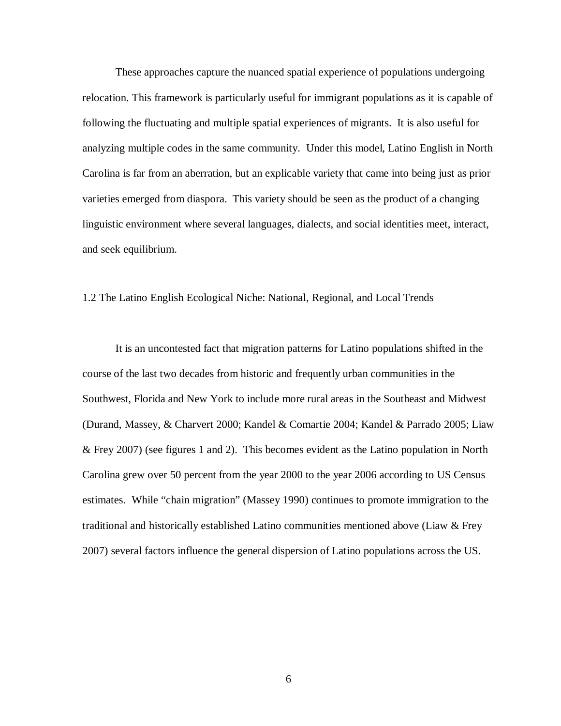These approaches capture the nuanced spatial experience of populations undergoing relocation. This framework is particularly useful for immigrant populations as it is capable of following the fluctuating and multiple spatial experiences of migrants. It is also useful for analyzing multiple codes in the same community. Under this model, Latino English in North Carolina is far from an aberration, but an explicable variety that came into being just as prior varieties emerged from diaspora. This variety should be seen as the product of a changing linguistic environment where several languages, dialects, and social identities meet, interact, and seek equilibrium.

#### 1.2 The Latino English Ecological Niche: National, Regional, and Local Trends

It is an uncontested fact that migration patterns for Latino populations shifted in the course of the last two decades from historic and frequently urban communities in the Southwest, Florida and New York to include more rural areas in the Southeast and Midwest (Durand, Massey, & Charvert 2000; Kandel & Comartie 2004; Kandel & Parrado 2005; Liaw & Frey 2007) (see figures 1 and 2). This becomes evident as the Latino population in North Carolina grew over 50 percent from the year 2000 to the year 2006 according to US Census estimates. While "chain migration" (Massey 1990) continues to promote immigration to the traditional and historically established Latino communities mentioned above (Liaw & Frey 2007) several factors influence the general dispersion of Latino populations across the US.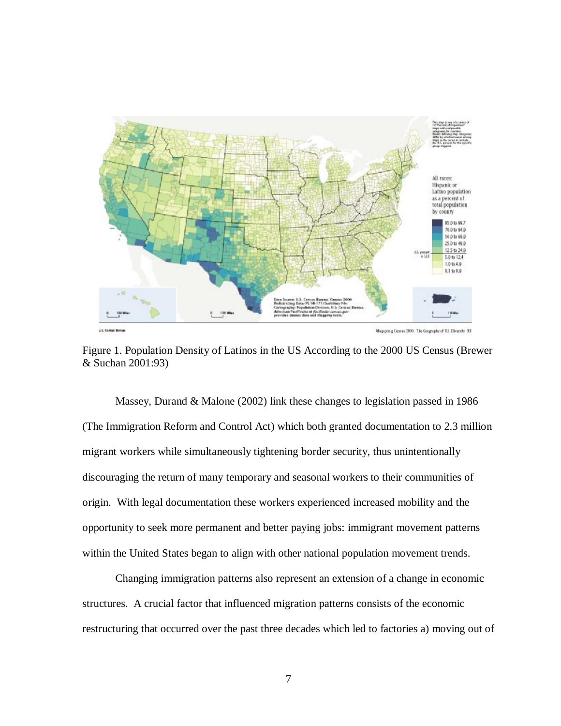

Figure 1. Population Density of Latinos in the US According to the 2000 US Census (Brewer & Suchan 2001:93)

Massey, Durand & Malone (2002) link these changes to legislation passed in 1986 (The Immigration Reform and Control Act) which both granted documentation to 2.3 million migrant workers while simultaneously tightening border security, thus unintentionally discouraging the return of many temporary and seasonal workers to their communities of origin. With legal documentation these workers experienced increased mobility and the opportunity to seek more permanent and better paying jobs: immigrant movement patterns within the United States began to align with other national population movement trends.

Changing immigration patterns also represent an extension of a change in economic structures. A crucial factor that influenced migration patterns consists of the economic restructuring that occurred over the past three decades which led to factories a) moving out of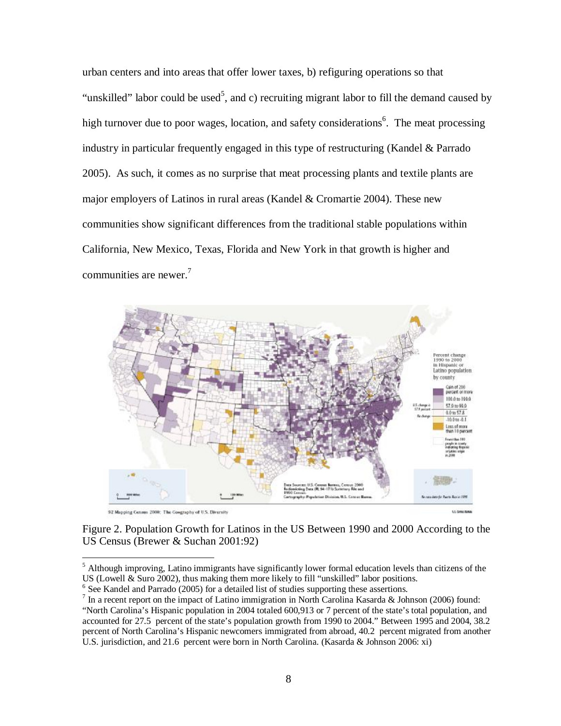urban centers and into areas that offer lower taxes, b) refiguring operations so that "unskilled" labor could be used<sup>5</sup>, and c) recruiting migrant labor to fill the demand caused by high turnover due to poor wages, location, and safety considerations<sup>6</sup>. The meat processing industry in particular frequently engaged in this type of restructuring (Kandel & Parrado 2005). As such, it comes as no surprise that meat processing plants and textile plants are major employers of Latinos in rural areas (Kandel & Cromartie 2004). These new communities show significant differences from the traditional stable populations within California, New Mexico, Texas, Florida and New York in that growth is higher and communities are newer.<sup>7</sup>



Figure 2. Population Growth for Latinos in the US Between 1990 and 2000 According to the US Census (Brewer & Suchan 2001:92)

<u>.</u>

 $<sup>5</sup>$  Although improving, Latino immigrants have significantly lower formal education levels than citizens of the</sup> US (Lowell & Suro 2002), thus making them more likely to fill "unskilled" labor positions.

<sup>&</sup>lt;sup>6</sup> See Kandel and Parrado (2005) for a detailed list of studies supporting these assertions.

<sup>&</sup>lt;sup>7</sup> In a recent report on the impact of Latino immigration in North Carolina Kasarda & Johnson (2006) found: "North Carolina's Hispanic population in 2004 totaled 600,913 or 7 percent of the state's total population, and accounted for 27.5 percent of the state's population growth from 1990 to 2004." Between 1995 and 2004, 38.2 percent of North Carolina's Hispanic newcomers immigrated from abroad, 40.2 percent migrated from another U.S. jurisdiction, and 21.6 percent were born in North Carolina. (Kasarda & Johnson 2006: xi)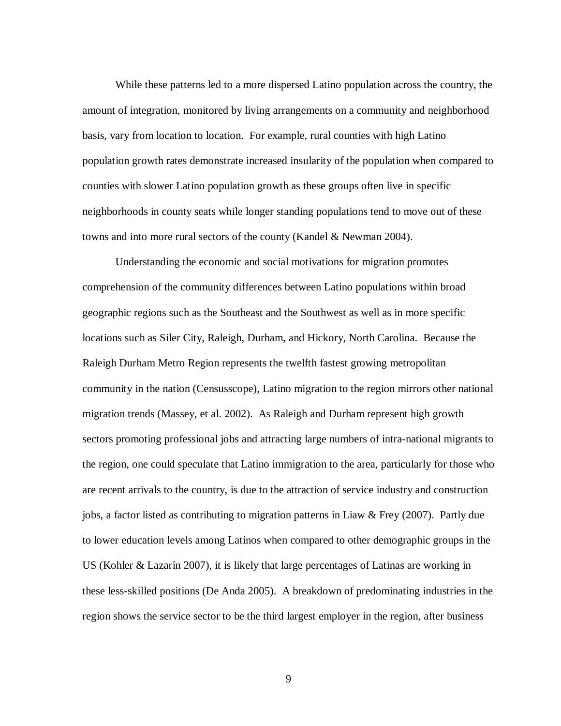While these patterns led to a more dispersed Latino population across the country, the amount of integration, monitored by living arrangements on a community and neighborhood basis, vary from location to location. For example, rural counties with high Latino population growth rates demonstrate increased insularity of the population when compared to counties with slower Latino population growth as these groups often live in specific neighborhoods in county seats while longer standing populations tend to move out of these towns and into more rural sectors of the county (Kandel & Newman 2004).

Understanding the economic and social motivations for migration promotes comprehension of the community differences between Latino populations within broad geographic regions such as the Southeast and the Southwest as well as in more specific locations such as Siler City, Raleigh, Durham, and Hickory, North Carolina. Because the Raleigh Durham Metro Region represents the twelfth fastest growing metropolitan community in the nation (Censusscope), Latino migration to the region mirrors other national migration trends (Massey, et al. 2002). As Raleigh and Durham represent high growth sectors promoting professional jobs and attracting large numbers of intra-national migrants to the region, one could speculate that Latino immigration to the area, particularly for those who are recent arrivals to the country, is due to the attraction of service industry and construction jobs, a factor listed as contributing to migration patterns in Liaw & Frey (2007). Partly due to lower education levels among Latinos when compared to other demographic groups in the US (Kohler & Lazarín 2007), it is likely that large percentages of Latinas are working in these less-skilled positions (De Anda 2005). A breakdown of predominating industries in the region shows the service sector to be the third largest employer in the region, after business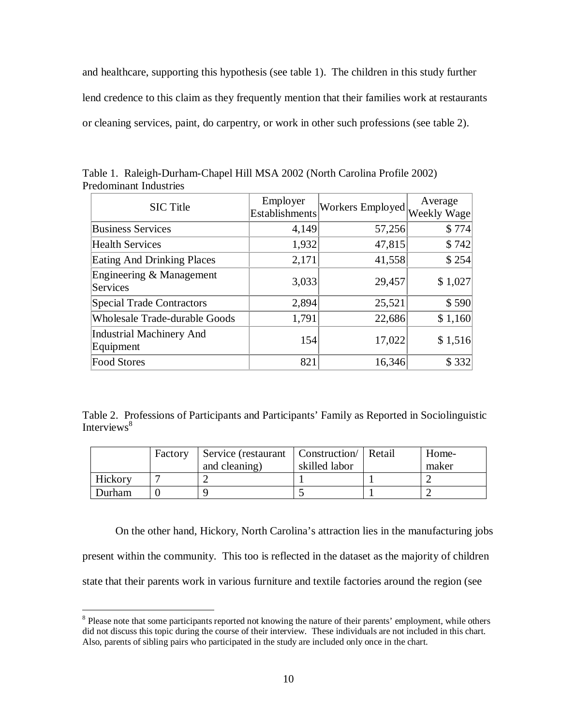and healthcare, supporting this hypothesis (see table 1). The children in this study further lend credence to this claim as they frequently mention that their families work at restaurants or cleaning services, paint, do carpentry, or work in other such professions (see table 2).

| <b>SIC</b> Title                             | Employer<br><b>Establishments</b> | Workers Employed | Average<br>Weekly Wage |
|----------------------------------------------|-----------------------------------|------------------|------------------------|
| <b>Business Services</b>                     | 4,149                             | 57,256           | \$774                  |
| <b>Health Services</b>                       | 1,932                             | 47,815           | \$742                  |
| <b>Eating And Drinking Places</b>            | 2,171                             | 41,558           | \$254                  |
| Engineering & Management<br><b>Services</b>  | 3,033                             | 29,457           | \$1,027                |
| <b>Special Trade Contractors</b>             | 2,894                             | 25,521           | \$590                  |
| <b>Wholesale Trade-durable Goods</b>         | 1,791                             | 22,686           | \$1,160                |
| <b>Industrial Machinery And</b><br>Equipment | 154                               | 17,022           | \$1,516                |
| <b>Food Stores</b>                           | 821                               | 16,346           | \$332                  |

Table 1. Raleigh-Durham-Chapel Hill MSA 2002 (North Carolina Profile 2002) Predominant Industries

Table 2. Professions of Participants and Participants' Family as Reported in Sociolinguistic Interviews<sup>8</sup>

|         | Factory | Service (restaurant   Construction   Retail |               | Home- |
|---------|---------|---------------------------------------------|---------------|-------|
|         |         | and cleaning)                               | skilled labor | maker |
| Hickory |         |                                             |               |       |
| Durham  |         |                                             |               |       |

On the other hand, Hickory, North Carolina's attraction lies in the manufacturing jobs present within the community. This too is reflected in the dataset as the majority of children state that their parents work in various furniture and textile factories around the region (see

 $\overline{a}$ 

<sup>&</sup>lt;sup>8</sup> Please note that some participants reported not knowing the nature of their parents' employment, while others did not discuss this topic during the course of their interview. These individuals are not included in this chart. Also, parents of sibling pairs who participated in the study are included only once in the chart.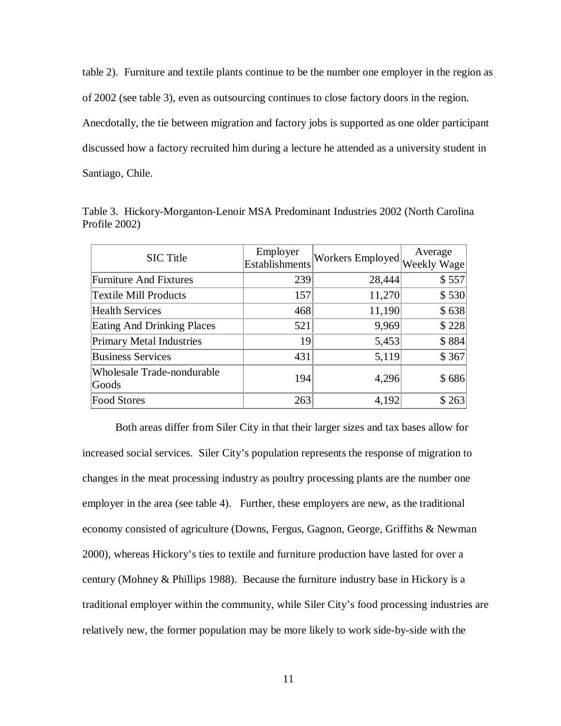table 2). Furniture and textile plants continue to be the number one employer in the region as of 2002 (see table 3), even as outsourcing continues to close factory doors in the region. Anecdotally, the tie between migration and factory jobs is supported as one older participant discussed how a factory recruited him during a lecture he attended as a university student in Santiago, Chile.

|               | Table 3. Hickory-Morganton-Lenoir MSA Predominant Industries 2002 (North Carolina |  |  |  |
|---------------|-----------------------------------------------------------------------------------|--|--|--|
| Profile 2002) |                                                                                   |  |  |  |

| <b>SIC</b> Title                    | Employer<br><b>Establishments</b> | Workers Employed | Average<br>Weekly Wage |
|-------------------------------------|-----------------------------------|------------------|------------------------|
| <b>Furniture And Fixtures</b>       | 239                               | 28,444           | \$557                  |
| <b>Textile Mill Products</b>        | 157                               | 11,270           | \$530                  |
| <b>Health Services</b>              | 468                               | 11,190           | \$638                  |
| <b>Eating And Drinking Places</b>   | 521                               | 9,969            | \$228                  |
| <b>Primary Metal Industries</b>     | 19                                | 5,453            | \$884                  |
| <b>Business Services</b>            | 431                               | 5,119            | \$367                  |
| Wholesale Trade-nondurable<br>Goods | 194                               | 4,296            | \$686                  |
| <b>Food Stores</b>                  | 263                               | 4,192            | \$263                  |

Both areas differ from Siler City in that their larger sizes and tax bases allow for increased social services. Siler City's population represents the response of migration to changes in the meat processing industry as poultry processing plants are the number one employer in the area (see table 4). Further, these employers are new, as the traditional economy consisted of agriculture (Downs, Fergus, Gagnon, George, Griffiths & Newman 2000), whereas Hickory's ties to textile and furniture production have lasted for over a century (Mohney & Phillips 1988). Because the furniture industry base in Hickory is a traditional employer within the community, while Siler City's food processing industries are relatively new, the former population may be more likely to work side-by-side with the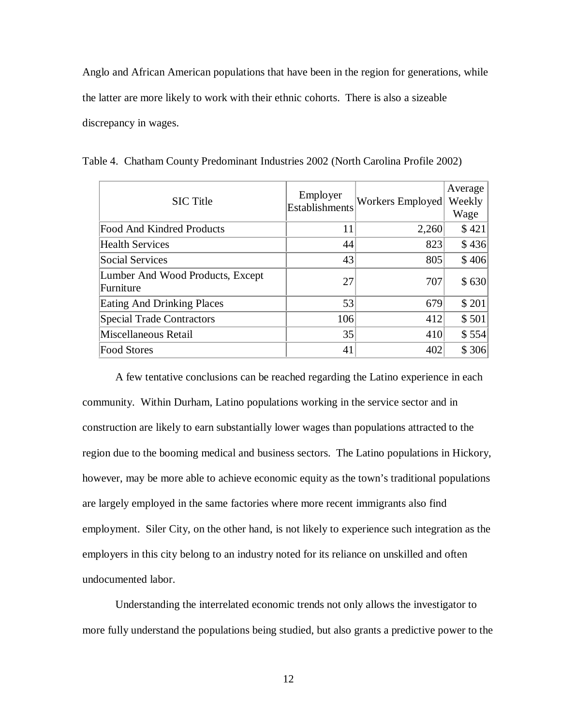Anglo and African American populations that have been in the region for generations, while the latter are more likely to work with their ethnic cohorts. There is also a sizeable discrepancy in wages.

| <b>SIC</b> Title                              | Employer<br><b>Establishments</b> | Workers Employed | Average<br>Weekly<br>Wage |
|-----------------------------------------------|-----------------------------------|------------------|---------------------------|
| <b>Food And Kindred Products</b>              | 11                                | 2,260            | \$421                     |
| <b>Health Services</b>                        | 44                                | 823              | \$436                     |
| <b>Social Services</b>                        | 43                                | 805              | \$406                     |
| Lumber And Wood Products, Except<br>Furniture | 27                                | 707              | \$630                     |
| <b>Eating And Drinking Places</b>             | 53                                | 679              | \$201                     |
| <b>Special Trade Contractors</b>              | 106                               | 412              | \$501                     |
| Miscellaneous Retail                          | 35                                | 410              | \$554                     |
| <b>Food Stores</b>                            | 41                                | 402              | \$306                     |

Table 4. Chatham County Predominant Industries 2002 (North Carolina Profile 2002)

A few tentative conclusions can be reached regarding the Latino experience in each community. Within Durham, Latino populations working in the service sector and in construction are likely to earn substantially lower wages than populations attracted to the region due to the booming medical and business sectors. The Latino populations in Hickory, however, may be more able to achieve economic equity as the town's traditional populations are largely employed in the same factories where more recent immigrants also find employment. Siler City, on the other hand, is not likely to experience such integration as the employers in this city belong to an industry noted for its reliance on unskilled and often undocumented labor.

Understanding the interrelated economic trends not only allows the investigator to more fully understand the populations being studied, but also grants a predictive power to the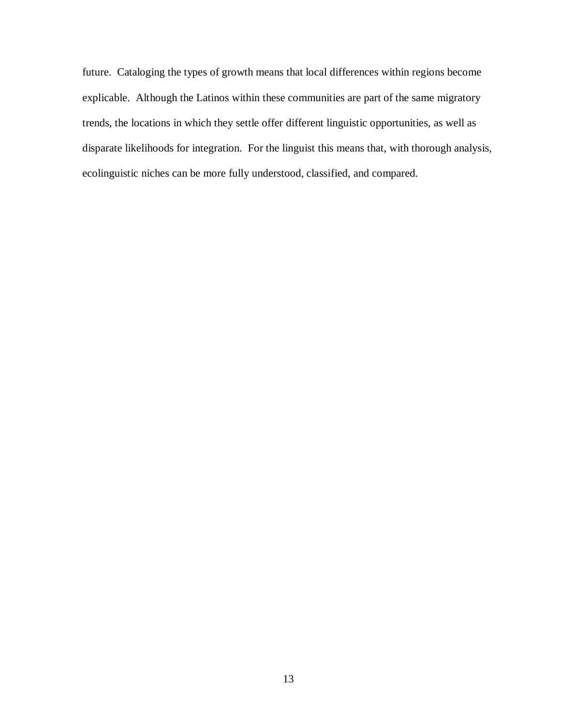future. Cataloging the types of growth means that local differences within regions become explicable. Although the Latinos within these communities are part of the same migratory trends, the locations in which they settle offer different linguistic opportunities, as well as disparate likelihoods for integration. For the linguist this means that, with thorough analysis, ecolinguistic niches can be more fully understood, classified, and compared.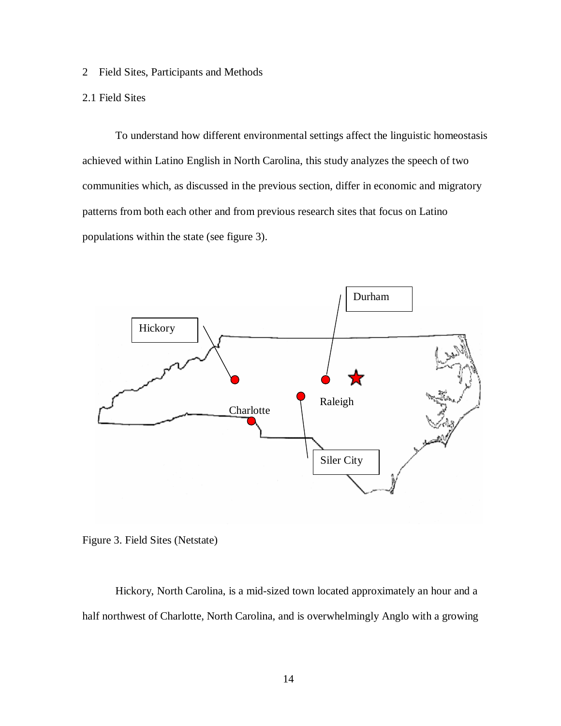2 Field Sites, Participants and Methods

### 2.1 Field Sites

To understand how different environmental settings affect the linguistic homeostasis achieved within Latino English in North Carolina, this study analyzes the speech of two communities which, as discussed in the previous section, differ in economic and migratory patterns from both each other and from previous research sites that focus on Latino populations within the state (see figure 3).





Hickory, North Carolina, is a mid-sized town located approximately an hour and a half northwest of Charlotte, North Carolina, and is overwhelmingly Anglo with a growing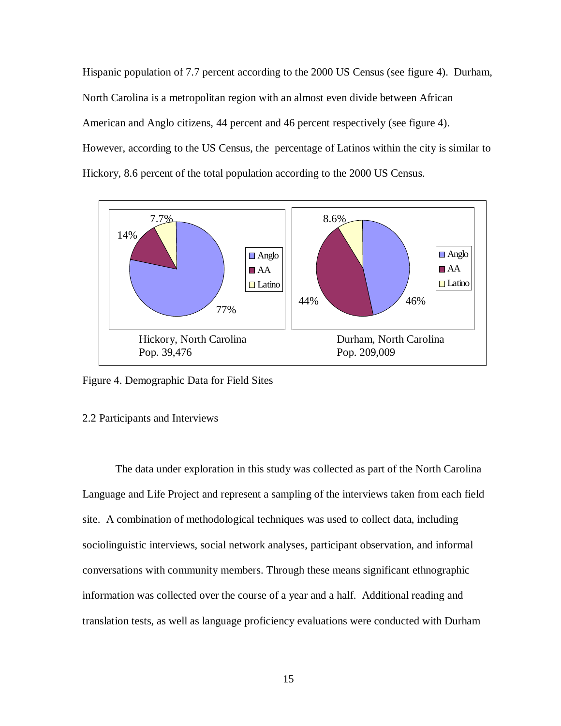Hispanic population of 7.7 percent according to the 2000 US Census (see figure 4). Durham, North Carolina is a metropolitan region with an almost even divide between African American and Anglo citizens, 44 percent and 46 percent respectively (see figure 4). However, according to the US Census, the percentage of Latinos within the city is similar to Hickory, 8.6 percent of the total population according to the 2000 US Census.



Figure 4. Demographic Data for Field Sites

#### 2.2 Participants and Interviews

The data under exploration in this study was collected as part of the North Carolina Language and Life Project and represent a sampling of the interviews taken from each field site. A combination of methodological techniques was used to collect data, including sociolinguistic interviews, social network analyses, participant observation, and informal conversations with community members. Through these means significant ethnographic information was collected over the course of a year and a half. Additional reading and translation tests, as well as language proficiency evaluations were conducted with Durham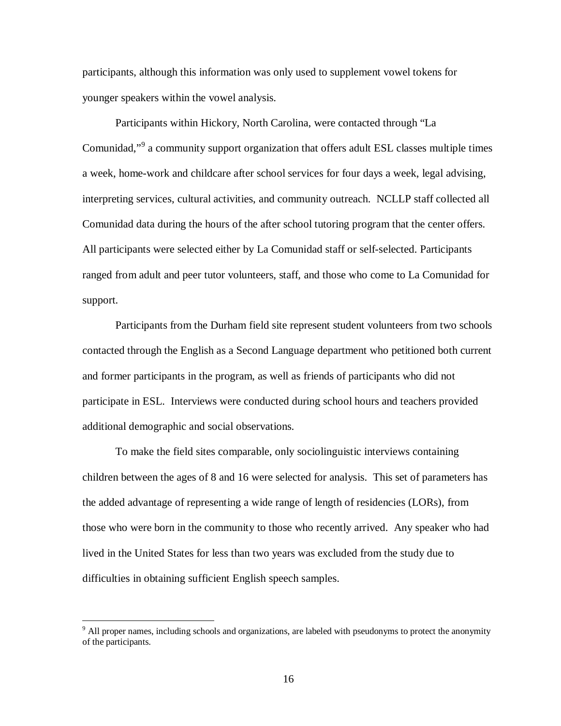participants, although this information was only used to supplement vowel tokens for younger speakers within the vowel analysis.

Participants within Hickory, North Carolina, were contacted through "La Comunidad,"<sup>9</sup> a community support organization that offers adult ESL classes multiple times a week, home-work and childcare after school services for four days a week, legal advising, interpreting services, cultural activities, and community outreach. NCLLP staff collected all Comunidad data during the hours of the after school tutoring program that the center offers. All participants were selected either by La Comunidad staff or self-selected. Participants ranged from adult and peer tutor volunteers, staff, and those who come to La Comunidad for support.

Participants from the Durham field site represent student volunteers from two schools contacted through the English as a Second Language department who petitioned both current and former participants in the program, as well as friends of participants who did not participate in ESL. Interviews were conducted during school hours and teachers provided additional demographic and social observations.

To make the field sites comparable, only sociolinguistic interviews containing children between the ages of 8 and 16 were selected for analysis. This set of parameters has the added advantage of representing a wide range of length of residencies (LORs), from those who were born in the community to those who recently arrived. Any speaker who had lived in the United States for less than two years was excluded from the study due to difficulties in obtaining sufficient English speech samples.

 $\overline{a}$ 

<sup>&</sup>lt;sup>9</sup> All proper names, including schools and organizations, are labeled with pseudonyms to protect the anonymity of the participants.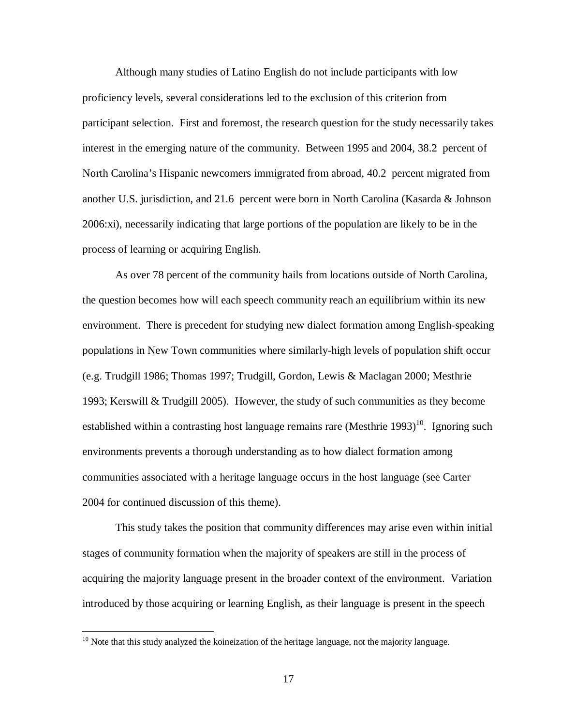Although many studies of Latino English do not include participants with low proficiency levels, several considerations led to the exclusion of this criterion from participant selection. First and foremost, the research question for the study necessarily takes interest in the emerging nature of the community. Between 1995 and 2004, 38.2 percent of North Carolina's Hispanic newcomers immigrated from abroad, 40.2 percent migrated from another U.S. jurisdiction, and 21.6 percent were born in North Carolina (Kasarda & Johnson 2006:xi), necessarily indicating that large portions of the population are likely to be in the process of learning or acquiring English.

As over 78 percent of the community hails from locations outside of North Carolina, the question becomes how will each speech community reach an equilibrium within its new environment. There is precedent for studying new dialect formation among English-speaking populations in New Town communities where similarly-high levels of population shift occur (e.g. Trudgill 1986; Thomas 1997; Trudgill, Gordon, Lewis & Maclagan 2000; Mesthrie 1993; Kerswill & Trudgill 2005). However, the study of such communities as they become established within a contrasting host language remains rare (Mesthrie 1993)<sup>10</sup>. Ignoring such environments prevents a thorough understanding as to how dialect formation among communities associated with a heritage language occurs in the host language (see Carter 2004 for continued discussion of this theme).

This study takes the position that community differences may arise even within initial stages of community formation when the majority of speakers are still in the process of acquiring the majority language present in the broader context of the environment. Variation introduced by those acquiring or learning English, as their language is present in the speech

 $\overline{a}$ 

 $10$  Note that this study analyzed the koineization of the heritage language, not the majority language.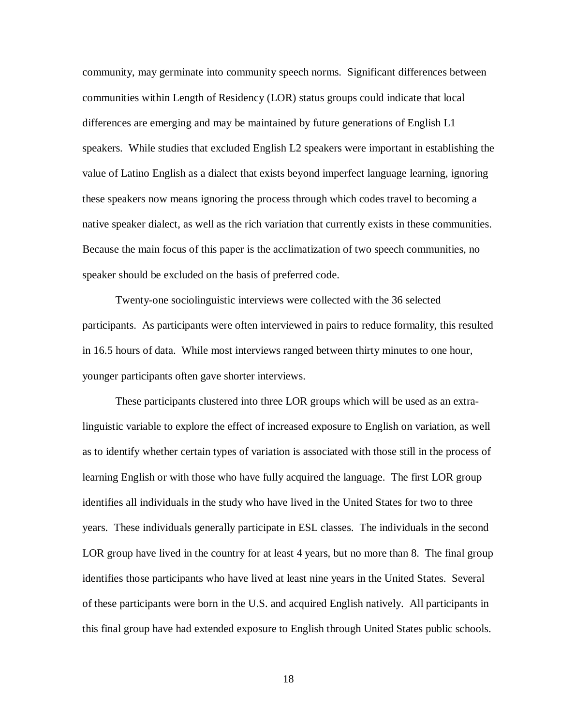community, may germinate into community speech norms. Significant differences between communities within Length of Residency (LOR) status groups could indicate that local differences are emerging and may be maintained by future generations of English L1 speakers. While studies that excluded English L2 speakers were important in establishing the value of Latino English as a dialect that exists beyond imperfect language learning, ignoring these speakers now means ignoring the process through which codes travel to becoming a native speaker dialect, as well as the rich variation that currently exists in these communities. Because the main focus of this paper is the acclimatization of two speech communities, no speaker should be excluded on the basis of preferred code.

Twenty-one sociolinguistic interviews were collected with the 36 selected participants. As participants were often interviewed in pairs to reduce formality, this resulted in 16.5 hours of data. While most interviews ranged between thirty minutes to one hour, younger participants often gave shorter interviews.

These participants clustered into three LOR groups which will be used as an extralinguistic variable to explore the effect of increased exposure to English on variation, as well as to identify whether certain types of variation is associated with those still in the process of learning English or with those who have fully acquired the language. The first LOR group identifies all individuals in the study who have lived in the United States for two to three years. These individuals generally participate in ESL classes. The individuals in the second LOR group have lived in the country for at least 4 years, but no more than 8. The final group identifies those participants who have lived at least nine years in the United States. Several of these participants were born in the U.S. and acquired English natively. All participants in this final group have had extended exposure to English through United States public schools.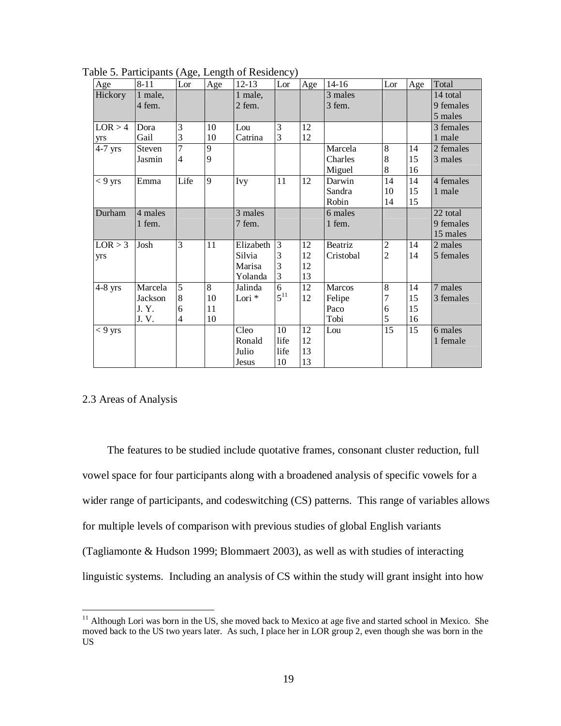| Age       | $8 - 11$ | Lor            | Age         | $12 - 13$         | Lor            | Age | $14 - 16$ | Lor            | Age | Total     |
|-----------|----------|----------------|-------------|-------------------|----------------|-----|-----------|----------------|-----|-----------|
| Hickory   | 1 male,  |                |             | 1 male,           |                |     | 3 males   |                |     | 14 total  |
|           | 4 fem.   |                |             | 2 fem.            |                |     | 3 fem.    |                |     | 9 females |
|           |          |                |             |                   |                |     |           |                |     | 5 males   |
| LOR > 4   | Dora     | 3              | 10          | Lou               | 3              | 12  |           |                |     | 3 females |
| yrs       | Gail     | 3              | 10          | Catrina           | 3              | 12  |           |                |     | 1 male    |
| $4-7$ yrs | Steven   | $\overline{7}$ | 9           |                   |                |     | Marcela   | 8              | 14  | 2 females |
|           | Jasmin   | $\overline{4}$ | 9           |                   |                |     | Charles   | 8              | 15  | 3 males   |
|           |          |                |             |                   |                |     | Miguel    | 8              | 16  |           |
| $< 9$ yrs | Emma     | Life           | $\mathbf Q$ | <b>Ivy</b>        | 11             | 12  | Darwin    | 14             | 14  | 4 females |
|           |          |                |             |                   |                |     | Sandra    | 10             | 15  | 1 male    |
|           |          |                |             |                   |                |     | Robin     | 14             | 15  |           |
| Durham    | 4 males  |                |             | 3 males           |                |     | 6 males   |                |     | 22 total  |
|           | 1 fem.   |                |             | 7 fem.            |                |     | 1 fem.    |                |     | 9 females |
|           |          |                |             |                   |                |     |           |                |     | 15 males  |
| LOR > 3   | Josh     | 3              | 11          | Elizabeth         | 3              | 12  | Beatriz   | $\overline{2}$ | 14  | 2 males   |
| yrs       |          |                |             | Silvia            | 3              | 12  | Cristobal | $\overline{2}$ | 14  | 5 females |
|           |          |                |             | Marisa            | 3              | 12  |           |                |     |           |
|           |          |                |             | Yolanda           | 3              | 13  |           |                |     |           |
| $4-8$ yrs | Marcela  | 5              | 8           | Jalinda           | $\overline{6}$ | 12  | Marcos    | 8              | 14  | 7 males   |
|           | Jackson  | 8              | 10          | Lori <sup>*</sup> | $5^{11}$       | 12  | Felipe    | 7              | 15  | 3 females |
|           | J.Y.     | 6              | 11          |                   |                |     | Paco      | 6              | 15  |           |
|           | J.V.     | $\overline{4}$ | 10          |                   |                |     | Tobi      | 5              | 16  |           |
| $< 9$ yrs |          |                |             | Cleo              | 10             | 12  | Lou       | 15             | 15  | 6 males   |
|           |          |                |             | Ronald            | life           | 12  |           |                |     | 1 female  |
|           |          |                |             | Julio             | life           | 13  |           |                |     |           |
|           |          |                |             | <b>Jesus</b>      | 10             | 13  |           |                |     |           |

Table 5. Participants (Age, Length of Residency)

### 2.3 Areas of Analysis

 $\overline{a}$ 

The features to be studied include quotative frames, consonant cluster reduction, full vowel space for four participants along with a broadened analysis of specific vowels for a wider range of participants, and codeswitching (CS) patterns. This range of variables allows for multiple levels of comparison with previous studies of global English variants (Tagliamonte & Hudson 1999; Blommaert 2003), as well as with studies of interacting linguistic systems. Including an analysis of CS within the study will grant insight into how

 Although Lori was born in the US, she moved back to Mexico at age five and started school in Mexico. She moved back to the US two years later. As such, I place her in LOR group 2, even though she was born in the US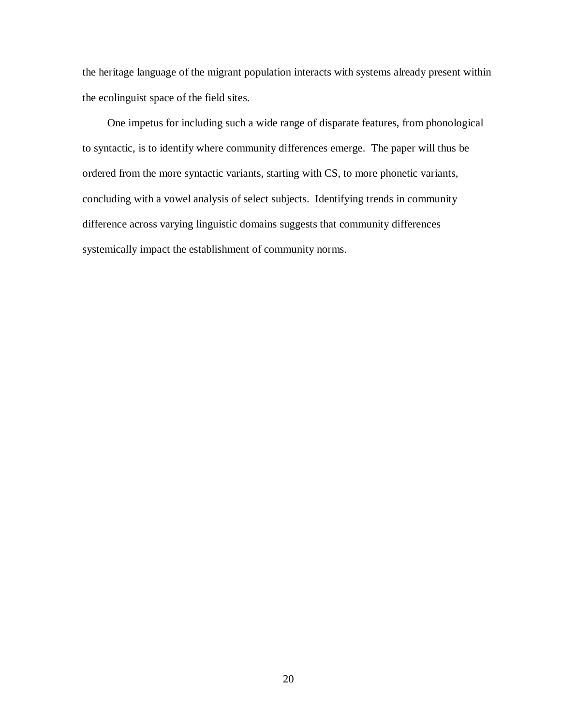the heritage language of the migrant population interacts with systems already present within the ecolinguist space of the field sites.

One impetus for including such a wide range of disparate features, from phonological to syntactic, is to identify where community differences emerge. The paper will thus be ordered from the more syntactic variants, starting with CS, to more phonetic variants, concluding with a vowel analysis of select subjects. Identifying trends in community difference across varying linguistic domains suggests that community differences systemically impact the establishment of community norms.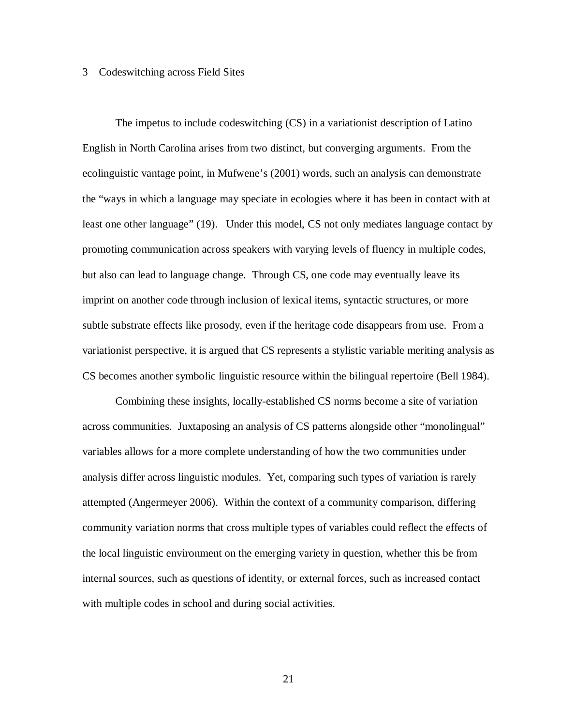#### 3 Codeswitching across Field Sites

The impetus to include codeswitching (CS) in a variationist description of Latino English in North Carolina arises from two distinct, but converging arguments. From the ecolinguistic vantage point, in Mufwene's (2001) words, such an analysis can demonstrate the "ways in which a language may speciate in ecologies where it has been in contact with at least one other language" (19). Under this model, CS not only mediates language contact by promoting communication across speakers with varying levels of fluency in multiple codes, but also can lead to language change. Through CS, one code may eventually leave its imprint on another code through inclusion of lexical items, syntactic structures, or more subtle substrate effects like prosody, even if the heritage code disappears from use. From a variationist perspective, it is argued that CS represents a stylistic variable meriting analysis as CS becomes another symbolic linguistic resource within the bilingual repertoire (Bell 1984).

Combining these insights, locally-established CS norms become a site of variation across communities. Juxtaposing an analysis of CS patterns alongside other "monolingual" variables allows for a more complete understanding of how the two communities under analysis differ across linguistic modules. Yet, comparing such types of variation is rarely attempted (Angermeyer 2006). Within the context of a community comparison, differing community variation norms that cross multiple types of variables could reflect the effects of the local linguistic environment on the emerging variety in question, whether this be from internal sources, such as questions of identity, or external forces, such as increased contact with multiple codes in school and during social activities.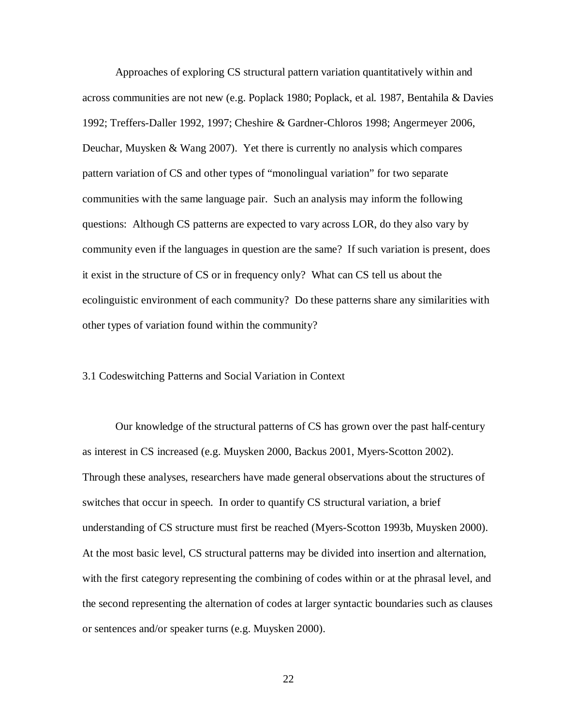Approaches of exploring CS structural pattern variation quantitatively within and across communities are not new (e.g. Poplack 1980; Poplack, et al. 1987, Bentahila & Davies 1992; Treffers-Daller 1992, 1997; Cheshire & Gardner-Chloros 1998; Angermeyer 2006, Deuchar, Muysken & Wang 2007). Yet there is currently no analysis which compares pattern variation of CS and other types of "monolingual variation" for two separate communities with the same language pair. Such an analysis may inform the following questions: Although CS patterns are expected to vary across LOR, do they also vary by community even if the languages in question are the same? If such variation is present, does it exist in the structure of CS or in frequency only? What can CS tell us about the ecolinguistic environment of each community? Do these patterns share any similarities with other types of variation found within the community?

#### 3.1 Codeswitching Patterns and Social Variation in Context

Our knowledge of the structural patterns of CS has grown over the past half-century as interest in CS increased (e.g. Muysken 2000, Backus 2001, Myers-Scotton 2002). Through these analyses, researchers have made general observations about the structures of switches that occur in speech. In order to quantify CS structural variation, a brief understanding of CS structure must first be reached (Myers-Scotton 1993b, Muysken 2000). At the most basic level, CS structural patterns may be divided into insertion and alternation, with the first category representing the combining of codes within or at the phrasal level, and the second representing the alternation of codes at larger syntactic boundaries such as clauses or sentences and/or speaker turns (e.g. Muysken 2000).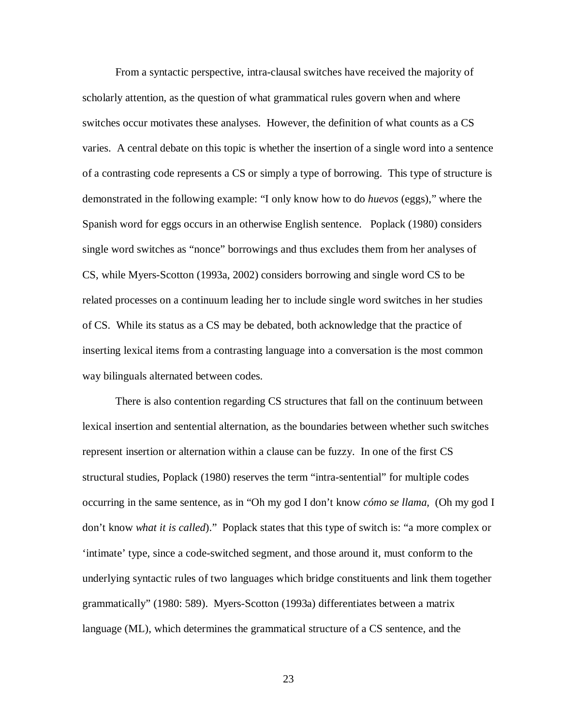From a syntactic perspective, intra-clausal switches have received the majority of scholarly attention, as the question of what grammatical rules govern when and where switches occur motivates these analyses. However, the definition of what counts as a CS varies. A central debate on this topic is whether the insertion of a single word into a sentence of a contrasting code represents a CS or simply a type of borrowing. This type of structure is demonstrated in the following example: "I only know how to do *huevos* (eggs)," where the Spanish word for eggs occurs in an otherwise English sentence. Poplack (1980) considers single word switches as "nonce" borrowings and thus excludes them from her analyses of CS, while Myers-Scotton (1993a, 2002) considers borrowing and single word CS to be related processes on a continuum leading her to include single word switches in her studies of CS. While its status as a CS may be debated, both acknowledge that the practice of inserting lexical items from a contrasting language into a conversation is the most common way bilinguals alternated between codes.

There is also contention regarding CS structures that fall on the continuum between lexical insertion and sentential alternation, as the boundaries between whether such switches represent insertion or alternation within a clause can be fuzzy. In one of the first CS structural studies, Poplack (1980) reserves the term "intra-sentential" for multiple codes occurring in the same sentence, as in "Oh my god I don't know *cómo se llama,* (Oh my god I don't know *what it is called*)."Poplack states that this type of switch is: "a more complex or 'intimate' type, since a code-switched segment, and those around it, must conform to the underlying syntactic rules of two languages which bridge constituents and link them together grammatically" (1980: 589).Myers-Scotton (1993a) differentiates between a matrix language (ML), which determines the grammatical structure of a CS sentence, and the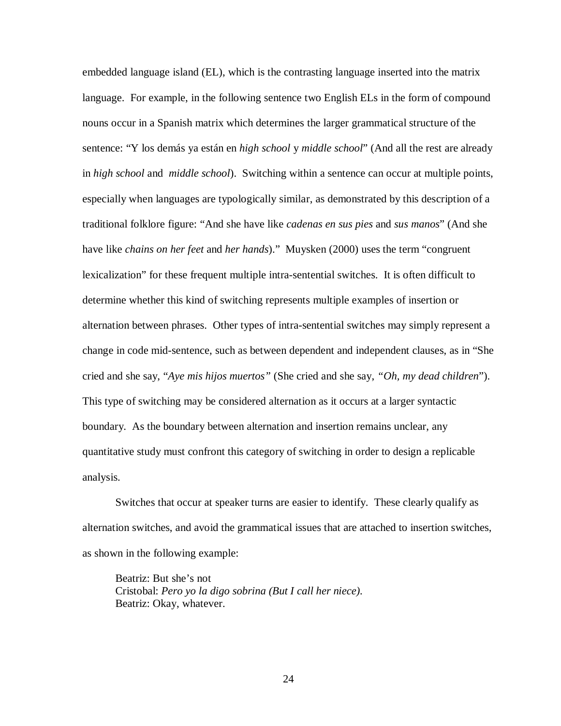embedded language island (EL), which is the contrasting language inserted into the matrix language. For example, in the following sentence two English ELs in the form of compound nouns occur in a Spanish matrix which determines the larger grammatical structure of the sentence: "Y los demás ya están en *high school* y *middle school*" (And all the rest are already in *high school* and *middle school*). Switching within a sentence can occur at multiple points, especially when languages are typologically similar, as demonstrated by this description of a traditional folklore figure: "And she have like *cadenas en sus pies* and *sus manos*" (And she have like *chains on her feet* and *her hands*)." Muysken (2000) uses the term "congruent lexicalization" for these frequent multiple intra-sentential switches. It is often difficult to determine whether this kind of switching represents multiple examples of insertion or alternation between phrases. Other types of intra-sentential switches may simply represent a change in code mid-sentence, such as between dependent and independent clauses, as in "She cried and she say, "*Aye mis hijos muertos"* (She cried and she say, *"Oh, my dead children*"). This type of switching may be considered alternation as it occurs at a larger syntactic boundary. As the boundary between alternation and insertion remains unclear, any quantitative study must confront this category of switching in order to design a replicable analysis.

Switches that occur at speaker turns are easier to identify. These clearly qualify as alternation switches, and avoid the grammatical issues that are attached to insertion switches, as shown in the following example:

Beatriz: But she's not Cristobal: *Pero yo la digo sobrina (But I call her niece).*  Beatriz: Okay, whatever.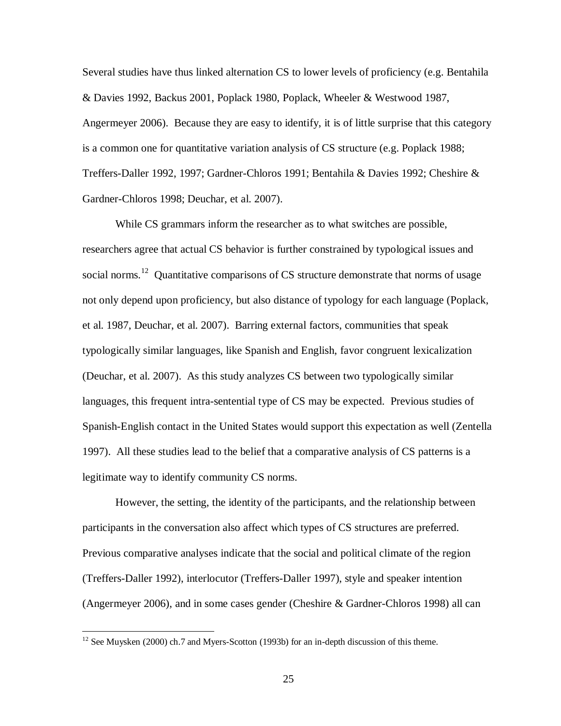Several studies have thus linked alternation CS to lower levels of proficiency (e.g. Bentahila & Davies 1992, Backus 2001, Poplack 1980, Poplack, Wheeler & Westwood 1987, Angermeyer 2006). Because they are easy to identify, it is of little surprise that this category is a common one for quantitative variation analysis of CS structure (e.g. Poplack 1988; Treffers-Daller 1992, 1997; Gardner-Chloros 1991; Bentahila & Davies 1992; Cheshire & Gardner-Chloros 1998; Deuchar, et al. 2007).

While CS grammars inform the researcher as to what switches are possible, researchers agree that actual CS behavior is further constrained by typological issues and social norms.<sup>12</sup> Quantitative comparisons of CS structure demonstrate that norms of usage not only depend upon proficiency, but also distance of typology for each language (Poplack, et al. 1987, Deuchar, et al. 2007).Barring external factors, communities that speak typologically similar languages, like Spanish and English, favor congruent lexicalization (Deuchar, et al. 2007). As this study analyzes CS between two typologically similar languages, this frequent intra-sentential type of CS may be expected. Previous studies of Spanish-English contact in the United States would support this expectation as well (Zentella 1997). All these studies lead to the belief that a comparative analysis of CS patterns is a legitimate way to identify community CS norms.

However, the setting, the identity of the participants, and the relationship between participants in the conversation also affect which types of CS structures are preferred. Previous comparative analyses indicate that the social and political climate of the region (Treffers-Daller 1992), interlocutor (Treffers-Daller 1997), style and speaker intention (Angermeyer 2006), and in some cases gender (Cheshire & Gardner-Chloros 1998) all can

 $\overline{a}$ 

 $12$  See Muysken (2000) ch.7 and Myers-Scotton (1993b) for an in-depth discussion of this theme.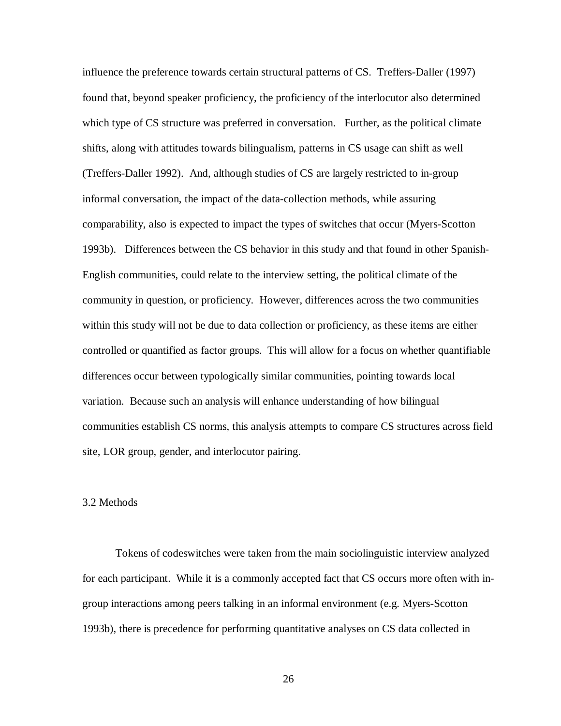influence the preference towards certain structural patterns of CS. Treffers-Daller (1997) found that, beyond speaker proficiency, the proficiency of the interlocutor also determined which type of CS structure was preferred in conversation. Further, as the political climate shifts, along with attitudes towards bilingualism, patterns in CS usage can shift as well (Treffers-Daller 1992). And, although studies of CS are largely restricted to in-group informal conversation, the impact of the data-collection methods, while assuring comparability, also is expected to impact the types of switches that occur (Myers-Scotton 1993b). Differences between the CS behavior in this study and that found in other Spanish-English communities, could relate to the interview setting, the political climate of the community in question, or proficiency. However, differences across the two communities within this study will not be due to data collection or proficiency, as these items are either controlled or quantified as factor groups. This will allow for a focus on whether quantifiable differences occur between typologically similar communities, pointing towards local variation. Because such an analysis will enhance understanding of how bilingual communities establish CS norms, this analysis attempts to compare CS structures across field site, LOR group, gender, and interlocutor pairing.

#### 3.2 Methods

Tokens of codeswitches were taken from the main sociolinguistic interview analyzed for each participant. While it is a commonly accepted fact that CS occurs more often with ingroup interactions among peers talking in an informal environment (e.g. Myers-Scotton 1993b), there is precedence for performing quantitative analyses on CS data collected in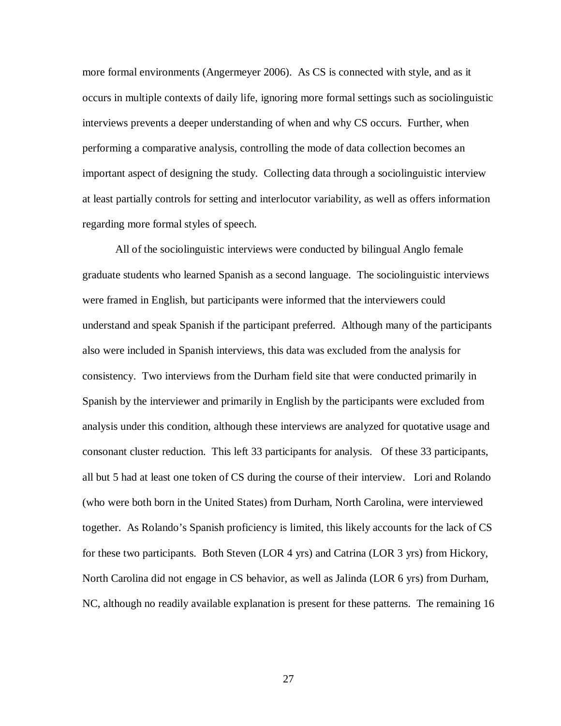more formal environments (Angermeyer 2006). As CS is connected with style, and as it occurs in multiple contexts of daily life, ignoring more formal settings such as sociolinguistic interviews prevents a deeper understanding of when and why CS occurs. Further, when performing a comparative analysis, controlling the mode of data collection becomes an important aspect of designing the study. Collecting data through a sociolinguistic interview at least partially controls for setting and interlocutor variability, as well as offers information regarding more formal styles of speech.

All of the sociolinguistic interviews were conducted by bilingual Anglo female graduate students who learned Spanish as a second language. The sociolinguistic interviews were framed in English, but participants were informed that the interviewers could understand and speak Spanish if the participant preferred. Although many of the participants also were included in Spanish interviews, this data was excluded from the analysis for consistency. Two interviews from the Durham field site that were conducted primarily in Spanish by the interviewer and primarily in English by the participants were excluded from analysis under this condition, although these interviews are analyzed for quotative usage and consonant cluster reduction. This left 33 participants for analysis. Of these 33 participants, all but 5 had at least one token of CS during the course of their interview. Lori and Rolando (who were both born in the United States) from Durham, North Carolina, were interviewed together. As Rolando's Spanish proficiency is limited, this likely accounts for the lack of CS for these two participants. Both Steven (LOR 4 yrs) and Catrina (LOR 3 yrs) from Hickory, North Carolina did not engage in CS behavior, as well as Jalinda (LOR 6 yrs) from Durham, NC, although no readily available explanation is present for these patterns. The remaining 16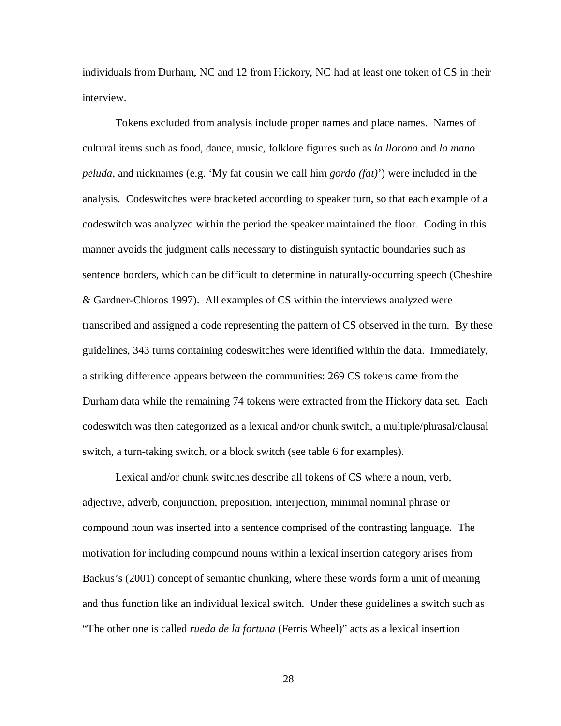individuals from Durham, NC and 12 from Hickory, NC had at least one token of CS in their interview.

Tokens excluded from analysis include proper names and place names. Names of cultural items such as food, dance, music, folklore figures such as *la llorona* and *la mano peluda*, and nicknames (e.g. 'My fat cousin we call him *gordo (fat)*') were included in the analysis. Codeswitches were bracketed according to speaker turn, so that each example of a codeswitch was analyzed within the period the speaker maintained the floor. Coding in this manner avoids the judgment calls necessary to distinguish syntactic boundaries such as sentence borders, which can be difficult to determine in naturally-occurring speech (Cheshire & Gardner-Chloros 1997). All examples of CS within the interviews analyzed were transcribed and assigned a code representing the pattern of CS observed in the turn. By these guidelines, 343 turns containing codeswitches were identified within the data. Immediately, a striking difference appears between the communities: 269 CS tokens came from the Durham data while the remaining 74 tokens were extracted from the Hickory data set. Each codeswitch was then categorized as a lexical and/or chunk switch, a multiple/phrasal/clausal switch, a turn-taking switch, or a block switch (see table 6 for examples).

Lexical and/or chunk switches describe all tokens of CS where a noun, verb, adjective, adverb, conjunction, preposition, interjection, minimal nominal phrase or compound noun was inserted into a sentence comprised of the contrasting language. The motivation for including compound nouns within a lexical insertion category arises from Backus's (2001) concept of semantic chunking, where these words form a unit of meaning and thus function like an individual lexical switch. Under these guidelines a switch such as "The other one is called *rueda de la fortuna* (Ferris Wheel)" acts as a lexical insertion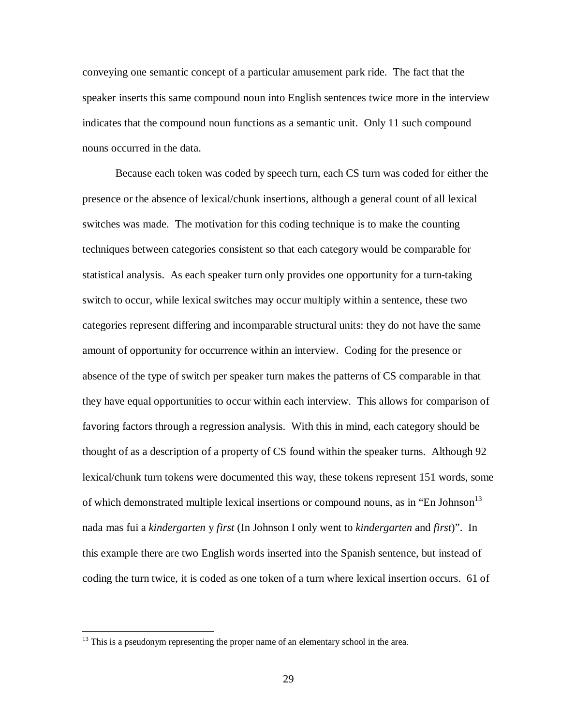conveying one semantic concept of a particular amusement park ride. The fact that the speaker inserts this same compound noun into English sentences twice more in the interview indicates that the compound noun functions as a semantic unit. Only 11 such compound nouns occurred in the data.

Because each token was coded by speech turn, each CS turn was coded for either the presence or the absence of lexical/chunk insertions, although a general count of all lexical switches was made. The motivation for this coding technique is to make the counting techniques between categories consistent so that each category would be comparable for statistical analysis. As each speaker turn only provides one opportunity for a turn-taking switch to occur, while lexical switches may occur multiply within a sentence, these two categories represent differing and incomparable structural units: they do not have the same amount of opportunity for occurrence within an interview. Coding for the presence or absence of the type of switch per speaker turn makes the patterns of CS comparable in that they have equal opportunities to occur within each interview. This allows for comparison of favoring factors through a regression analysis. With this in mind, each category should be thought of as a description of a property of CS found within the speaker turns. Although 92 lexical/chunk turn tokens were documented this way, these tokens represent 151 words, some of which demonstrated multiple lexical insertions or compound nouns, as in "En Johnson" nada mas fui a *kindergarten* y *first* (In Johnson I only went to *kindergarten* and *first*)". In this example there are two English words inserted into the Spanish sentence, but instead of coding the turn twice, it is coded as one token of a turn where lexical insertion occurs. 61 of

 $\overline{a}$ 

 $13$  This is a pseudonym representing the proper name of an elementary school in the area.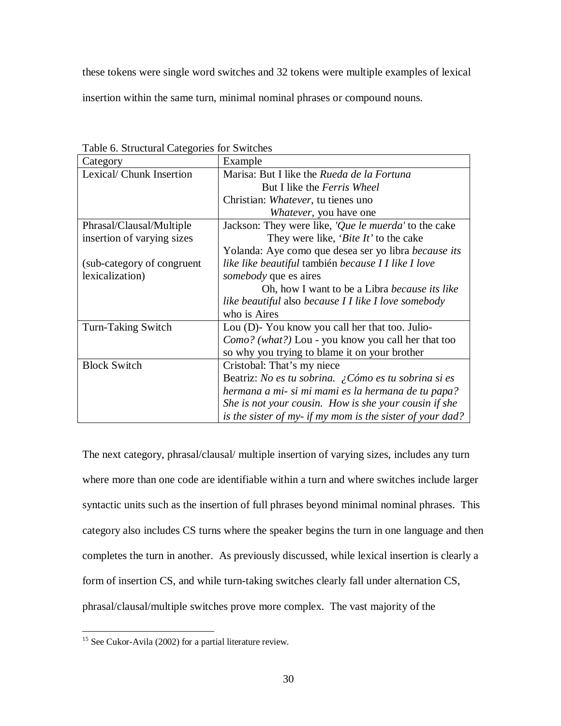these tokens were single word switches and 32 tokens were multiple examples of lexical

insertion within the same turn, minimal nominal phrases or compound nouns.

| Category                    | Example                                                     |  |  |
|-----------------------------|-------------------------------------------------------------|--|--|
| Lexical/ Chunk Insertion    | Marisa: But I like the Rueda de la Fortuna                  |  |  |
|                             | But I like the Ferris Wheel                                 |  |  |
|                             | Christian: Whatever, tu tienes uno                          |  |  |
|                             | <i>Whatever</i> , you have one                              |  |  |
| Phrasal/Clausal/Multiple    | Jackson: They were like, 'Que le muerda' to the cake        |  |  |
| insertion of varying sizes  | They were like, ' <i>Bite It</i> ' to the cake              |  |  |
|                             | Yolanda: Aye como que desea ser yo libra <i>because its</i> |  |  |
| (sub-category of congruent) | like like beautiful también because I I like I love         |  |  |
| lexicalization)             | <i>somebody</i> que es aires                                |  |  |
|                             | Oh, how I want to be a Libra <i>because its like</i>        |  |  |
|                             | like beautiful also because I I like I love somebody        |  |  |
|                             | who is Aires                                                |  |  |
| Turn-Taking Switch          | Lou (D)-You know you call her that too. Julio-              |  |  |
|                             | <i>Como?</i> (what?) Lou - you know you call her that too   |  |  |
|                             | so why you trying to blame it on your brother               |  |  |
| <b>Block Switch</b>         | Cristobal: That's my niece                                  |  |  |
|                             | Beatriz: No es tu sobrina. ¿Cómo es tu sobrina si es        |  |  |
|                             | hermana a mi- si mi mami es la hermana de tu papa?          |  |  |
|                             | She is not your cousin. How is she your cousin if she       |  |  |
|                             | is the sister of my- if my mom is the sister of your dad?   |  |  |

Table 6. Structural Categories for Switches

The next category, phrasal/clausal/ multiple insertion of varying sizes, includes any turn where more than one code are identifiable within a turn and where switches include larger syntactic units such as the insertion of full phrases beyond minimal nominal phrases. This category also includes CS turns where the speaker begins the turn in one language and then completes the turn in another. As previously discussed, while lexical insertion is clearly a form of insertion CS, and while turn-taking switches clearly fall under alternation CS, phrasal/clausal/multiple switches prove more complex. The vast majority of the

 $\overline{a}$  $15$  See Cukor-Avila (2002) for a partial literature review.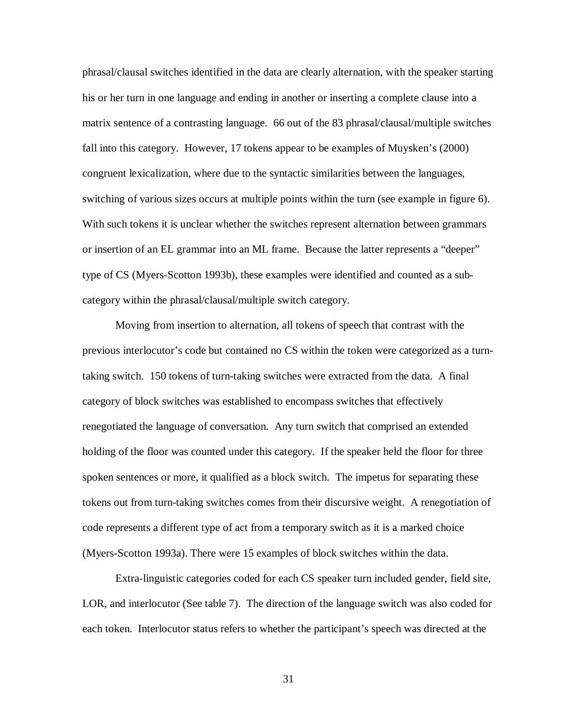phrasal/clausal switches identified in the data are clearly alternation, with the speaker starting his or her turn in one language and ending in another or inserting a complete clause into a matrix sentence of a contrasting language. 66 out of the 83 phrasal/clausal/multiple switches fall into this category. However, 17 tokens appear to be examples of Muysken's (2000) congruent lexicalization, where due to the syntactic similarities between the languages, switching of various sizes occurs at multiple points within the turn (see example in figure 6). With such tokens it is unclear whether the switches represent alternation between grammars or insertion of an EL grammar into an ML frame. Because the latter represents a "deeper" type of CS (Myers-Scotton 1993b), these examples were identified and counted as a subcategory within the phrasal/clausal/multiple switch category.

Moving from insertion to alternation, all tokens of speech that contrast with the previous interlocutor's code but contained no CS within the token were categorized as a turntaking switch. 150 tokens of turn-taking switches were extracted from the data. A final category of block switches was established to encompass switches that effectively renegotiated the language of conversation. Any turn switch that comprised an extended holding of the floor was counted under this category. If the speaker held the floor for three spoken sentences or more, it qualified as a block switch. The impetus for separating these tokens out from turn-taking switches comes from their discursive weight. A renegotiation of code represents a different type of act from a temporary switch as it is a marked choice (Myers-Scotton 1993a). There were 15 examples of block switches within the data.

Extra-linguistic categories coded for each CS speaker turn included gender, field site, LOR, and interlocutor (See table 7). The direction of the language switch was also coded for each token. Interlocutor status refers to whether the participant's speech was directed at the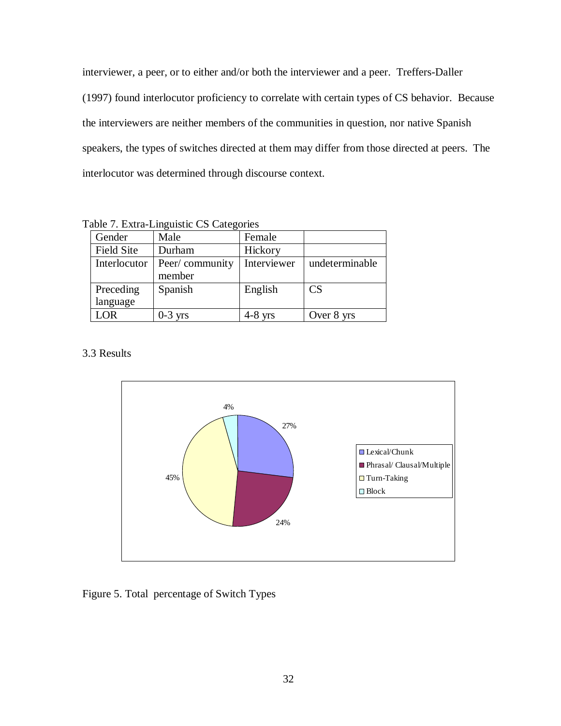interviewer, a peer, or to either and/or both the interviewer and a peer. Treffers-Daller (1997) found interlocutor proficiency to correlate with certain types of CS behavior. Because the interviewers are neither members of the communities in question, nor native Spanish speakers, the types of switches directed at them may differ from those directed at peers. The interlocutor was determined through discourse context.

|  |  | Table 7. Extra-Linguistic CS Categories |  |
|--|--|-----------------------------------------|--|
|  |  |                                         |  |

| Gender            | Male           | Female      |                |
|-------------------|----------------|-------------|----------------|
| <b>Field Site</b> | Durham         | Hickory     |                |
| Interlocutor      | Peer/community | Interviewer | undeterminable |
|                   | member         |             |                |
| Preceding         | Spanish        | English     | CS             |
| language          |                |             |                |
| LOR               | $0-3$ yrs      | $4-8$ yrs   | Over 8 yrs     |

3.3 Results



Figure 5. Total percentage of Switch Types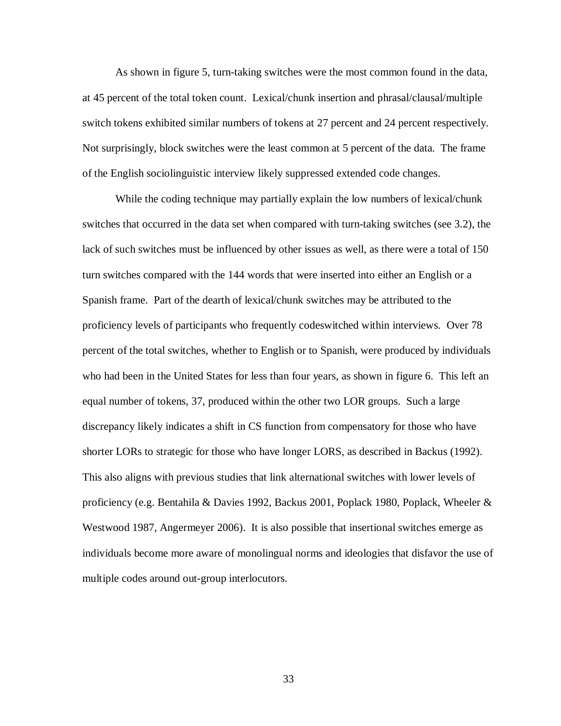As shown in figure 5, turn-taking switches were the most common found in the data, at 45 percent of the total token count. Lexical/chunk insertion and phrasal/clausal/multiple switch tokens exhibited similar numbers of tokens at 27 percent and 24 percent respectively. Not surprisingly, block switches were the least common at 5 percent of the data. The frame of the English sociolinguistic interview likely suppressed extended code changes.

While the coding technique may partially explain the low numbers of lexical/chunk switches that occurred in the data set when compared with turn-taking switches (see 3.2), the lack of such switches must be influenced by other issues as well, as there were a total of 150 turn switches compared with the 144 words that were inserted into either an English or a Spanish frame. Part of the dearth of lexical/chunk switches may be attributed to the proficiency levels of participants who frequently codeswitched within interviews. Over 78 percent of the total switches, whether to English or to Spanish, were produced by individuals who had been in the United States for less than four years, as shown in figure 6. This left an equal number of tokens, 37, produced within the other two LOR groups. Such a large discrepancy likely indicates a shift in CS function from compensatory for those who have shorter LORs to strategic for those who have longer LORS, as described in Backus (1992). This also aligns with previous studies that link alternational switches with lower levels of proficiency (e.g. Bentahila & Davies 1992, Backus 2001, Poplack 1980, Poplack, Wheeler & Westwood 1987, Angermeyer 2006). It is also possible that insertional switches emerge as individuals become more aware of monolingual norms and ideologies that disfavor the use of multiple codes around out-group interlocutors.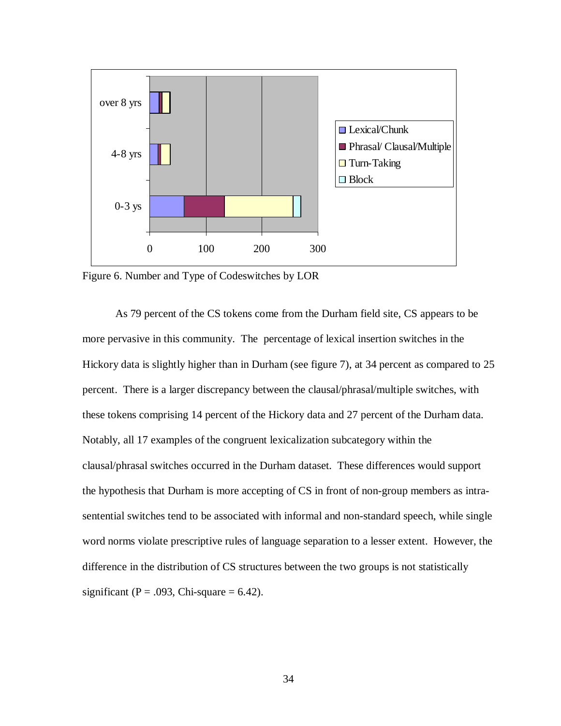

Figure 6. Number and Type of Codeswitches by LOR

As 79 percent of the CS tokens come from the Durham field site, CS appears to be more pervasive in this community. The percentage of lexical insertion switches in the Hickory data is slightly higher than in Durham (see figure 7), at 34 percent as compared to 25 percent. There is a larger discrepancy between the clausal/phrasal/multiple switches, with these tokens comprising 14 percent of the Hickory data and 27 percent of the Durham data. Notably, all 17 examples of the congruent lexicalization subcategory within the clausal/phrasal switches occurred in the Durham dataset. These differences would support the hypothesis that Durham is more accepting of CS in front of non-group members as intrasentential switches tend to be associated with informal and non-standard speech, while single word norms violate prescriptive rules of language separation to a lesser extent. However, the difference in the distribution of CS structures between the two groups is not statistically significant ( $P = .093$ , Chi-square = 6.42).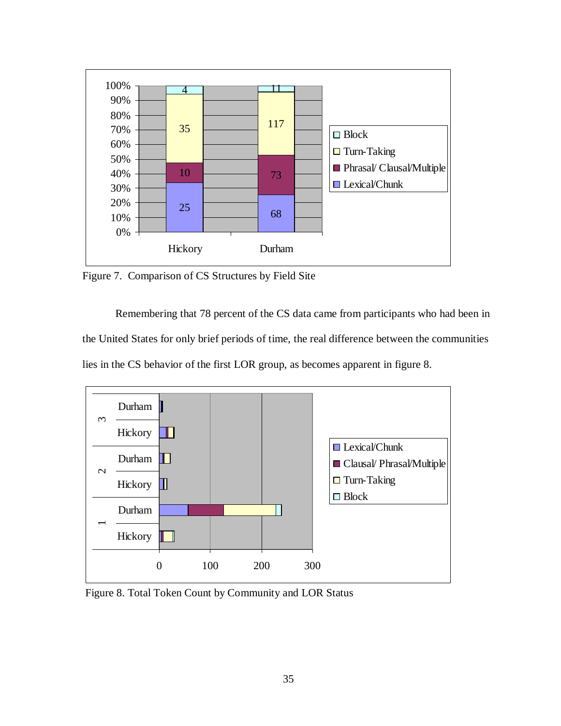

Figure 7. Comparison of CS Structures by Field Site

Remembering that 78 percent of the CS data came from participants who had been in the United States for only brief periods of time, the real difference between the communities lies in the CS behavior of the first LOR group, as becomes apparent in figure 8.



Figure 8. Total Token Count by Community and LOR Status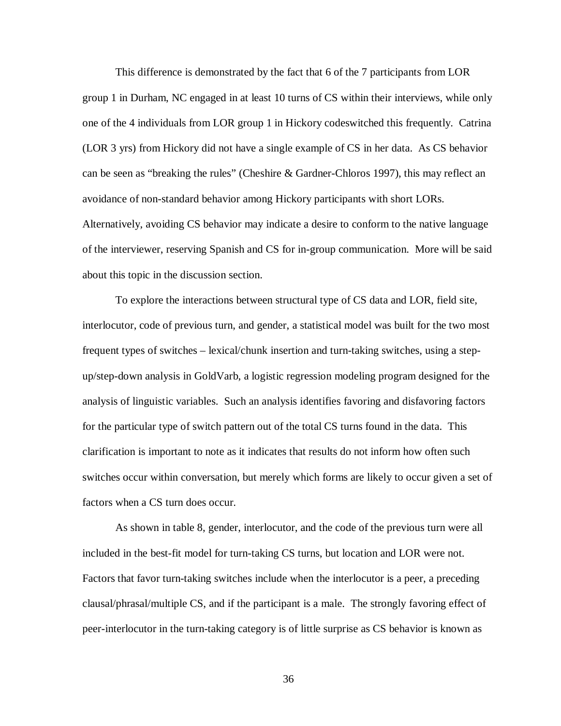This difference is demonstrated by the fact that 6 of the 7 participants from LOR group 1 in Durham, NC engaged in at least 10 turns of CS within their interviews, while only one of the 4 individuals from LOR group 1 in Hickory codeswitched this frequently. Catrina (LOR 3 yrs) from Hickory did not have a single example of CS in her data. As CS behavior can be seen as "breaking the rules" (Cheshire & Gardner-Chloros 1997), this may reflect an avoidance of non-standard behavior among Hickory participants with short LORs. Alternatively, avoiding CS behavior may indicate a desire to conform to the native language of the interviewer, reserving Spanish and CS for in-group communication. More will be said about this topic in the discussion section.

To explore the interactions between structural type of CS data and LOR, field site, interlocutor, code of previous turn, and gender, a statistical model was built for the two most frequent types of switches – lexical/chunk insertion and turn-taking switches, using a stepup/step-down analysis in GoldVarb, a logistic regression modeling program designed for the analysis of linguistic variables. Such an analysis identifies favoring and disfavoring factors for the particular type of switch pattern out of the total CS turns found in the data. This clarification is important to note as it indicates that results do not inform how often such switches occur within conversation, but merely which forms are likely to occur given a set of factors when a CS turn does occur.

As shown in table 8, gender, interlocutor, and the code of the previous turn were all included in the best-fit model for turn-taking CS turns, but location and LOR were not. Factors that favor turn-taking switches include when the interlocutor is a peer, a preceding clausal/phrasal/multiple CS, and if the participant is a male. The strongly favoring effect of peer-interlocutor in the turn-taking category is of little surprise as CS behavior is known as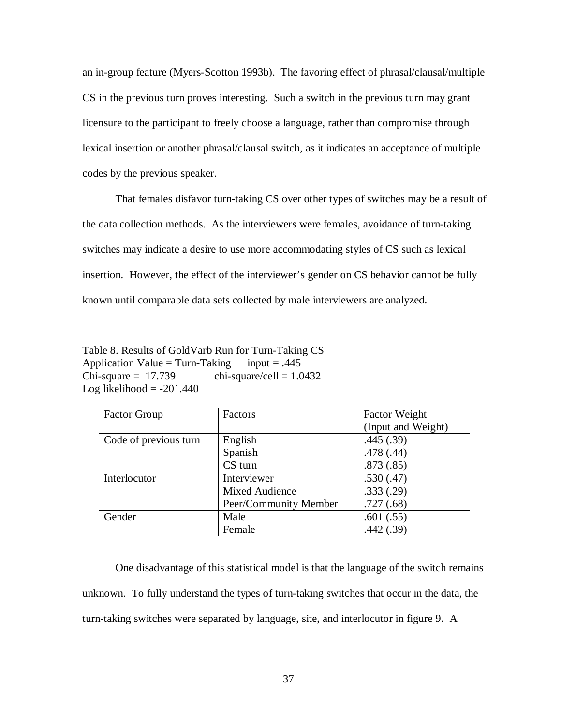an in-group feature (Myers-Scotton 1993b). The favoring effect of phrasal/clausal/multiple CS in the previous turn proves interesting. Such a switch in the previous turn may grant licensure to the participant to freely choose a language, rather than compromise through lexical insertion or another phrasal/clausal switch, as it indicates an acceptance of multiple codes by the previous speaker.

That females disfavor turn-taking CS over other types of switches may be a result of the data collection methods. As the interviewers were females, avoidance of turn-taking switches may indicate a desire to use more accommodating styles of CS such as lexical insertion. However, the effect of the interviewer's gender on CS behavior cannot be fully known until comparable data sets collected by male interviewers are analyzed.

Table 8. Results of GoldVarb Run for Turn-Taking CS Application Value = Turn-Taking input = .445  $Chi-square = 17.739$  chi-square/cell = 1.0432 Log likelihood  $= -201.440$ 

| <b>Factor Group</b>   | Factors               | <b>Factor Weight</b> |
|-----------------------|-----------------------|----------------------|
|                       |                       | (Input and Weight)   |
| Code of previous turn | English               | .445(.39)            |
|                       | Spanish               | .478(.44)            |
|                       | CS turn               | .873(.85)            |
| Interlocutor          | Interviewer           | .530(.47)            |
|                       | Mixed Audience        | .333(.29)            |
|                       | Peer/Community Member | .727(.68)            |
| Gender                | Male                  | .601(.55)            |
|                       | Female                | .442(.39)            |

One disadvantage of this statistical model is that the language of the switch remains unknown. To fully understand the types of turn-taking switches that occur in the data, the turn-taking switches were separated by language, site, and interlocutor in figure 9. A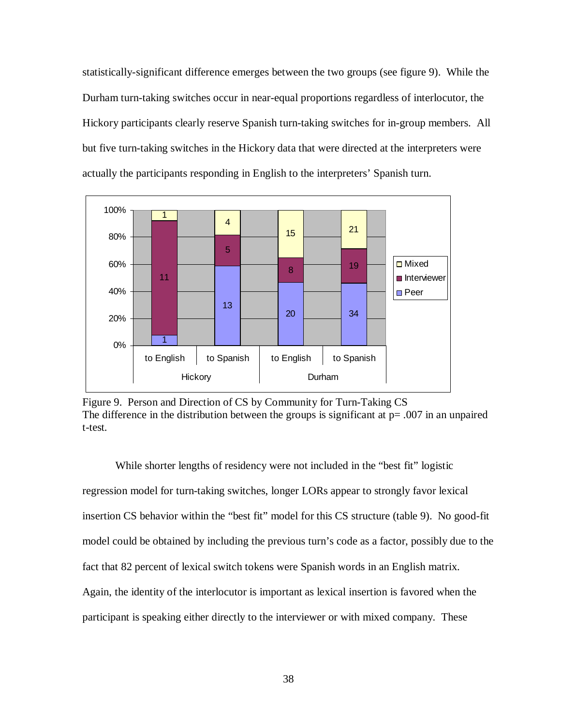statistically-significant difference emerges between the two groups (see figure 9). While the Durham turn-taking switches occur in near-equal proportions regardless of interlocutor, the Hickory participants clearly reserve Spanish turn-taking switches for in-group members. All but five turn-taking switches in the Hickory data that were directed at the interpreters were actually the participants responding in English to the interpreters' Spanish turn.



Figure 9. Person and Direction of CS by Community for Turn-Taking CS The difference in the distribution between the groups is significant at  $p = .007$  in an unpaired t-test.

While shorter lengths of residency were not included in the "best fit" logistic regression model for turn-taking switches, longer LORs appear to strongly favor lexical insertion CS behavior within the "best fit" model for this CS structure (table 9). No good-fit model could be obtained by including the previous turn's code as a factor, possibly due to the fact that 82 percent of lexical switch tokens were Spanish words in an English matrix. Again, the identity of the interlocutor is important as lexical insertion is favored when the participant is speaking either directly to the interviewer or with mixed company. These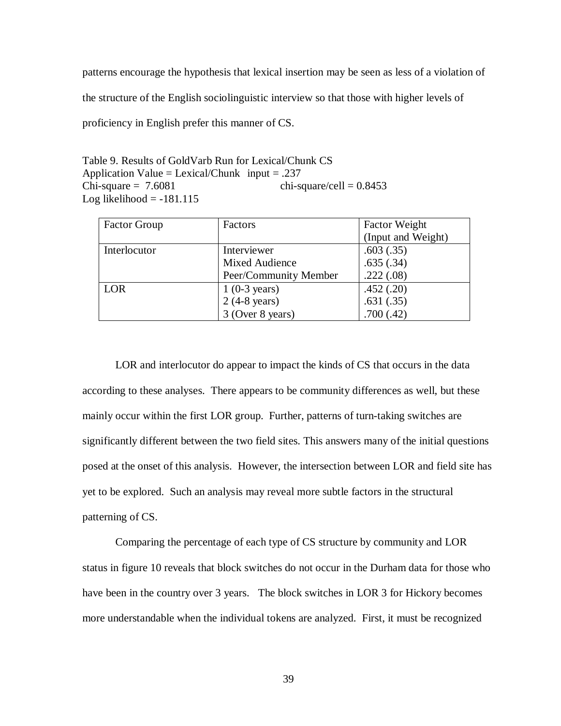patterns encourage the hypothesis that lexical insertion may be seen as less of a violation of the structure of the English sociolinguistic interview so that those with higher levels of proficiency in English prefer this manner of CS.

Table 9. Results of GoldVarb Run for Lexical/Chunk CS Application Value = Lexical/Chunk input = .237 Chi-square =  $7.6081$  chi-square/cell =  $0.8453$ Log likelihood  $= -181.115$ 

| <b>Factor Group</b> | Factors                | <b>Factor Weight</b> |
|---------------------|------------------------|----------------------|
|                     |                        | (Input and Weight)   |
| Interlocutor        | Interviewer            | .603(.35)            |
|                     | Mixed Audience         | .635(.34)            |
|                     | Peer/Community Member  | .222(.08)            |
| LOR                 | $1(0-3 \text{ years})$ | .452(.20)            |
|                     | $2(4-8 \text{ years})$ | .631(.35)            |
|                     | 3 (Over 8 years)       | .700(.42)            |

LOR and interlocutor do appear to impact the kinds of CS that occurs in the data according to these analyses. There appears to be community differences as well, but these mainly occur within the first LOR group. Further, patterns of turn-taking switches are significantly different between the two field sites. This answers many of the initial questions posed at the onset of this analysis. However, the intersection between LOR and field site has yet to be explored. Such an analysis may reveal more subtle factors in the structural patterning of CS.

Comparing the percentage of each type of CS structure by community and LOR status in figure 10 reveals that block switches do not occur in the Durham data for those who have been in the country over 3 years. The block switches in LOR 3 for Hickory becomes more understandable when the individual tokens are analyzed. First, it must be recognized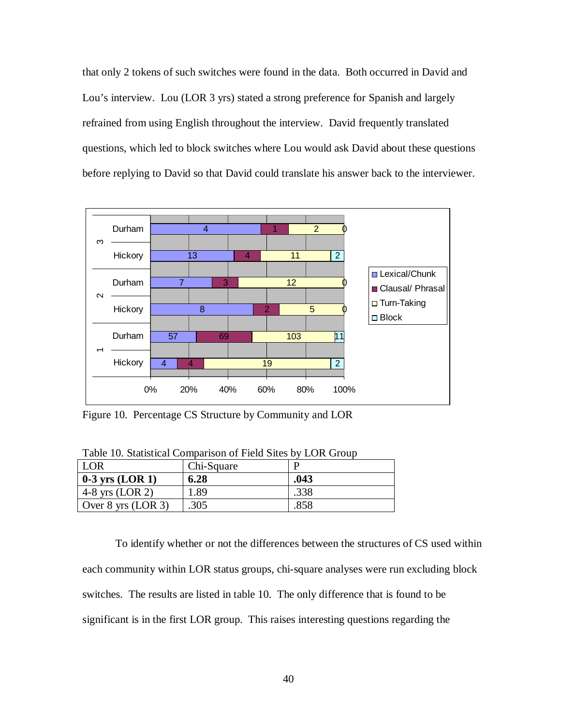that only 2 tokens of such switches were found in the data. Both occurred in David and Lou's interview. Lou (LOR 3 yrs) stated a strong preference for Spanish and largely refrained from using English throughout the interview. David frequently translated questions, which led to block switches where Lou would ask David about these questions before replying to David so that David could translate his answer back to the interviewer.



Figure 10. Percentage CS Structure by Community and LOR

| Table 10. Statistical Comparison of Field Sites by LOR Group |  |
|--------------------------------------------------------------|--|
|                                                              |  |

| <b>LOR</b>           | Chi-Square |      |
|----------------------|------------|------|
| $0-3$ yrs (LOR 1)    | 6.28       | .043 |
| 4-8 yrs $(LOR 2)$    | . 89       | .338 |
| Over $8$ yrs (LOR 3) | .305       | 858  |

To identify whether or not the differences between the structures of CS used within each community within LOR status groups, chi-square analyses were run excluding block switches. The results are listed in table 10. The only difference that is found to be significant is in the first LOR group. This raises interesting questions regarding the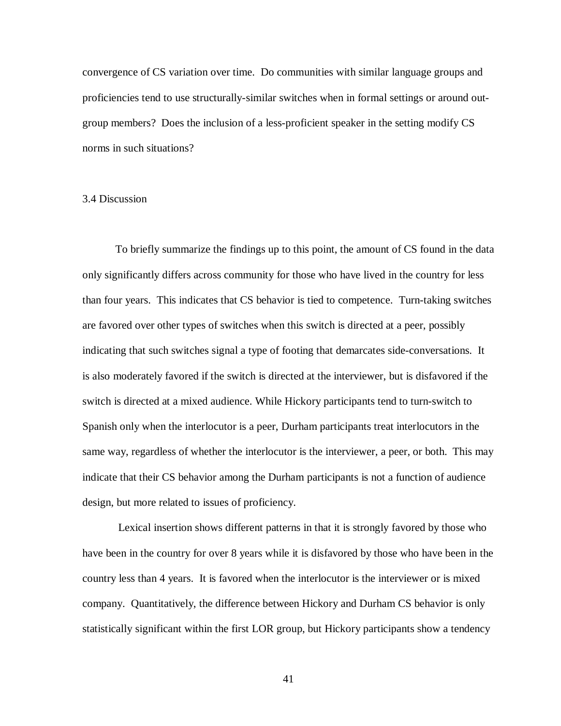convergence of CS variation over time. Do communities with similar language groups and proficiencies tend to use structurally-similar switches when in formal settings or around outgroup members? Does the inclusion of a less-proficient speaker in the setting modify CS norms in such situations?

# 3.4 Discussion

To briefly summarize the findings up to this point, the amount of CS found in the data only significantly differs across community for those who have lived in the country for less than four years. This indicates that CS behavior is tied to competence. Turn-taking switches are favored over other types of switches when this switch is directed at a peer, possibly indicating that such switches signal a type of footing that demarcates side-conversations. It is also moderately favored if the switch is directed at the interviewer, but is disfavored if the switch is directed at a mixed audience. While Hickory participants tend to turn-switch to Spanish only when the interlocutor is a peer, Durham participants treat interlocutors in the same way, regardless of whether the interlocutor is the interviewer, a peer, or both. This may indicate that their CS behavior among the Durham participants is not a function of audience design, but more related to issues of proficiency.

Lexical insertion shows different patterns in that it is strongly favored by those who have been in the country for over 8 years while it is disfavored by those who have been in the country less than 4 years. It is favored when the interlocutor is the interviewer or is mixed company. Quantitatively, the difference between Hickory and Durham CS behavior is only statistically significant within the first LOR group, but Hickory participants show a tendency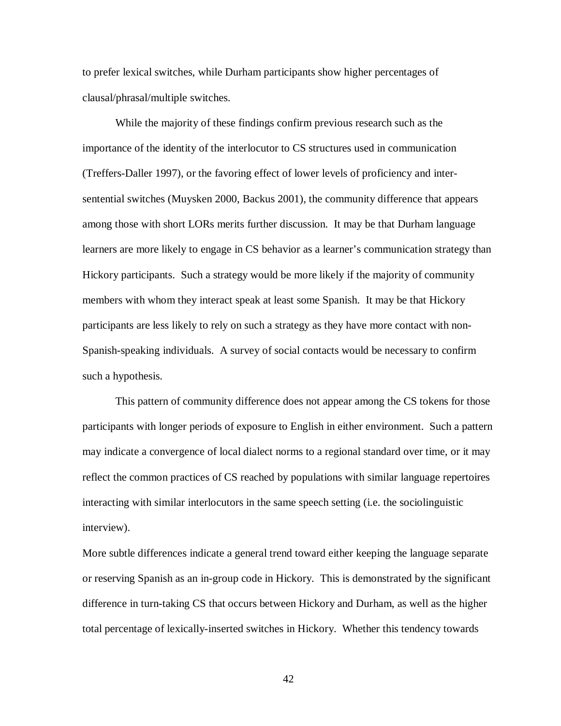to prefer lexical switches, while Durham participants show higher percentages of clausal/phrasal/multiple switches.

While the majority of these findings confirm previous research such as the importance of the identity of the interlocutor to CS structures used in communication (Treffers-Daller 1997), or the favoring effect of lower levels of proficiency and intersentential switches (Muysken 2000, Backus 2001), the community difference that appears among those with short LORs merits further discussion. It may be that Durham language learners are more likely to engage in CS behavior as a learner's communication strategy than Hickory participants. Such a strategy would be more likely if the majority of community members with whom they interact speak at least some Spanish. It may be that Hickory participants are less likely to rely on such a strategy as they have more contact with non-Spanish-speaking individuals. A survey of social contacts would be necessary to confirm such a hypothesis.

This pattern of community difference does not appear among the CS tokens for those participants with longer periods of exposure to English in either environment. Such a pattern may indicate a convergence of local dialect norms to a regional standard over time, or it may reflect the common practices of CS reached by populations with similar language repertoires interacting with similar interlocutors in the same speech setting (i.e. the sociolinguistic interview).

More subtle differences indicate a general trend toward either keeping the language separate or reserving Spanish as an in-group code in Hickory. This is demonstrated by the significant difference in turn-taking CS that occurs between Hickory and Durham, as well as the higher total percentage of lexically-inserted switches in Hickory. Whether this tendency towards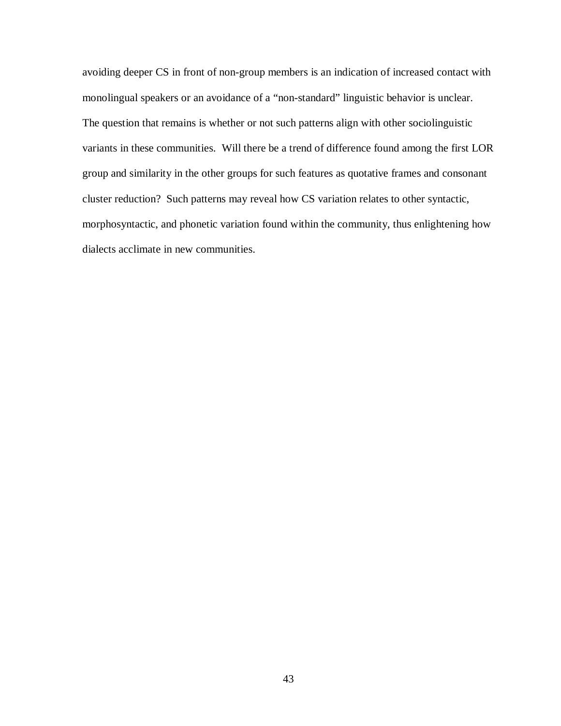avoiding deeper CS in front of non-group members is an indication of increased contact with monolingual speakers or an avoidance of a "non-standard" linguistic behavior is unclear. The question that remains is whether or not such patterns align with other sociolinguistic variants in these communities. Will there be a trend of difference found among the first LOR group and similarity in the other groups for such features as quotative frames and consonant cluster reduction? Such patterns may reveal how CS variation relates to other syntactic, morphosyntactic, and phonetic variation found within the community, thus enlightening how dialects acclimate in new communities.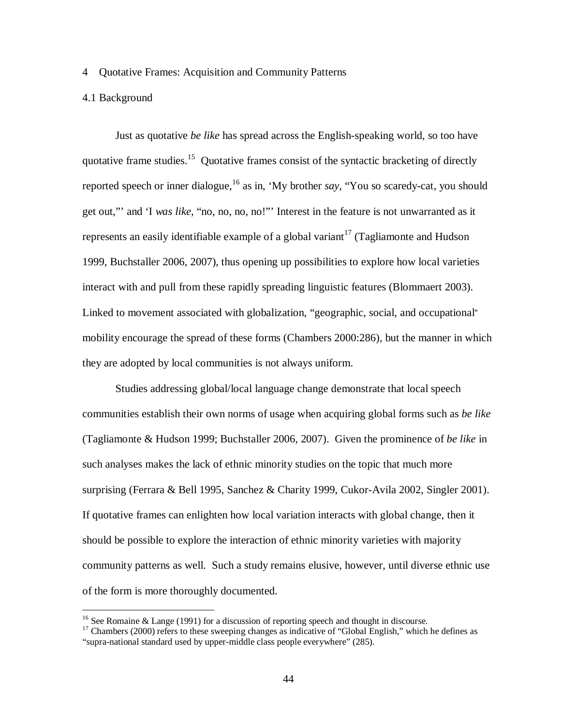### 4 Quotative Frames: Acquisition and Community Patterns

# 4.1 Background

 $\overline{a}$ 

Just as quotative *be like* has spread across the English-speaking world, so too have quotative frame studies.<sup>15</sup> Quotative frames consist of the syntactic bracketing of directly reported speech or inner dialogue,<sup>16</sup> as in, 'My brother *say*, "You so scaredy-cat, you should get out,"' and 'I *was like*, "no, no, no, no!"' Interest in the feature is not unwarranted as it represents an easily identifiable example of a global variant<sup>17</sup> (Tagliamonte and Hudson 1999, Buchstaller 2006, 2007), thus opening up possibilities to explore how local varieties interact with and pull from these rapidly spreading linguistic features (Blommaert 2003). Linked to movement associated with globalization, "geographic, social, and occupational" mobility encourage the spread of these forms (Chambers 2000:286), but the manner in which they are adopted by local communities is not always uniform.

Studies addressing global/local language change demonstrate that local speech communities establish their own norms of usage when acquiring global forms such as *be like*  (Tagliamonte & Hudson 1999; Buchstaller 2006, 2007). Given the prominence of *be like* in such analyses makes the lack of ethnic minority studies on the topic that much more surprising (Ferrara & Bell 1995, Sanchez & Charity 1999, Cukor-Avila 2002, Singler 2001). If quotative frames can enlighten how local variation interacts with global change, then it should be possible to explore the interaction of ethnic minority varieties with majority community patterns as well. Such a study remains elusive, however, until diverse ethnic use of the form is more thoroughly documented.

<sup>&</sup>lt;sup>16</sup> See Romaine & Lange (1991) for a discussion of reporting speech and thought in discourse.

<sup>&</sup>lt;sup>17</sup> Chambers (2000) refers to these sweeping changes as indicative of "Global English," which he defines as "supra-national standard used by upper-middle class people everywhere" (285).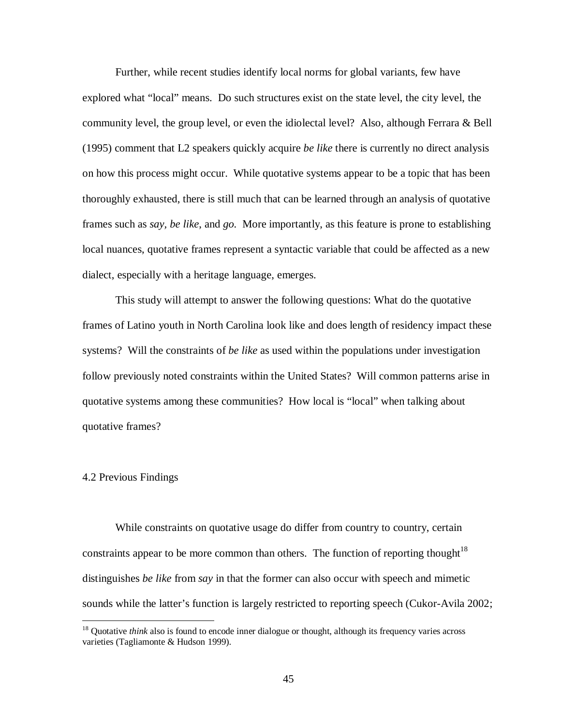Further, while recent studies identify local norms for global variants, few have explored what "local" means. Do such structures exist on the state level, the city level, the community level, the group level, or even the idiolectal level? Also, although Ferrara & Bell (1995) comment that L2 speakers quickly acquire *be like* there is currently no direct analysis on how this process might occur. While quotative systems appear to be a topic that has been thoroughly exhausted, there is still much that can be learned through an analysis of quotative frames such as *say, be like*, and *go.* More importantly, as this feature is prone to establishing local nuances, quotative frames represent a syntactic variable that could be affected as a new dialect, especially with a heritage language, emerges.

This study will attempt to answer the following questions: What do the quotative frames of Latino youth in North Carolina look like and does length of residency impact these systems? Will the constraints of *be like* as used within the populations under investigation follow previously noted constraints within the United States? Will common patterns arise in quotative systems among these communities? How local is "local" when talking about quotative frames?

# 4.2 Previous Findings

<u>.</u>

While constraints on quotative usage do differ from country to country, certain constraints appear to be more common than others. The function of reporting thought<sup>18</sup> distinguishes *be like* from *say* in that the former can also occur with speech and mimetic sounds while the latter's function is largely restricted to reporting speech (Cukor-Avila 2002;

<sup>&</sup>lt;sup>18</sup> Quotative *think* also is found to encode inner dialogue or thought, although its frequency varies across varieties (Tagliamonte & Hudson 1999).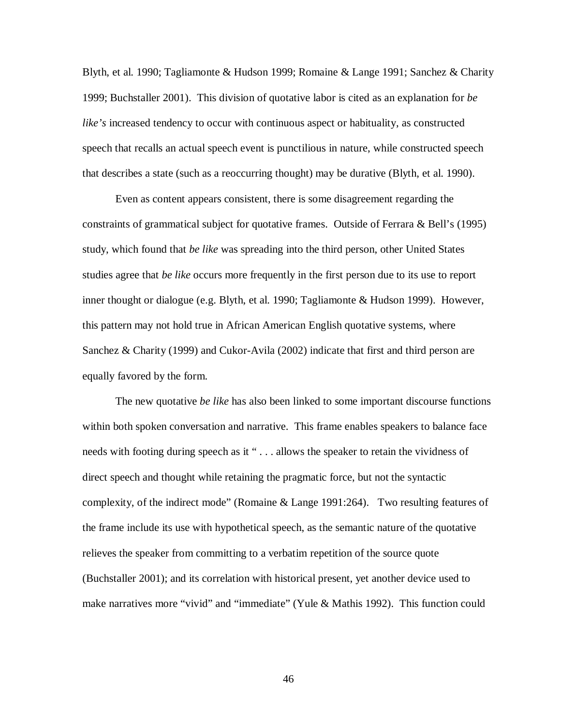Blyth, et al. 1990; Tagliamonte & Hudson 1999; Romaine & Lange 1991; Sanchez & Charity 1999; Buchstaller 2001). This division of quotative labor is cited as an explanation for *be like's* increased tendency to occur with continuous aspect or habituality, as constructed speech that recalls an actual speech event is punctilious in nature, while constructed speech that describes a state (such as a reoccurring thought) may be durative (Blyth, et al. 1990).

Even as content appears consistent, there is some disagreement regarding the constraints of grammatical subject for quotative frames. Outside of Ferrara & Bell's (1995) study, which found that *be like* was spreading into the third person, other United States studies agree that *be like* occurs more frequently in the first person due to its use to report inner thought or dialogue (e.g. Blyth, et al. 1990; Tagliamonte & Hudson 1999). However, this pattern may not hold true in African American English quotative systems, where Sanchez & Charity (1999) and Cukor-Avila (2002) indicate that first and third person are equally favored by the form.

The new quotative *be like* has also been linked to some important discourse functions within both spoken conversation and narrative. This frame enables speakers to balance face needs with footing during speech as it " . . . allows the speaker to retain the vividness of direct speech and thought while retaining the pragmatic force, but not the syntactic complexity, of the indirect mode" (Romaine & Lange 1991:264). Two resulting features of the frame include its use with hypothetical speech, as the semantic nature of the quotative relieves the speaker from committing to a verbatim repetition of the source quote (Buchstaller 2001); and its correlation with historical present, yet another device used to make narratives more "vivid" and "immediate" (Yule & Mathis 1992). This function could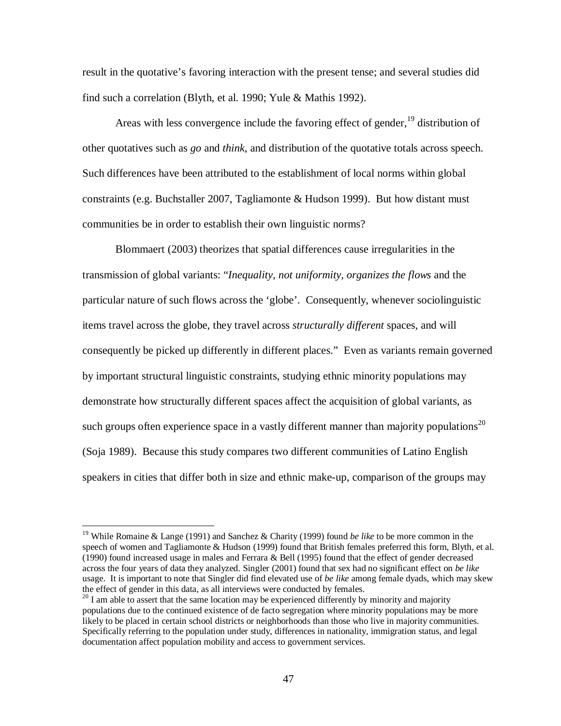result in the quotative's favoring interaction with the present tense; and several studies did find such a correlation (Blyth, et al. 1990; Yule & Mathis 1992).

Areas with less convergence include the favoring effect of gender,  $19$  distribution of other quotatives such as *go* and *think*, and distribution of the quotative totals across speech. Such differences have been attributed to the establishment of local norms within global constraints (e.g. Buchstaller 2007, Tagliamonte & Hudson 1999). But how distant must communities be in order to establish their own linguistic norms?

Blommaert (2003) theorizes that spatial differences cause irregularities in the transmission of global variants: "*Inequality, not uniformity, organizes the flows* and the particular nature of such flows across the 'globe'. Consequently, whenever sociolinguistic items travel across the globe, they travel across *structurally different* spaces, and will consequently be picked up differently in different places." Even as variants remain governed by important structural linguistic constraints, studying ethnic minority populations may demonstrate how structurally different spaces affect the acquisition of global variants, as such groups often experience space in a vastly different manner than majority populations<sup>20</sup> (Soja 1989). Because this study compares two different communities of Latino English speakers in cities that differ both in size and ethnic make-up, comparison of the groups may

<u>.</u>

<sup>19</sup> While Romaine & Lange (1991) and Sanchez & Charity (1999) found *be like* to be more common in the speech of women and Tagliamonte & Hudson (1999) found that British females preferred this form, Blyth, et al. (1990) found increased usage in males and Ferrara & Bell (1995) found that the effect of gender decreased across the four years of data they analyzed. Singler (2001) found that sex had no significant effect on *be like*  usage. It is important to note that Singler did find elevated use of *be like* among female dyads, which may skew the effect of gender in this data, as all interviews were conducted by females.

 $^{20}$  I am able to assert that the same location may be experienced differently by minority and majority populations due to the continued existence of de facto segregation where minority populations may be more likely to be placed in certain school districts or neighborhoods than those who live in majority communities. Specifically referring to the population under study, differences in nationality, immigration status, and legal documentation affect population mobility and access to government services.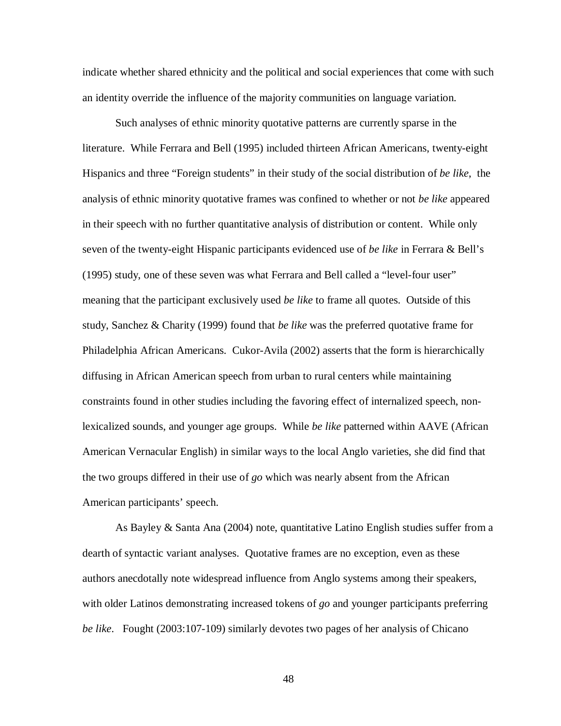indicate whether shared ethnicity and the political and social experiences that come with such an identity override the influence of the majority communities on language variation.

Such analyses of ethnic minority quotative patterns are currently sparse in the literature. While Ferrara and Bell (1995) included thirteen African Americans, twenty-eight Hispanics and three "Foreign students" in their study of the social distribution of *be like*, the analysis of ethnic minority quotative frames was confined to whether or not *be like* appeared in their speech with no further quantitative analysis of distribution or content. While only seven of the twenty-eight Hispanic participants evidenced use of *be like* in Ferrara & Bell's (1995) study, one of these seven was what Ferrara and Bell called a "level-four user" meaning that the participant exclusively used *be like* to frame all quotes. Outside of this study, Sanchez & Charity (1999) found that *be like* was the preferred quotative frame for Philadelphia African Americans. Cukor-Avila (2002) asserts that the form is hierarchically diffusing in African American speech from urban to rural centers while maintaining constraints found in other studies including the favoring effect of internalized speech, nonlexicalized sounds, and younger age groups. While *be like* patterned within AAVE (African American Vernacular English) in similar ways to the local Anglo varieties, she did find that the two groups differed in their use of *go* which was nearly absent from the African American participants' speech.

As Bayley & Santa Ana (2004) note, quantitative Latino English studies suffer from a dearth of syntactic variant analyses. Quotative frames are no exception, even as these authors anecdotally note widespread influence from Anglo systems among their speakers, with older Latinos demonstrating increased tokens of *go* and younger participants preferring *be like*. Fought (2003:107-109) similarly devotes two pages of her analysis of Chicano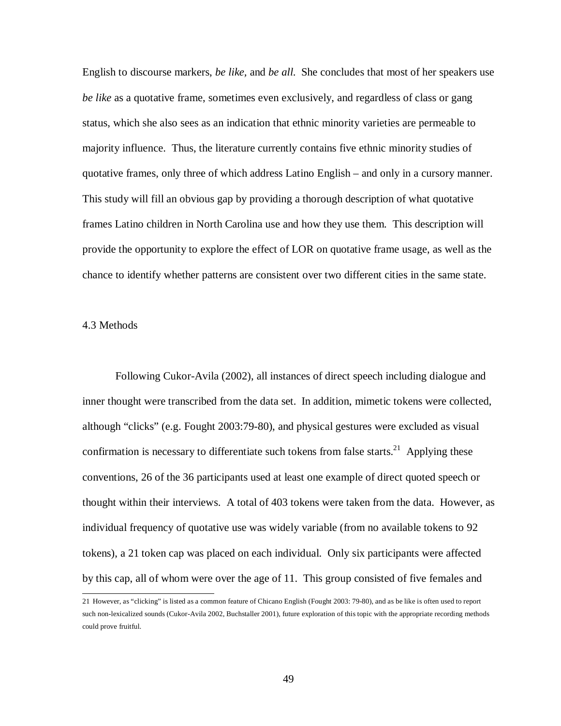English to discourse markers, *be like,* and *be all*. She concludes that most of her speakers use *be like* as a quotative frame, sometimes even exclusively, and regardless of class or gang status, which she also sees as an indication that ethnic minority varieties are permeable to majority influence. Thus, the literature currently contains five ethnic minority studies of quotative frames, only three of which address Latino English – and only in a cursory manner. This study will fill an obvious gap by providing a thorough description of what quotative frames Latino children in North Carolina use and how they use them. This description will provide the opportunity to explore the effect of LOR on quotative frame usage, as well as the chance to identify whether patterns are consistent over two different cities in the same state.

### 4.3 Methods

Following Cukor-Avila (2002), all instances of direct speech including dialogue and inner thought were transcribed from the data set. In addition, mimetic tokens were collected, although "clicks" (e.g. Fought 2003:79-80), and physical gestures were excluded as visual confirmation is necessary to differentiate such tokens from false starts.<sup>21</sup> Applying these conventions, 26 of the 36 participants used at least one example of direct quoted speech or thought within their interviews. A total of 403 tokens were taken from the data. However, as individual frequency of quotative use was widely variable (from no available tokens to 92 tokens), a 21 token cap was placed on each individual. Only six participants were affected by this cap, all of whom were over the age of 11. This group consisted of five females and

 21 However, as "clicking" is listed as a common feature of Chicano English (Fought 2003: 79-80), and as be like is often used to report such non-lexicalized sounds (Cukor-Avila 2002, Buchstaller 2001), future exploration of this topic with the appropriate recording methods could prove fruitful.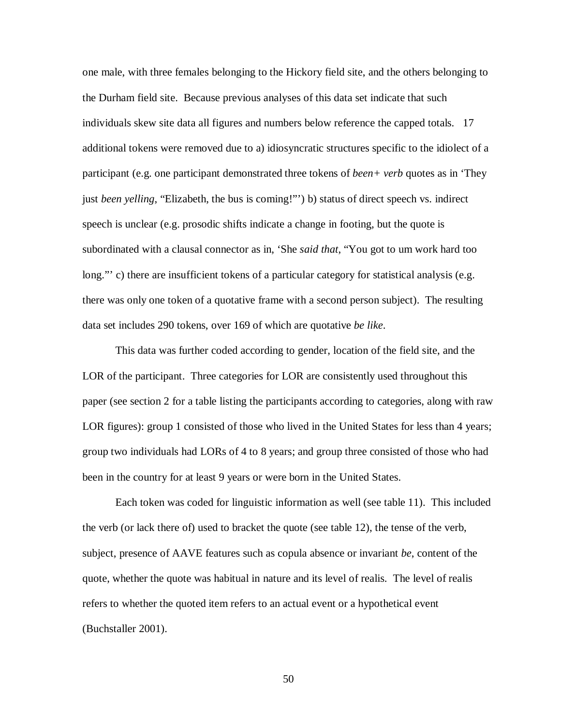one male, with three females belonging to the Hickory field site, and the others belonging to the Durham field site. Because previous analyses of this data set indicate that such individuals skew site data all figures and numbers below reference the capped totals. 17 additional tokens were removed due to a) idiosyncratic structures specific to the idiolect of a participant (e.g. one participant demonstrated three tokens of *been+ verb* quotes as in 'They just *been yelling*, "Elizabeth, the bus is coming!"') b) status of direct speech vs. indirect speech is unclear (e.g. prosodic shifts indicate a change in footing, but the quote is subordinated with a clausal connector as in, 'She *said that*, "You got to um work hard too long."' c) there are insufficient tokens of a particular category for statistical analysis (e.g. there was only one token of a quotative frame with a second person subject). The resulting data set includes 290 tokens, over 169 of which are quotative *be like*.

This data was further coded according to gender, location of the field site, and the LOR of the participant. Three categories for LOR are consistently used throughout this paper (see section 2 for a table listing the participants according to categories, along with raw LOR figures): group 1 consisted of those who lived in the United States for less than 4 years; group two individuals had LORs of 4 to 8 years; and group three consisted of those who had been in the country for at least 9 years or were born in the United States.

Each token was coded for linguistic information as well (see table 11). This included the verb (or lack there of) used to bracket the quote (see table 12), the tense of the verb, subject, presence of AAVE features such as copula absence or invariant *be*, content of the quote, whether the quote was habitual in nature and its level of realis. The level of realis refers to whether the quoted item refers to an actual event or a hypothetical event (Buchstaller 2001).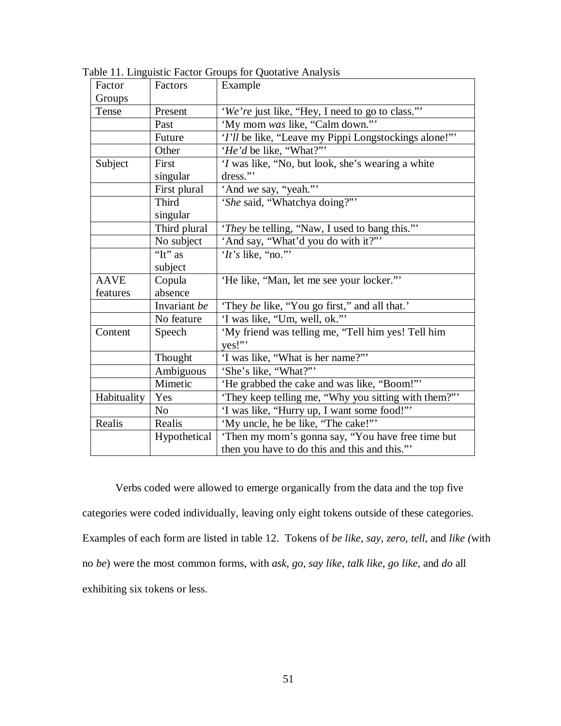| Factor      | Factors        | Example                                                                                           |  |
|-------------|----------------|---------------------------------------------------------------------------------------------------|--|
| Groups      |                |                                                                                                   |  |
| Tense       | Present        | 'We're just like, "Hey, I need to go to class.""                                                  |  |
|             | Past           | 'My mom was like, "Calm down."'                                                                   |  |
|             | Future         | 'I'll be like, "Leave my Pippi Longstockings alone!"                                              |  |
|             | Other          | 'He'd be like, "What?""                                                                           |  |
| Subject     | First          | 'I was like, "No, but look, she's wearing a white                                                 |  |
|             | singular       | dress."                                                                                           |  |
|             | First plural   | 'And we say, "yeah."'                                                                             |  |
|             | <b>Third</b>   | 'She said, "Whatchya doing?""                                                                     |  |
|             | singular       |                                                                                                   |  |
|             | Third plural   | 'They be telling, "Naw, I used to bang this."'                                                    |  |
|             | No subject     | 'And say, "What'd you do with it?"'                                                               |  |
|             | "It" as        | 'It's like, "no."                                                                                 |  |
|             | subject        |                                                                                                   |  |
| <b>AAVE</b> | Copula         | 'He like, "Man, let me see your locker."                                                          |  |
| features    | absence        |                                                                                                   |  |
|             | Invariant be   | 'They be like, "You go first," and all that."                                                     |  |
|             | No feature     | 'I was like, "Um, well, ok."                                                                      |  |
| Content     | Speech         | 'My friend was telling me, "Tell him yes! Tell him<br>yes!"                                       |  |
|             | Thought        | 'I was like, "What is her name?"'                                                                 |  |
|             | Ambiguous      | 'She's like, "What?"'                                                                             |  |
|             | Mimetic        | 'He grabbed the cake and was like, "Boom!""                                                       |  |
| Habituality | Yes            | 'They keep telling me, "Why you sitting with them?"'                                              |  |
|             | N <sub>o</sub> | 'I was like, "Hurry up, I want some food!""                                                       |  |
| Realis      | Realis         | 'My uncle, he be like, "The cake!"'                                                               |  |
|             | Hypothetical   | 'Then my mom's gonna say, "You have free time but<br>then you have to do this and this and this." |  |

Table 11. Linguistic Factor Groups for Quotative Analysis

Verbs coded were allowed to emerge organically from the data and the top five categories were coded individually, leaving only eight tokens outside of these categories. Examples of each form are listed in table 12. Tokens of *be like*, *say, zero, tell,* and *like (*with no *be*) were the most common forms, with *ask, go, say like, talk like, go like,* and *do* all exhibiting six tokens or less.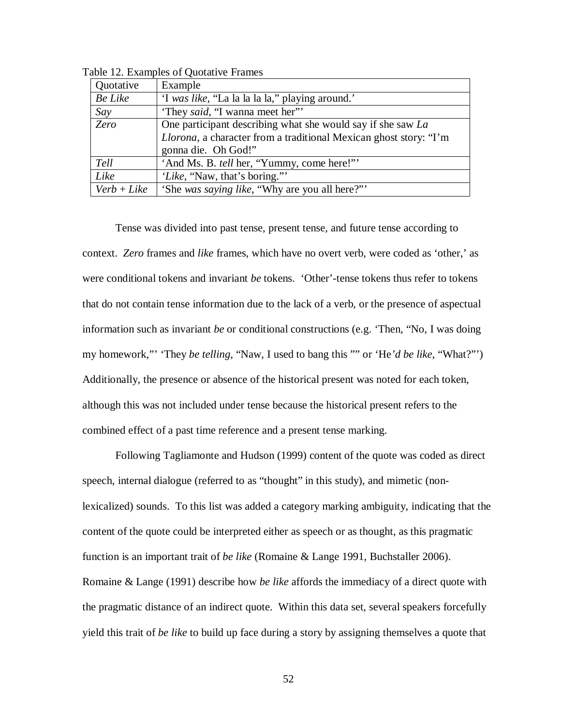| Quotative      | Example                                                                   |
|----------------|---------------------------------------------------------------------------|
| <b>Be Like</b> | 'I was like, "La la la la la," playing around."                           |
| Say            | 'They said, "I wanna meet her"                                            |
| Zero           | One participant describing what she would say if she saw La               |
|                | <i>Llorona</i> , a character from a traditional Mexican ghost story: "I'm |
|                | gonna die. Oh God!"                                                       |
| Tell           | 'And Ms. B. tell her, "Yummy, come here!"'                                |
| Like           | 'Like, "Naw, that's boring."                                              |
| $Verb + Like$  | 'She was saying like, "Why are you all here?"                             |

Table 12. Examples of Quotative Frames

Tense was divided into past tense, present tense, and future tense according to context. *Zero* frames and *like* frames, which have no overt verb, were coded as 'other,' as were conditional tokens and invariant *be* tokens. 'Other'-tense tokens thus refer to tokens that do not contain tense information due to the lack of a verb, or the presence of aspectual information such as invariant *be* or conditional constructions (e.g. 'Then, "No, I was doing my homework,"' 'They *be telling*, "Naw, I used to bang this "" or 'He*'d be like*, "What?"') Additionally, the presence or absence of the historical present was noted for each token, although this was not included under tense because the historical present refers to the combined effect of a past time reference and a present tense marking.

Following Tagliamonte and Hudson (1999) content of the quote was coded as direct speech, internal dialogue (referred to as "thought" in this study), and mimetic (nonlexicalized) sounds. To this list was added a category marking ambiguity, indicating that the content of the quote could be interpreted either as speech or as thought, as this pragmatic function is an important trait of *be like* (Romaine & Lange 1991, Buchstaller 2006). Romaine & Lange (1991) describe how *be like* affords the immediacy of a direct quote with the pragmatic distance of an indirect quote. Within this data set, several speakers forcefully yield this trait of *be like* to build up face during a story by assigning themselves a quote that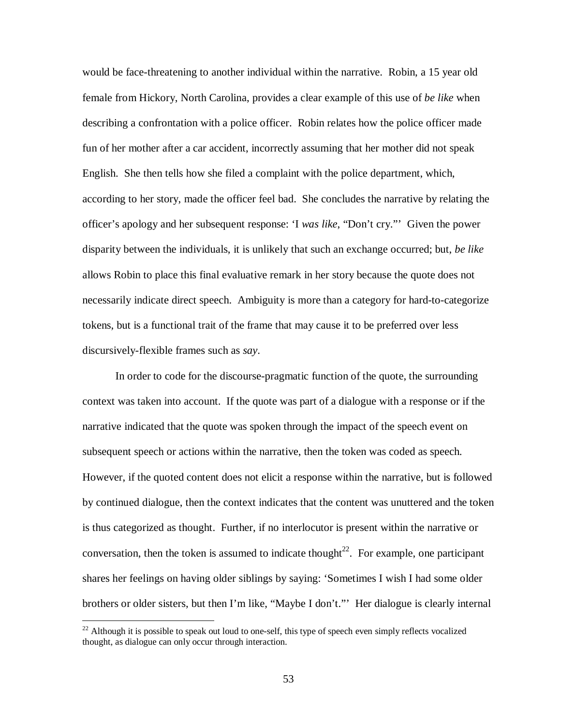would be face-threatening to another individual within the narrative. Robin, a 15 year old female from Hickory, North Carolina, provides a clear example of this use of *be like* when describing a confrontation with a police officer. Robin relates how the police officer made fun of her mother after a car accident, incorrectly assuming that her mother did not speak English. She then tells how she filed a complaint with the police department, which, according to her story, made the officer feel bad. She concludes the narrative by relating the officer's apology and her subsequent response: 'I *was like*, "Don't cry."' Given the power disparity between the individuals, it is unlikely that such an exchange occurred; but, *be like* allows Robin to place this final evaluative remark in her story because the quote does not necessarily indicate direct speech. Ambiguity is more than a category for hard-to-categorize tokens, but is a functional trait of the frame that may cause it to be preferred over less discursively-flexible frames such as *say*.

In order to code for the discourse-pragmatic function of the quote, the surrounding context was taken into account. If the quote was part of a dialogue with a response or if the narrative indicated that the quote was spoken through the impact of the speech event on subsequent speech or actions within the narrative, then the token was coded as speech. However, if the quoted content does not elicit a response within the narrative, but is followed by continued dialogue, then the context indicates that the content was unuttered and the token is thus categorized as thought. Further, if no interlocutor is present within the narrative or conversation, then the token is assumed to indicate thought<sup>22</sup>. For example, one participant shares her feelings on having older siblings by saying: 'Sometimes I wish I had some older brothers or older sisters, but then I'm like, "Maybe I don't."' Her dialogue is clearly internal

 $\overline{a}$ 

 $22$  Although it is possible to speak out loud to one-self, this type of speech even simply reflects vocalized thought, as dialogue can only occur through interaction.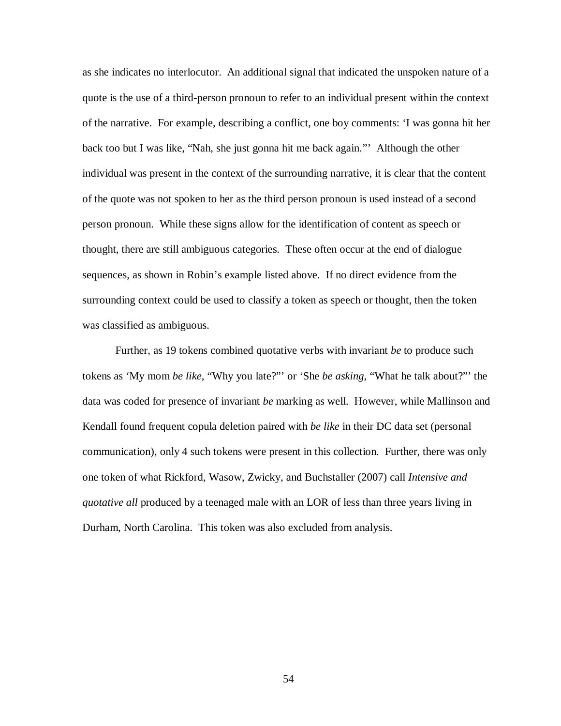as she indicates no interlocutor. An additional signal that indicated the unspoken nature of a quote is the use of a third-person pronoun to refer to an individual present within the context of the narrative. For example, describing a conflict, one boy comments: 'I was gonna hit her back too but I was like, "Nah, she just gonna hit me back again."' Although the other individual was present in the context of the surrounding narrative, it is clear that the content of the quote was not spoken to her as the third person pronoun is used instead of a second person pronoun. While these signs allow for the identification of content as speech or thought, there are still ambiguous categories. These often occur at the end of dialogue sequences, as shown in Robin's example listed above. If no direct evidence from the surrounding context could be used to classify a token as speech or thought, then the token was classified as ambiguous.

Further, as 19 tokens combined quotative verbs with invariant *be* to produce such tokens as 'My mom *be like*, "Why you late?"' or 'She *be asking*, "What he talk about?"' the data was coded for presence of invariant *be* marking as well. However, while Mallinson and Kendall found frequent copula deletion paired with *be like* in their DC data set (personal communication), only 4 such tokens were present in this collection. Further, there was only one token of what Rickford, Wasow, Zwicky, and Buchstaller (2007) call *Intensive and quotative all* produced by a teenaged male with an LOR of less than three years living in Durham, North Carolina. This token was also excluded from analysis.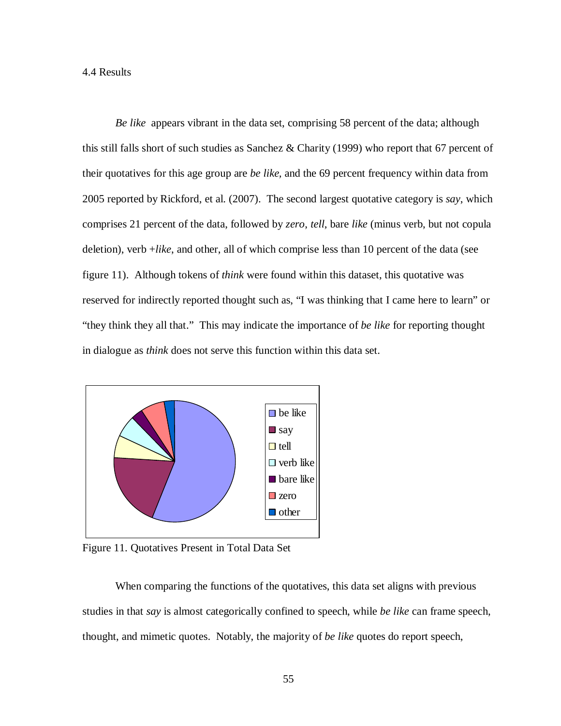*Be like* appears vibrant in the data set, comprising 58 percent of the data; although this still falls short of such studies as Sanchez & Charity (1999) who report that 67 percent of their quotatives for this age group are *be like,* and the 69 percent frequency within data from 2005 reported by Rickford, et al. (2007). The second largest quotative category is *say*, which comprises 21 percent of the data, followed by *zero*, *tell*, bare *like* (minus verb, but not copula deletion), verb +*like*, and other, all of which comprise less than 10 percent of the data (see figure 11). Although tokens of *think* were found within this dataset, this quotative was reserved for indirectly reported thought such as, "I was thinking that I came here to learn" or "they think they all that." This may indicate the importance of *be like* for reporting thought in dialogue as *think* does not serve this function within this data set.



Figure 11. Quotatives Present in Total Data Set

When comparing the functions of the quotatives, this data set aligns with previous studies in that *say* is almost categorically confined to speech, while *be like* can frame speech, thought, and mimetic quotes. Notably, the majority of *be like* quotes do report speech,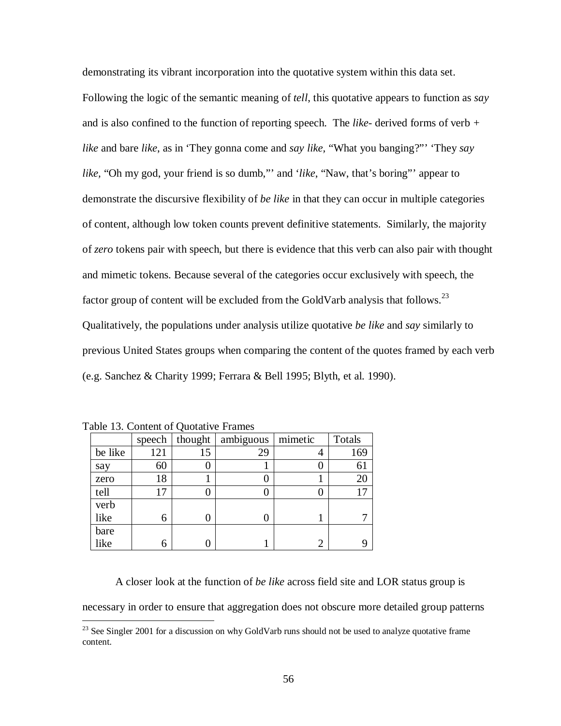demonstrating its vibrant incorporation into the quotative system within this data set. Following the logic of the semantic meaning of *tell*, this quotative appears to function as *say* and is also confined to the function of reporting speech. The *like*- derived forms of verb *+ like* and bare *like*, as in 'They gonna come and *say like,* "What you banging?"' 'They *say like,* "Oh my god, your friend is so dumb,"' and '*like*, "Naw, that's boring"' appear to demonstrate the discursive flexibility of *be like* in that they can occur in multiple categories of content, although low token counts prevent definitive statements. Similarly, the majority of *zero* tokens pair with speech, but there is evidence that this verb can also pair with thought and mimetic tokens. Because several of the categories occur exclusively with speech, the factor group of content will be excluded from the GoldVarb analysis that follows.<sup>23</sup> Qualitatively, the populations under analysis utilize quotative *be like* and *say* similarly to previous United States groups when comparing the content of the quotes framed by each verb (e.g. Sanchez & Charity 1999; Ferrara & Bell 1995; Blyth, et al. 1990).

|         | speech | thought | ambiguous | mimetic | Totals |
|---------|--------|---------|-----------|---------|--------|
| be like | 121    | 15      | 29        |         | 169    |
| say     | 60     |         |           |         | 61     |
| zero    | 18     |         |           |         | 20     |
| tell    |        |         |           |         |        |
| verb    |        |         |           |         |        |
| like    | 6      |         |           |         |        |
| bare    |        |         |           |         |        |
| like    | 6      |         |           |         | 9      |

Table 13. Content of Quotative Frames

 $\overline{a}$ 

A closer look at the function of *be like* across field site and LOR status group is necessary in order to ensure that aggregation does not obscure more detailed group patterns

 $^{23}$  See Singler 2001 for a discussion on why GoldVarb runs should not be used to analyze quotative frame content.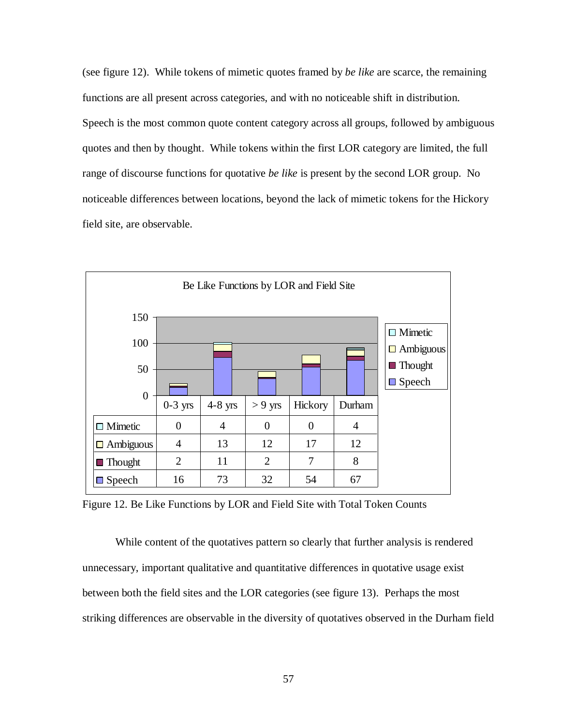(see figure 12). While tokens of mimetic quotes framed by *be like* are scarce, the remaining functions are all present across categories, and with no noticeable shift in distribution. Speech is the most common quote content category across all groups, followed by ambiguous quotes and then by thought. While tokens within the first LOR category are limited, the full range of discourse functions for quotative *be like* is present by the second LOR group. No noticeable differences between locations, beyond the lack of mimetic tokens for the Hickory field site, are observable.



Figure 12. Be Like Functions by LOR and Field Site with Total Token Counts

While content of the quotatives pattern so clearly that further analysis is rendered unnecessary, important qualitative and quantitative differences in quotative usage exist between both the field sites and the LOR categories (see figure 13). Perhaps the most striking differences are observable in the diversity of quotatives observed in the Durham field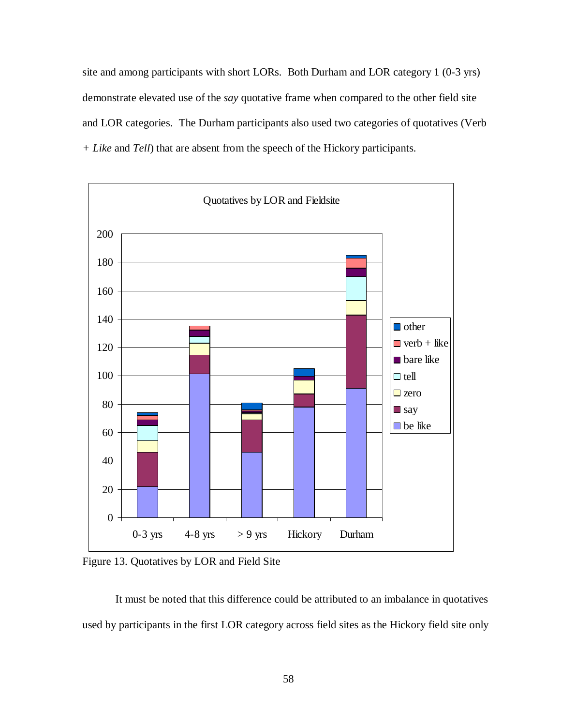site and among participants with short LORs. Both Durham and LOR category 1 (0-3 yrs) demonstrate elevated use of the *say* quotative frame when compared to the other field site and LOR categories. The Durham participants also used two categories of quotatives (Verb *+ Like* and *Tell*) that are absent from the speech of the Hickory participants.



Figure 13. Quotatives by LOR and Field Site

It must be noted that this difference could be attributed to an imbalance in quotatives used by participants in the first LOR category across field sites as the Hickory field site only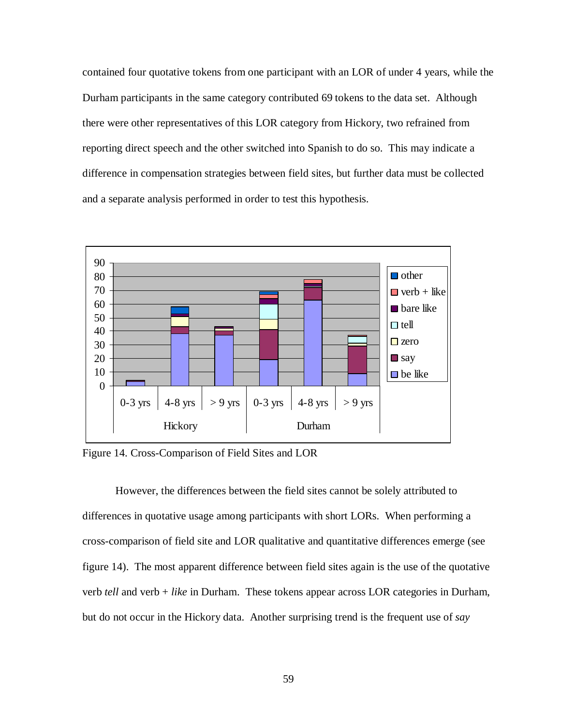contained four quotative tokens from one participant with an LOR of under 4 years, while the Durham participants in the same category contributed 69 tokens to the data set. Although there were other representatives of this LOR category from Hickory, two refrained from reporting direct speech and the other switched into Spanish to do so. This may indicate a difference in compensation strategies between field sites, but further data must be collected and a separate analysis performed in order to test this hypothesis.



Figure 14. Cross-Comparison of Field Sites and LOR

However, the differences between the field sites cannot be solely attributed to differences in quotative usage among participants with short LORs. When performing a cross-comparison of field site and LOR qualitative and quantitative differences emerge (see figure 14). The most apparent difference between field sites again is the use of the quotative verb *tell* and verb + *like* in Durham. These tokens appear across LOR categories in Durham, but do not occur in the Hickory data. Another surprising trend is the frequent use of *say*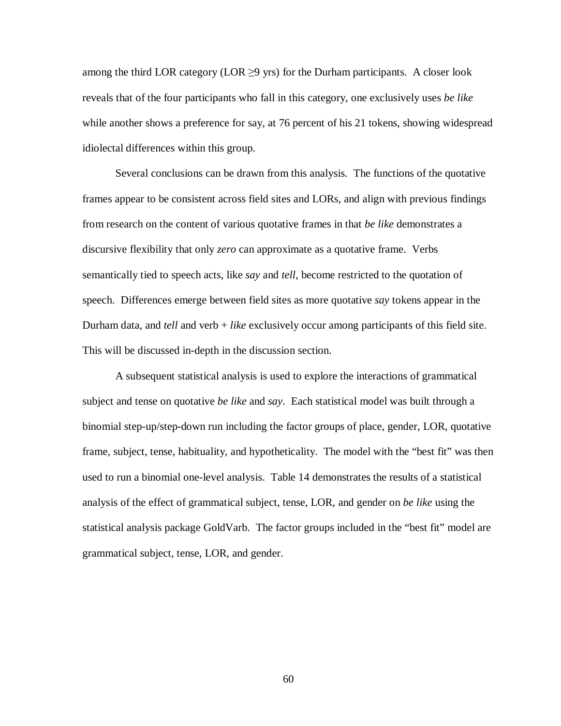among the third LOR category (LOR  $\geq$ 9 yrs) for the Durham participants. A closer look reveals that of the four participants who fall in this category, one exclusively uses *be like* while another shows a preference for say, at 76 percent of his 21 tokens, showing widespread idiolectal differences within this group.

Several conclusions can be drawn from this analysis. The functions of the quotative frames appear to be consistent across field sites and LORs, and align with previous findings from research on the content of various quotative frames in that *be like* demonstrates a discursive flexibility that only *zero* can approximate as a quotative frame. Verbs semantically tied to speech acts, like *say* and *tell*, become restricted to the quotation of speech. Differences emerge between field sites as more quotative *say* tokens appear in the Durham data, and *tell* and verb + *like* exclusively occur among participants of this field site. This will be discussed in-depth in the discussion section.

A subsequent statistical analysis is used to explore the interactions of grammatical subject and tense on quotative *be like* and *say*. Each statistical model was built through a binomial step-up/step-down run including the factor groups of place, gender, LOR, quotative frame, subject, tense, habituality, and hypotheticality. The model with the "best fit" was then used to run a binomial one-level analysis. Table 14 demonstrates the results of a statistical analysis of the effect of grammatical subject, tense, LOR, and gender on *be like* using the statistical analysis package GoldVarb. The factor groups included in the "best fit" model are grammatical subject, tense, LOR, and gender.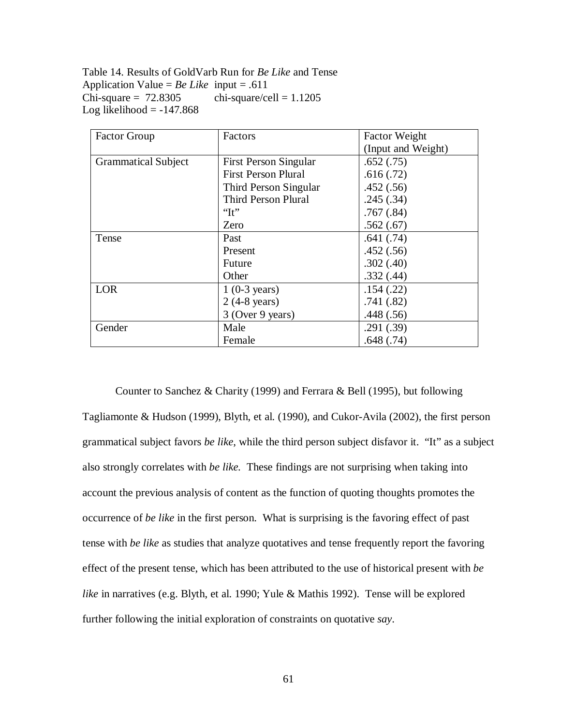Table 14. Results of GoldVarb Run for *Be Like* and Tense Application Value =  $Be$  *Like* input = .611  $Chi-square = 72.8305$  chi-square/cell = 1.1205 Log likelihood  $= -147.868$ 

| <b>Factor Group</b>        | Factors                      | <b>Factor Weight</b> |
|----------------------------|------------------------------|----------------------|
|                            |                              | (Input and Weight)   |
| <b>Grammatical Subject</b> | <b>First Person Singular</b> | .652(.75)            |
|                            | <b>First Person Plural</b>   | .616(.72)            |
|                            | Third Person Singular        | .452(.56)            |
|                            | <b>Third Person Plural</b>   | .245(.34)            |
|                            | $\lq\lq$ T <sub>t</sub>      | .767(.84)            |
|                            | Zero                         | .562(.67)            |
| Tense                      | Past                         | .641(.74)            |
|                            | Present                      | .452(.56)            |
|                            | Future                       | .302(.40)            |
|                            | Other                        | .332(.44)            |
| LOR                        | $1(0-3 \text{ years})$       | .154(.22)            |
|                            | $2(4-8 \text{ years})$       | .741(.82)            |
|                            | 3 (Over 9 years)             | .448(.56)            |
| Gender                     | Male                         | .291(.39)            |
|                            | Female                       | .648(.74)            |

Counter to Sanchez & Charity (1999) and Ferrara & Bell (1995), but following Tagliamonte & Hudson (1999), Blyth, et al. (1990), and Cukor-Avila (2002), the first person grammatical subject favors *be like*, while the third person subject disfavor it. "It" as a subject also strongly correlates with *be like.* These findings are not surprising when taking into account the previous analysis of content as the function of quoting thoughts promotes the occurrence of *be like* in the first person. What is surprising is the favoring effect of past tense with *be like* as studies that analyze quotatives and tense frequently report the favoring effect of the present tense, which has been attributed to the use of historical present with *be like* in narratives (e.g. Blyth, et al. 1990; Yule & Mathis 1992). Tense will be explored further following the initial exploration of constraints on quotative *say*.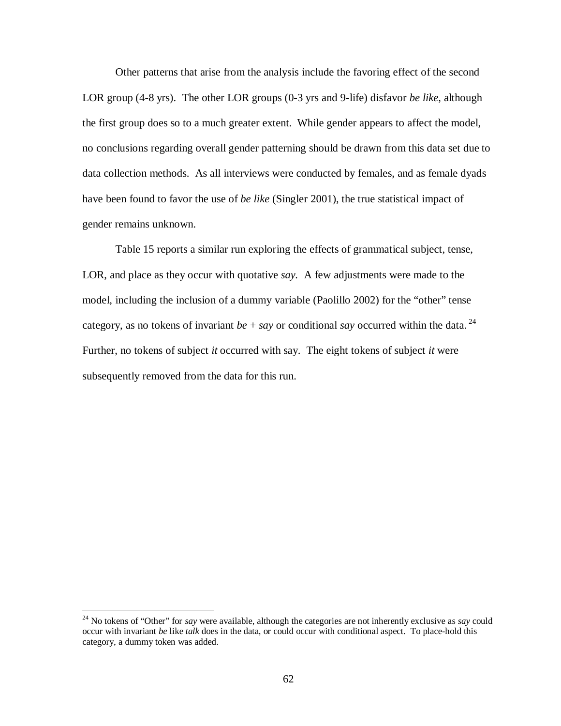Other patterns that arise from the analysis include the favoring effect of the second LOR group (4-8 yrs). The other LOR groups (0-3 yrs and 9-life) disfavor *be like*, although the first group does so to a much greater extent. While gender appears to affect the model, no conclusions regarding overall gender patterning should be drawn from this data set due to data collection methods. As all interviews were conducted by females, and as female dyads have been found to favor the use of *be like* (Singler 2001), the true statistical impact of gender remains unknown.

Table 15 reports a similar run exploring the effects of grammatical subject, tense, LOR, and place as they occur with quotative *say.* A few adjustments were made to the model, including the inclusion of a dummy variable (Paolillo 2002) for the "other" tense category, as no tokens of invariant  $be + say$  or conditional *say* occurred within the data.<sup>24</sup> Further, no tokens of subject *it* occurred with say. The eight tokens of subject *it* were subsequently removed from the data for this run.

<u>.</u>

<sup>24</sup> No tokens of "Other" for *say* were available, although the categories are not inherently exclusive as *say* could occur with invariant *be* like *talk* does in the data, or could occur with conditional aspect. To place-hold this category, a dummy token was added.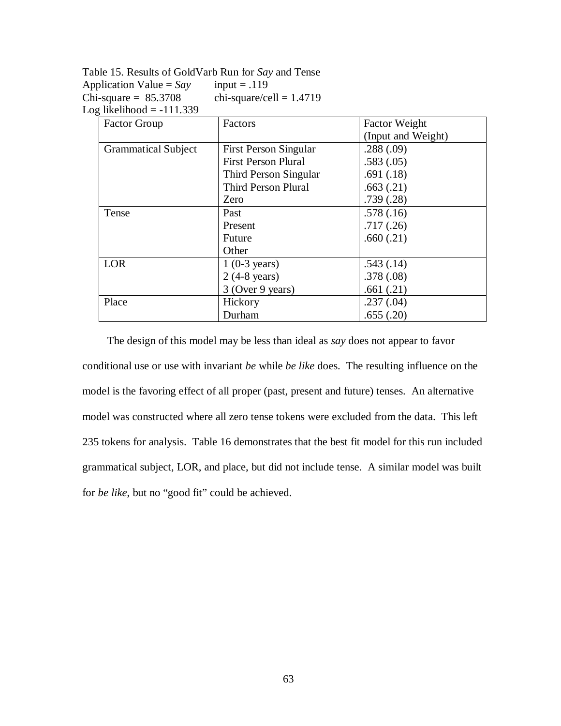Table 15. Results of GoldVarb Run for *Say* and Tense Application Value =  $Say$  input = .119 Chi-square =  $85.3708$  chi-square/cell = 1.4719 Log likelihood  $= -111.339$ 

| <b>Factor Group</b>        | Factors                      | <b>Factor Weight</b> |
|----------------------------|------------------------------|----------------------|
|                            |                              | (Input and Weight)   |
| <b>Grammatical Subject</b> | <b>First Person Singular</b> | .288(.09)            |
|                            | <b>First Person Plural</b>   | .583(.05)            |
|                            | Third Person Singular        | .691(.18)            |
|                            | Third Person Plural          | .663(.21)            |
|                            | Zero                         | .739(.28)            |
| Tense                      | Past                         | .578(.16)            |
|                            | Present                      | .717(.26)            |
|                            | Future                       | .660(.21)            |
|                            | Other                        |                      |
| <b>LOR</b>                 | $1(0-3 \text{ years})$       | .543(.14)            |
|                            | $2(4-8 \text{ years})$       | .378(.08)            |
|                            | 3 (Over 9 years)             | .661(.21)            |
| Place                      | Hickory                      | .237(.04)            |
|                            | Durham                       | .655(.20)            |

The design of this model may be less than ideal as *say* does not appear to favor conditional use or use with invariant *be* while *be like* does. The resulting influence on the model is the favoring effect of all proper (past, present and future) tenses. An alternative model was constructed where all zero tense tokens were excluded from the data. This left 235 tokens for analysis. Table 16 demonstrates that the best fit model for this run included grammatical subject, LOR, and place, but did not include tense. A similar model was built for *be like*, but no "good fit" could be achieved.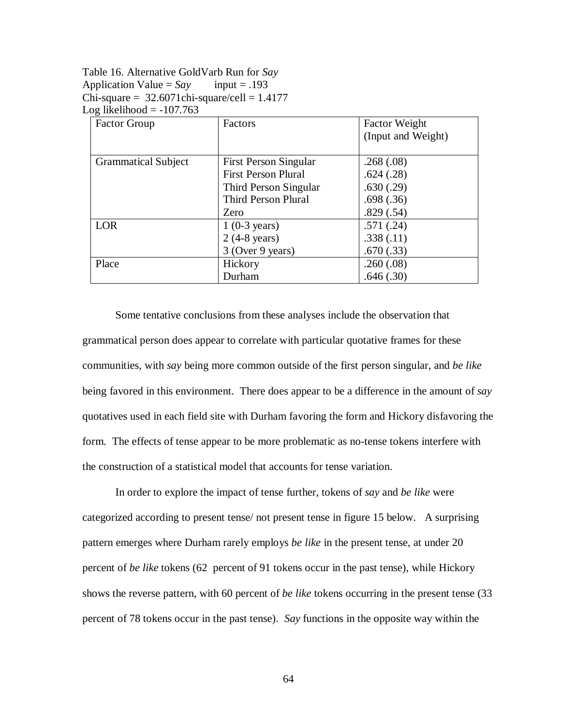Table 16. Alternative GoldVarb Run for *Say*  Application Value =  $Say$  input = .193  $Chi-square = 32.6071chi-square/cell = 1.4177$ Log likelihood  $= -107.763$ 

| <b>Factor Group</b>        | Factors                      | <b>Factor Weight</b> |
|----------------------------|------------------------------|----------------------|
|                            |                              | (Input and Weight)   |
|                            |                              |                      |
| <b>Grammatical Subject</b> | <b>First Person Singular</b> | .268(.08)            |
|                            | <b>First Person Plural</b>   | .624(.28)            |
|                            | Third Person Singular        | .630(.29)            |
|                            | Third Person Plural          | .698(.36)            |
|                            | Zero                         | .829(.54)            |
| LOR                        | $1(0-3 \text{ years})$       | .571(.24)            |
|                            | $2(4-8 \text{ years})$       | .338(.11)            |
|                            | 3 (Over 9 years)             | .670(.33)            |
| Place                      | Hickory                      | .260(.08)            |
|                            | Durham                       | .646(.30)            |

Some tentative conclusions from these analyses include the observation that grammatical person does appear to correlate with particular quotative frames for these communities, with *say* being more common outside of the first person singular, and *be like* being favored in this environment. There does appear to be a difference in the amount of *say*  quotatives used in each field site with Durham favoring the form and Hickory disfavoring the form. The effects of tense appear to be more problematic as no-tense tokens interfere with the construction of a statistical model that accounts for tense variation.

In order to explore the impact of tense further, tokens of *say* and *be like* were categorized according to present tense/ not present tense in figure 15 below. A surprising pattern emerges where Durham rarely employs *be like* in the present tense, at under 20 percent of *be like* tokens (62 percent of 91 tokens occur in the past tense), while Hickory shows the reverse pattern, with 60 percent of *be like* tokens occurring in the present tense (33 percent of 78 tokens occur in the past tense). *Say* functions in the opposite way within the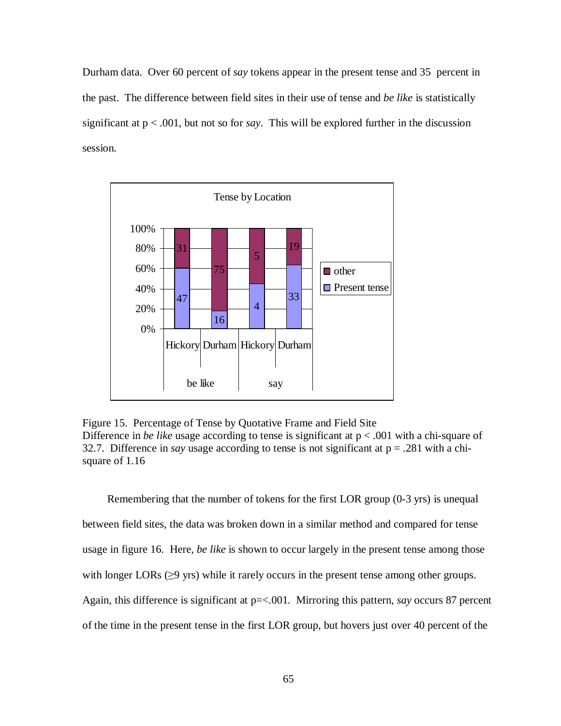Durham data. Over 60 percent of *say* tokens appear in the present tense and 35 percent in the past. The difference between field sites in their use of tense and *be like* is statistically significant at  $p < .001$ , but not so for *say*. This will be explored further in the discussion session.



Figure 15. Percentage of Tense by Quotative Frame and Field Site Difference in *be like* usage according to tense is significant at  $p < .001$  with a chi-square of 32.7. Difference in *say* usage according to tense is not significant at  $p = .281$  with a chisquare of 1.16

Remembering that the number of tokens for the first LOR group (0-3 yrs) is unequal between field sites, the data was broken down in a similar method and compared for tense usage in figure 16. Here, *be like* is shown to occur largely in the present tense among those with longer LORs  $(\geq)$  yrs) while it rarely occurs in the present tense among other groups. Again, this difference is significant at p=<.001. Mirroring this pattern, *say* occurs 87 percent of the time in the present tense in the first LOR group, but hovers just over 40 percent of the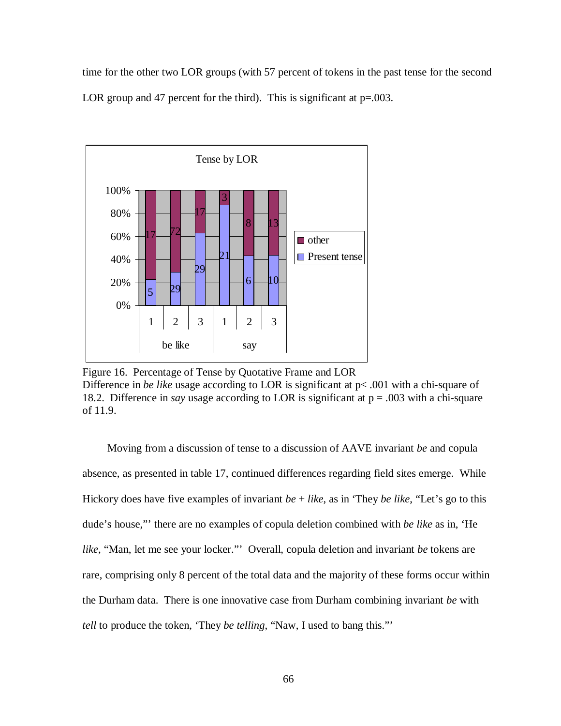time for the other two LOR groups (with 57 percent of tokens in the past tense for the second LOR group and 47 percent for the third). This is significant at  $p=0.003$ .



Figure 16. Percentage of Tense by Quotative Frame and LOR Difference in *be like* usage according to LOR is significant at p< .001 with a chi-square of 18.2. Difference in *say* usage according to LOR is significant at p = .003 with a chi-square of 11.9.

Moving from a discussion of tense to a discussion of AAVE invariant *be* and copula absence, as presented in table 17, continued differences regarding field sites emerge. While Hickory does have five examples of invariant *be* + *like*, as in 'They *be like*, "Let's go to this dude's house,"' there are no examples of copula deletion combined with *be like* as in, 'He *like*, "Man, let me see your locker."' Overall, copula deletion and invariant *be* tokens are rare, comprising only 8 percent of the total data and the majority of these forms occur within the Durham data. There is one innovative case from Durham combining invariant *be* with *tell* to produce the token, 'They *be telling*, "Naw, I used to bang this."'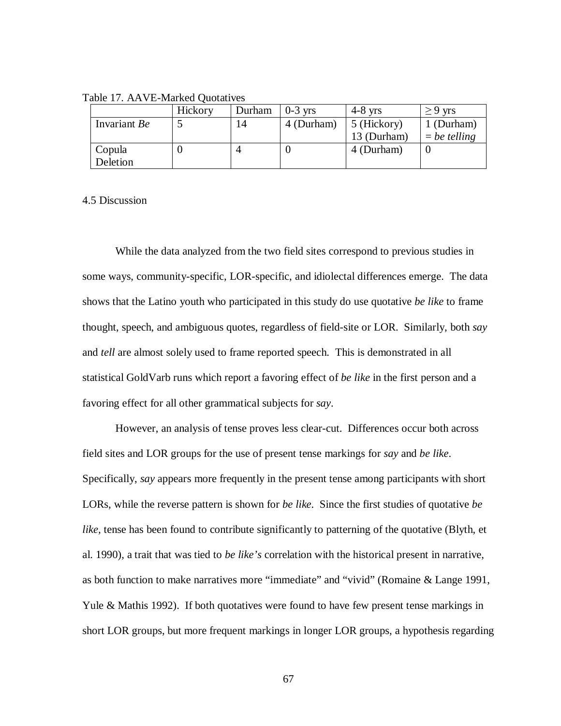Table 17. AAVE-Marked Quotatives

|              | Hickory | Durham | $0-3$ yrs  | $4-8$ yrs   | $> 9$ yrs      |
|--------------|---------|--------|------------|-------------|----------------|
| Invariant Be |         | 14     | 4 (Durham) | 5 (Hickory) | 1 (Durham)     |
|              |         |        |            | 13 (Durham) | $=$ be telling |
| Copula       |         |        |            | 4 (Durham)  |                |
| Deletion     |         |        |            |             |                |

#### 4.5 Discussion

While the data analyzed from the two field sites correspond to previous studies in some ways, community-specific, LOR-specific, and idiolectal differences emerge. The data shows that the Latino youth who participated in this study do use quotative *be like* to frame thought, speech, and ambiguous quotes, regardless of field-site or LOR. Similarly, both *say*  and *tell* are almost solely used to frame reported speech. This is demonstrated in all statistical GoldVarb runs which report a favoring effect of *be like* in the first person and a favoring effect for all other grammatical subjects for *say*.

However, an analysis of tense proves less clear-cut. Differences occur both across field sites and LOR groups for the use of present tense markings for *say* and *be like*. Specifically, *say* appears more frequently in the present tense among participants with short LORs, while the reverse pattern is shown for *be like*. Since the first studies of quotative *be like,* tense has been found to contribute significantly to patterning of the quotative (Blyth, et al. 1990), a trait that was tied to *be like's* correlation with the historical present in narrative, as both function to make narratives more "immediate" and "vivid" (Romaine & Lange 1991, Yule & Mathis 1992). If both quotatives were found to have few present tense markings in short LOR groups, but more frequent markings in longer LOR groups, a hypothesis regarding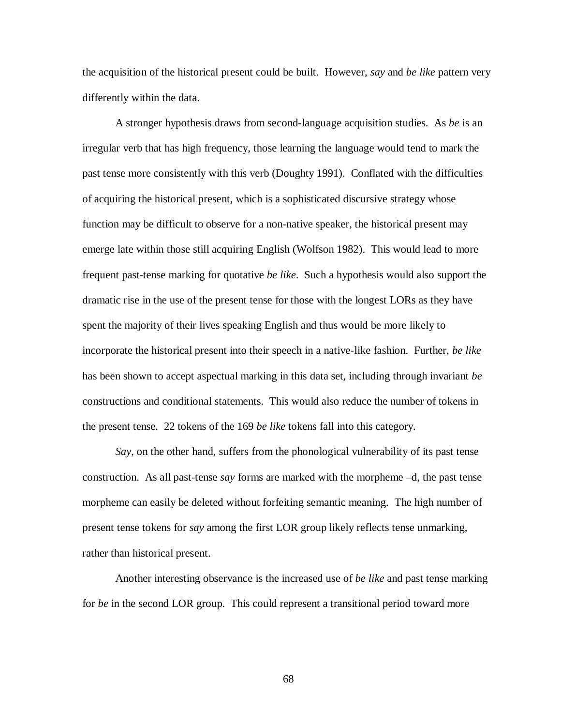the acquisition of the historical present could be built. However, *say* and *be like* pattern very differently within the data.

A stronger hypothesis draws from second-language acquisition studies. As *be* is an irregular verb that has high frequency, those learning the language would tend to mark the past tense more consistently with this verb (Doughty 1991). Conflated with the difficulties of acquiring the historical present, which is a sophisticated discursive strategy whose function may be difficult to observe for a non-native speaker, the historical present may emerge late within those still acquiring English (Wolfson 1982). This would lead to more frequent past-tense marking for quotative *be like*. Such a hypothesis would also support the dramatic rise in the use of the present tense for those with the longest LORs as they have spent the majority of their lives speaking English and thus would be more likely to incorporate the historical present into their speech in a native-like fashion. Further, *be like*  has been shown to accept aspectual marking in this data set, including through invariant *be*  constructions and conditional statements. This would also reduce the number of tokens in the present tense. 22 tokens of the 169 *be like* tokens fall into this category.

*Say*, on the other hand, suffers from the phonological vulnerability of its past tense construction. As all past-tense *say* forms are marked with the morpheme –d, the past tense morpheme can easily be deleted without forfeiting semantic meaning. The high number of present tense tokens for *say* among the first LOR group likely reflects tense unmarking, rather than historical present.

Another interesting observance is the increased use of *be like* and past tense marking for *be* in the second LOR group. This could represent a transitional period toward more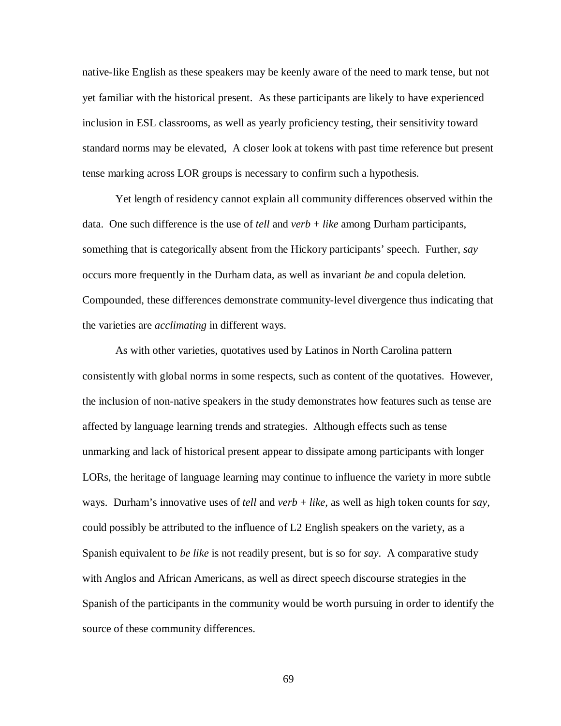native-like English as these speakers may be keenly aware of the need to mark tense, but not yet familiar with the historical present. As these participants are likely to have experienced inclusion in ESL classrooms, as well as yearly proficiency testing, their sensitivity toward standard norms may be elevated, A closer look at tokens with past time reference but present tense marking across LOR groups is necessary to confirm such a hypothesis.

Yet length of residency cannot explain all community differences observed within the data. One such difference is the use of *tell* and *verb* + *like* among Durham participants, something that is categorically absent from the Hickory participants' speech. Further, *say*  occurs more frequently in the Durham data, as well as invariant *be* and copula deletion. Compounded, these differences demonstrate community-level divergence thus indicating that the varieties are *acclimating* in different ways.

As with other varieties, quotatives used by Latinos in North Carolina pattern consistently with global norms in some respects, such as content of the quotatives. However, the inclusion of non-native speakers in the study demonstrates how features such as tense are affected by language learning trends and strategies. Although effects such as tense unmarking and lack of historical present appear to dissipate among participants with longer LORs, the heritage of language learning may continue to influence the variety in more subtle ways. Durham's innovative uses of *tell* and *verb* + *like,* as well as high token counts for *say,* could possibly be attributed to the influence of L2 English speakers on the variety, as a Spanish equivalent to *be like* is not readily present, but is so for *say*. A comparative study with Anglos and African Americans, as well as direct speech discourse strategies in the Spanish of the participants in the community would be worth pursuing in order to identify the source of these community differences.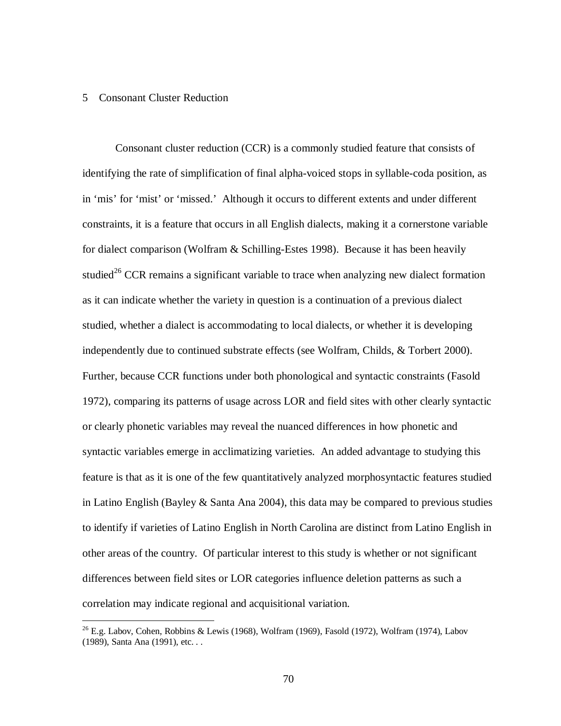#### 5 Consonant Cluster Reduction

 $\overline{a}$ 

Consonant cluster reduction (CCR) is a commonly studied feature that consists of identifying the rate of simplification of final alpha-voiced stops in syllable-coda position, as in 'mis' for 'mist' or 'missed.' Although it occurs to different extents and under different constraints, it is a feature that occurs in all English dialects, making it a cornerstone variable for dialect comparison (Wolfram & Schilling-Estes 1998). Because it has been heavily studied<sup>26</sup> CCR remains a significant variable to trace when analyzing new dialect formation as it can indicate whether the variety in question is a continuation of a previous dialect studied, whether a dialect is accommodating to local dialects, or whether it is developing independently due to continued substrate effects (see Wolfram, Childs, & Torbert 2000). Further, because CCR functions under both phonological and syntactic constraints (Fasold 1972), comparing its patterns of usage across LOR and field sites with other clearly syntactic or clearly phonetic variables may reveal the nuanced differences in how phonetic and syntactic variables emerge in acclimatizing varieties. An added advantage to studying this feature is that as it is one of the few quantitatively analyzed morphosyntactic features studied in Latino English (Bayley & Santa Ana 2004), this data may be compared to previous studies to identify if varieties of Latino English in North Carolina are distinct from Latino English in other areas of the country. Of particular interest to this study is whether or not significant differences between field sites or LOR categories influence deletion patterns as such a correlation may indicate regional and acquisitional variation.

 $^{26}$  E.g. Labov, Cohen, Robbins & Lewis (1968), Wolfram (1969), Fasold (1972), Wolfram (1974), Labov (1989), Santa Ana (1991), etc. . .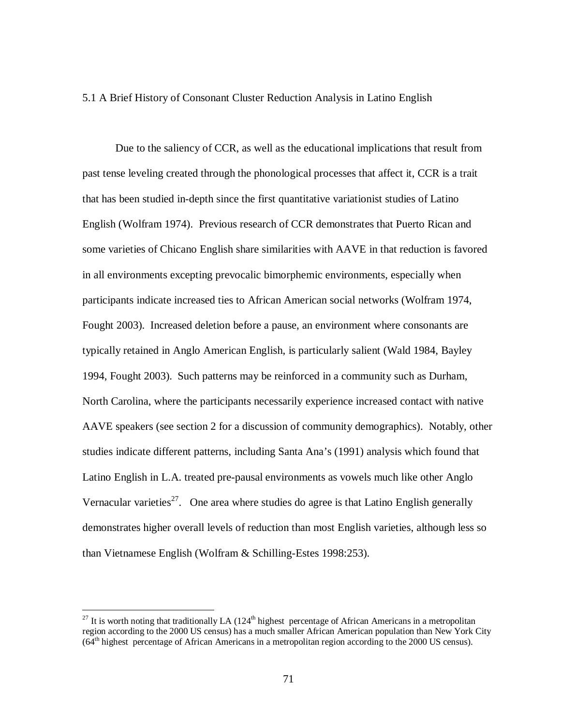### 5.1 A Brief History of Consonant Cluster Reduction Analysis in Latino English

Due to the saliency of CCR, as well as the educational implications that result from past tense leveling created through the phonological processes that affect it, CCR is a trait that has been studied in-depth since the first quantitative variationist studies of Latino English (Wolfram 1974). Previous research of CCR demonstrates that Puerto Rican and some varieties of Chicano English share similarities with AAVE in that reduction is favored in all environments excepting prevocalic bimorphemic environments, especially when participants indicate increased ties to African American social networks (Wolfram 1974, Fought 2003). Increased deletion before a pause, an environment where consonants are typically retained in Anglo American English, is particularly salient (Wald 1984, Bayley 1994, Fought 2003). Such patterns may be reinforced in a community such as Durham, North Carolina, where the participants necessarily experience increased contact with native AAVE speakers (see section 2 for a discussion of community demographics). Notably, other studies indicate different patterns, including Santa Ana's (1991) analysis which found that Latino English in L.A. treated pre-pausal environments as vowels much like other Anglo Vernacular varieties<sup>27</sup>. One area where studies do agree is that Latino English generally demonstrates higher overall levels of reduction than most English varieties, although less so than Vietnamese English (Wolfram & Schilling-Estes 1998:253).

 $\overline{a}$ 

 $^{27}$  It is worth noting that traditionally LA (124<sup>th</sup> highest percentage of African Americans in a metropolitan region according to the 2000 US census) has a much smaller African American population than New York City  $(64<sup>th</sup>$  highest percentage of African Americans in a metropolitan region according to the 2000 US census).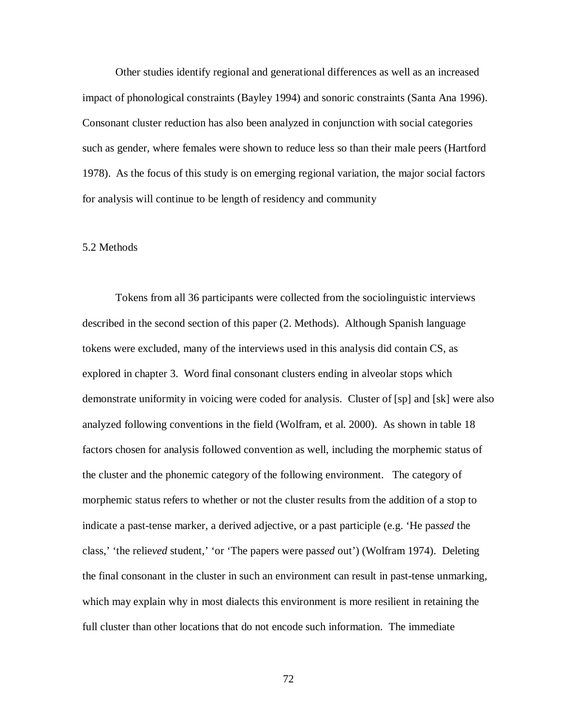Other studies identify regional and generational differences as well as an increased impact of phonological constraints (Bayley 1994) and sonoric constraints (Santa Ana 1996). Consonant cluster reduction has also been analyzed in conjunction with social categories such as gender, where females were shown to reduce less so than their male peers (Hartford 1978). As the focus of this study is on emerging regional variation, the major social factors for analysis will continue to be length of residency and community

### 5.2 Methods

Tokens from all 36 participants were collected from the sociolinguistic interviews described in the second section of this paper (2. Methods). Although Spanish language tokens were excluded, many of the interviews used in this analysis did contain CS, as explored in chapter 3. Word final consonant clusters ending in alveolar stops which demonstrate uniformity in voicing were coded for analysis. Cluster of [sp] and [sk] were also analyzed following conventions in the field (Wolfram, et al. 2000). As shown in table 18 factors chosen for analysis followed convention as well, including the morphemic status of the cluster and the phonemic category of the following environment. The category of morphemic status refers to whether or not the cluster results from the addition of a stop to indicate a past-tense marker, a derived adjective, or a past participle (e.g. 'He pa*ssed* the class,' 'the relie*ved* student,' 'or 'The papers were pa*ssed* out') (Wolfram 1974). Deleting the final consonant in the cluster in such an environment can result in past-tense unmarking, which may explain why in most dialects this environment is more resilient in retaining the full cluster than other locations that do not encode such information. The immediate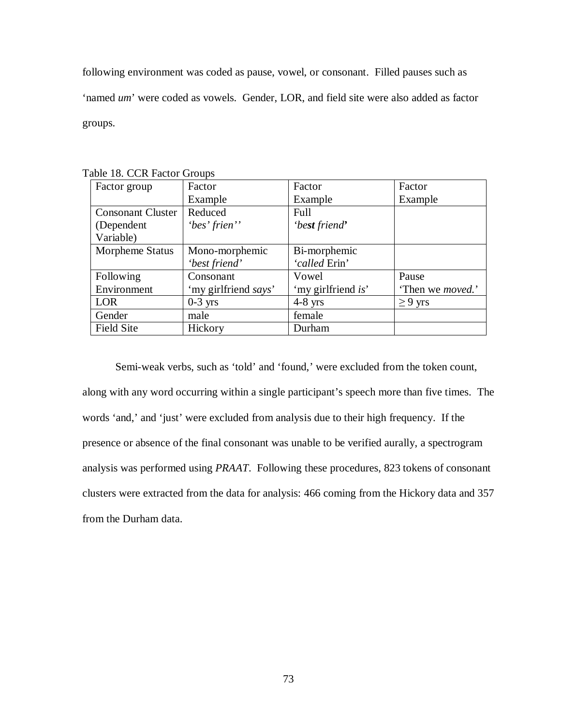following environment was coded as pause, vowel, or consonant. Filled pauses such as 'named *um*' were coded as vowels. Gender, LOR, and field site were also added as factor groups.

| Factor group             | $\frac{1}{2}$<br>Factor | Factor             | Factor                   |
|--------------------------|-------------------------|--------------------|--------------------------|
|                          | Example                 | Example            | Example                  |
| <b>Consonant Cluster</b> | Reduced                 | Full               |                          |
| (Dependent               | 'bes' frien''           | 'best friend'      |                          |
| Variable)                |                         |                    |                          |
| Morpheme Status          | Mono-morphemic          | Bi-morphemic       |                          |
|                          | 'best friend'           | 'called Erin'      |                          |
| Following                | Consonant               | Vowel              | Pause                    |
| Environment              | 'my girlfriend says'    | 'my girlfriend is' | 'Then we <i>moved</i> .' |
| <b>LOR</b>               | $0-3$ yrs               | $4-8$ yrs          | $\geq 9$ yrs             |
| Gender                   | male                    | female             |                          |
| <b>Field Site</b>        | Hickory                 | Durham             |                          |

Table 18. CCR Factor Groups

Semi-weak verbs, such as 'told' and 'found,' were excluded from the token count, along with any word occurring within a single participant's speech more than five times. The words 'and,' and 'just' were excluded from analysis due to their high frequency. If the presence or absence of the final consonant was unable to be verified aurally, a spectrogram analysis was performed using *PRAAT*. Following these procedures, 823 tokens of consonant clusters were extracted from the data for analysis: 466 coming from the Hickory data and 357 from the Durham data.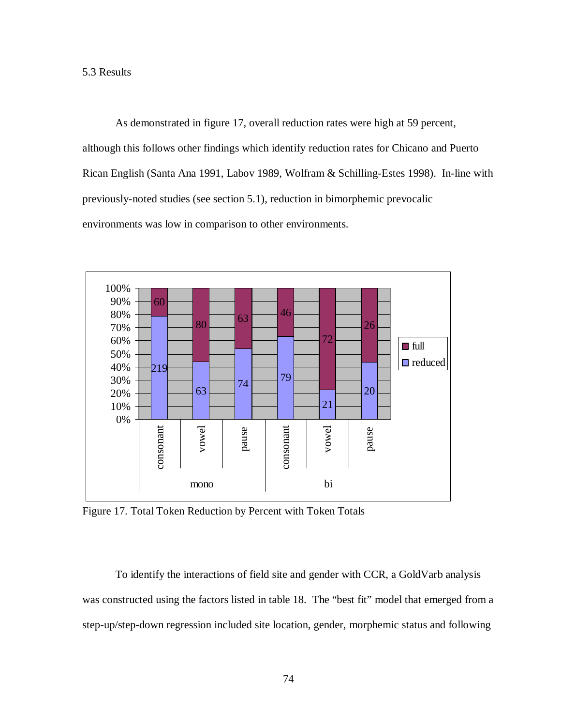As demonstrated in figure 17, overall reduction rates were high at 59 percent, although this follows other findings which identify reduction rates for Chicano and Puerto Rican English (Santa Ana 1991, Labov 1989, Wolfram & Schilling-Estes 1998). In-line with previously-noted studies (see section 5.1), reduction in bimorphemic prevocalic environments was low in comparison to other environments.



Figure 17. Total Token Reduction by Percent with Token Totals

To identify the interactions of field site and gender with CCR, a GoldVarb analysis was constructed using the factors listed in table 18. The "best fit" model that emerged from a step-up/step-down regression included site location, gender, morphemic status and following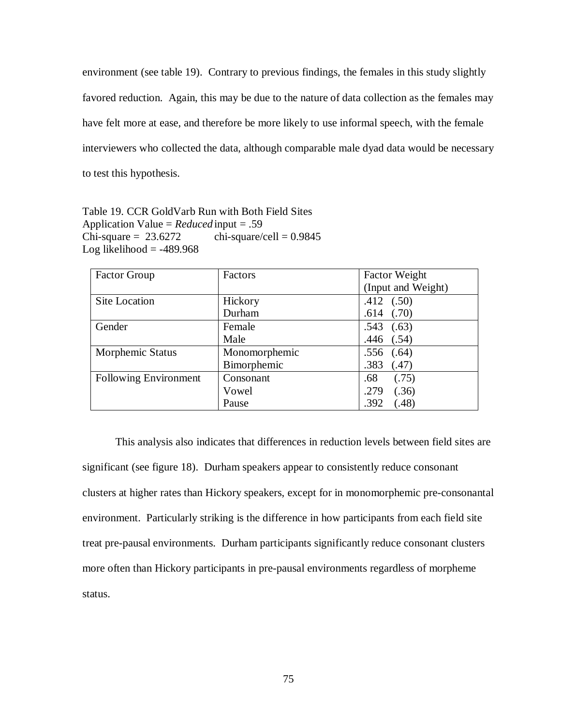environment (see table 19). Contrary to previous findings, the females in this study slightly favored reduction. Again, this may be due to the nature of data collection as the females may have felt more at ease, and therefore be more likely to use informal speech, with the female interviewers who collected the data, although comparable male dyad data would be necessary to test this hypothesis.

Table 19. CCR GoldVarb Run with Both Field Sites Application Value = *Reduced* input = .59 Chi-square =  $23.6272$  chi-square/cell = 0.9845 Log likelihood  $= -489.968$ 

| <b>Factor Group</b>          | Factors       | <b>Factor Weight</b> |  |
|------------------------------|---------------|----------------------|--|
|                              |               | (Input and Weight)   |  |
| <b>Site Location</b>         | Hickory       | $.412$ $(.50)$       |  |
|                              | Durham        | $.614$ $(.70)$       |  |
| Gender                       | Female        | (.63)<br>.543        |  |
|                              | Male          | $.446$ $(.54)$       |  |
| Morphemic Status             | Monomorphemic | (.64)<br>.556        |  |
|                              | Bimorphemic   | .383<br>(.47)        |  |
| <b>Following Environment</b> | Consonant     | .68<br>(.75)         |  |
|                              | Vowel         | .279<br>(.36)        |  |
|                              | Pause         | .392<br>(.48)        |  |

This analysis also indicates that differences in reduction levels between field sites are significant (see figure 18). Durham speakers appear to consistently reduce consonant clusters at higher rates than Hickory speakers, except for in monomorphemic pre-consonantal environment. Particularly striking is the difference in how participants from each field site treat pre-pausal environments. Durham participants significantly reduce consonant clusters more often than Hickory participants in pre-pausal environments regardless of morpheme status.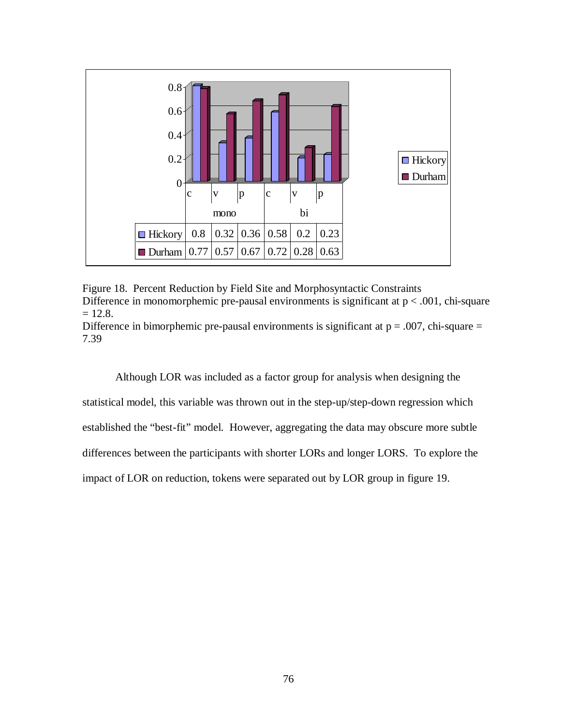

Figure 18. Percent Reduction by Field Site and Morphosyntactic Constraints Difference in monomorphemic pre-pausal environments is significant at  $p < .001$ , chi-square  $= 12.8.$ 

Difference in bimorphemic pre-pausal environments is significant at  $p = .007$ , chi-square = 7.39

Although LOR was included as a factor group for analysis when designing the statistical model, this variable was thrown out in the step-up/step-down regression which established the "best-fit" model. However, aggregating the data may obscure more subtle differences between the participants with shorter LORs and longer LORS. To explore the impact of LOR on reduction, tokens were separated out by LOR group in figure 19.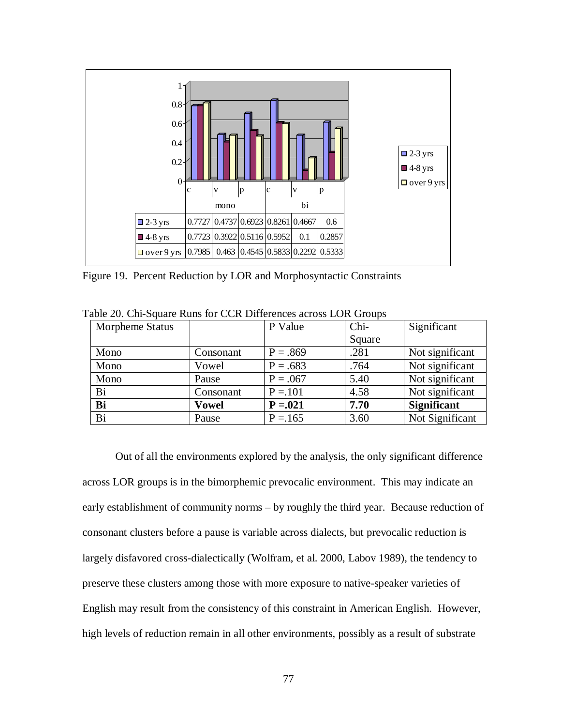

Figure 19. Percent Reduction by LOR and Morphosyntactic Constraints

| Morpheme Status |              | P Value     | Chi-   | Significant        |
|-----------------|--------------|-------------|--------|--------------------|
|                 |              |             | Square |                    |
| Mono            | Consonant    | $P = .869$  | .281   | Not significant    |
| Mono            | Vowel        | $P = .683$  | .764   | Not significant    |
| Mono            | Pause        | $P = .067$  | 5.40   | Not significant    |
| Bi              | Consonant    | $P = 101$   | 4.58   | Not significant    |
| Bi              | <b>Vowel</b> | $P = 0.021$ | 7.70   | <b>Significant</b> |
| Bi              | Pause        | $P = 165$   | 3.60   | Not Significant    |

Table 20. Chi-Square Runs for CCR Differences across LOR Groups

Out of all the environments explored by the analysis, the only significant difference across LOR groups is in the bimorphemic prevocalic environment. This may indicate an early establishment of community norms – by roughly the third year. Because reduction of consonant clusters before a pause is variable across dialects, but prevocalic reduction is largely disfavored cross-dialectically (Wolfram, et al. 2000, Labov 1989), the tendency to preserve these clusters among those with more exposure to native-speaker varieties of English may result from the consistency of this constraint in American English. However, high levels of reduction remain in all other environments, possibly as a result of substrate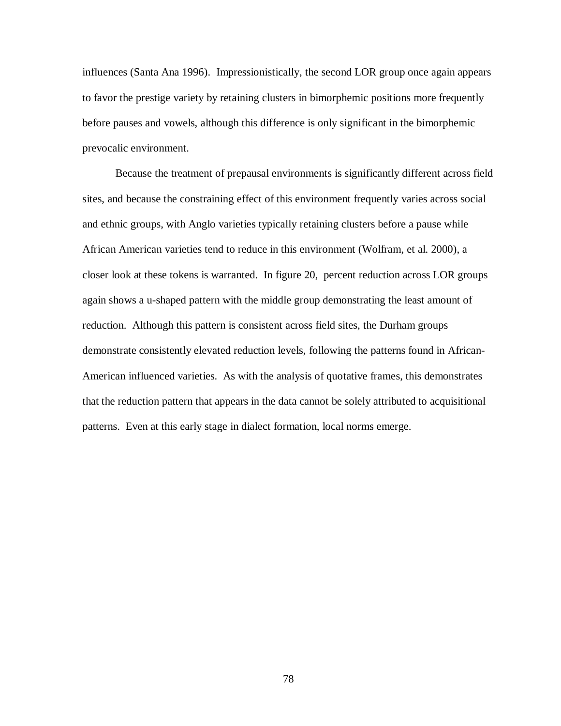influences (Santa Ana 1996). Impressionistically, the second LOR group once again appears to favor the prestige variety by retaining clusters in bimorphemic positions more frequently before pauses and vowels, although this difference is only significant in the bimorphemic prevocalic environment.

Because the treatment of prepausal environments is significantly different across field sites, and because the constraining effect of this environment frequently varies across social and ethnic groups, with Anglo varieties typically retaining clusters before a pause while African American varieties tend to reduce in this environment (Wolfram, et al. 2000), a closer look at these tokens is warranted. In figure 20, percent reduction across LOR groups again shows a u-shaped pattern with the middle group demonstrating the least amount of reduction. Although this pattern is consistent across field sites, the Durham groups demonstrate consistently elevated reduction levels, following the patterns found in African-American influenced varieties. As with the analysis of quotative frames, this demonstrates that the reduction pattern that appears in the data cannot be solely attributed to acquisitional patterns. Even at this early stage in dialect formation, local norms emerge.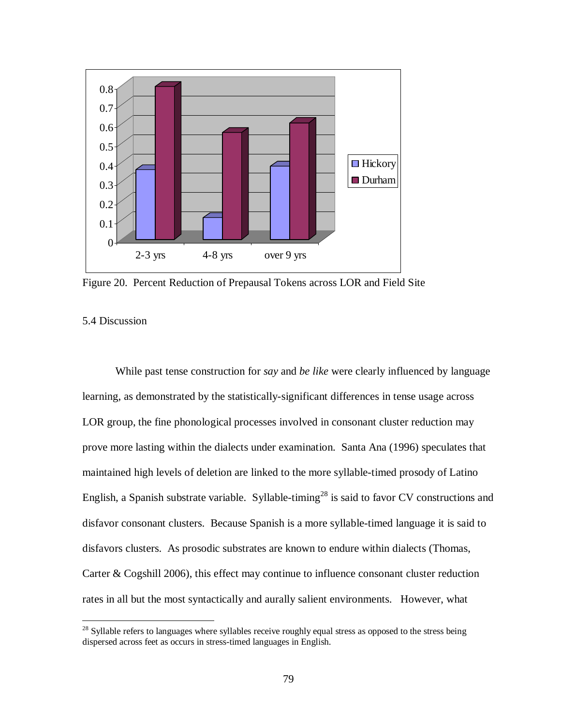

Figure 20. Percent Reduction of Prepausal Tokens across LOR and Field Site

# 5.4 Discussion

 $\overline{a}$ 

While past tense construction for *say* and *be like* were clearly influenced by language learning, as demonstrated by the statistically-significant differences in tense usage across LOR group, the fine phonological processes involved in consonant cluster reduction may prove more lasting within the dialects under examination. Santa Ana (1996) speculates that maintained high levels of deletion are linked to the more syllable-timed prosody of Latino English, a Spanish substrate variable. Syllable-timing<sup>28</sup> is said to favor CV constructions and disfavor consonant clusters. Because Spanish is a more syllable-timed language it is said to disfavors clusters. As prosodic substrates are known to endure within dialects (Thomas, Carter & Cogshill 2006), this effect may continue to influence consonant cluster reduction rates in all but the most syntactically and aurally salient environments. However, what

 $28$  Syllable refers to languages where syllables receive roughly equal stress as opposed to the stress being dispersed across feet as occurs in stress-timed languages in English.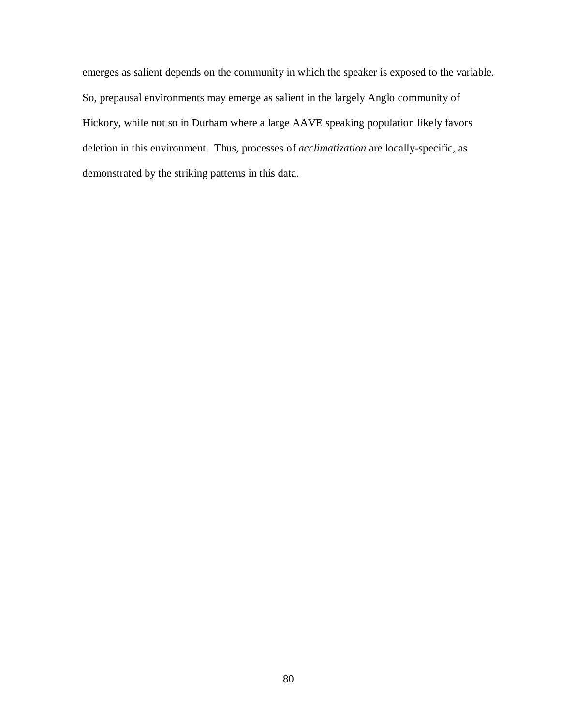emerges as salient depends on the community in which the speaker is exposed to the variable. So, prepausal environments may emerge as salient in the largely Anglo community of Hickory, while not so in Durham where a large AAVE speaking population likely favors deletion in this environment. Thus, processes of *acclimatization* are locally-specific, as demonstrated by the striking patterns in this data.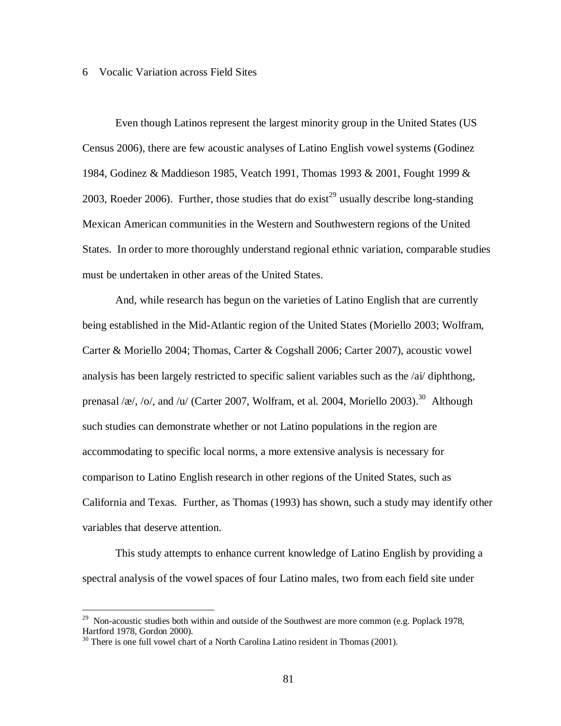#### 6 Vocalic Variation across Field Sites

Even though Latinos represent the largest minority group in the United States (US Census 2006), there are few acoustic analyses of Latino English vowel systems (Godinez 1984, Godinez & Maddieson 1985, Veatch 1991, Thomas 1993 & 2001, Fought 1999 & 2003, Roeder 2006). Further, those studies that do exist<sup>29</sup> usually describe long-standing Mexican American communities in the Western and Southwestern regions of the United States. In order to more thoroughly understand regional ethnic variation, comparable studies must be undertaken in other areas of the United States.

And, while research has begun on the varieties of Latino English that are currently being established in the Mid-Atlantic region of the United States (Moriello 2003; Wolfram, Carter & Moriello 2004; Thomas, Carter & Cogshall 2006; Carter 2007), acoustic vowel analysis has been largely restricted to specific salient variables such as the /ai/ diphthong, prenasal /æ/, /o/, and /u/ (Carter 2007, Wolfram, et al. 2004, Moriello 2003).<sup>30</sup> Although such studies can demonstrate whether or not Latino populations in the region are accommodating to specific local norms, a more extensive analysis is necessary for comparison to Latino English research in other regions of the United States, such as California and Texas. Further, as Thomas (1993) has shown, such a study may identify other variables that deserve attention.

This study attempts to enhance current knowledge of Latino English by providing a spectral analysis of the vowel spaces of four Latino males, two from each field site under

<sup>&</sup>lt;sup>29</sup> Non-acoustic studies both within and outside of the Southwest are more common (e.g. Poplack 1978, Hartford 1978, Gordon 2000).

<sup>&</sup>lt;sup>30</sup> There is one full vowel chart of a North Carolina Latino resident in Thomas (2001).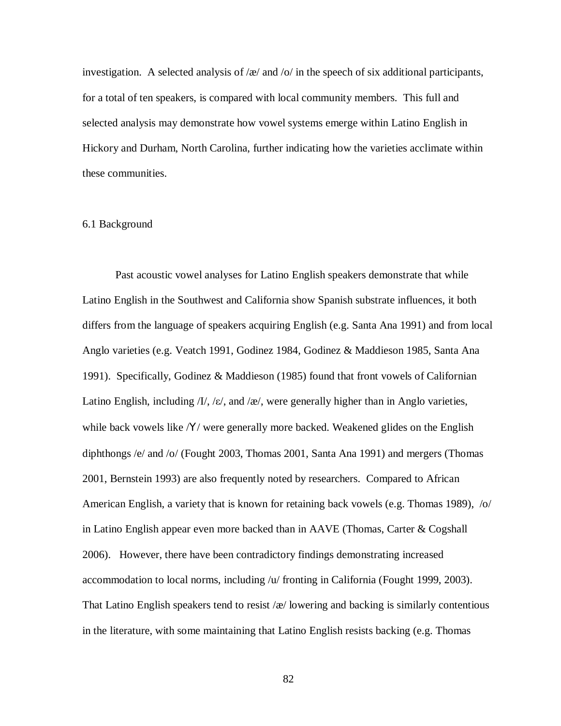investigation. A selected analysis of / $\alpha$ / and /o/ in the speech of six additional participants, for a total of ten speakers, is compared with local community members. This full and selected analysis may demonstrate how vowel systems emerge within Latino English in Hickory and Durham, North Carolina, further indicating how the varieties acclimate within these communities.

### 6.1 Background

Past acoustic vowel analyses for Latino English speakers demonstrate that while Latino English in the Southwest and California show Spanish substrate influences, it both differs from the language of speakers acquiring English (e.g. Santa Ana 1991) and from local Anglo varieties (e.g. Veatch 1991, Godinez 1984, Godinez & Maddieson 1985, Santa Ana 1991). Specifically, Godinez & Maddieson (1985) found that front vowels of Californian Latino English, including  $/I/$ ,  $/\varepsilon$ , and  $/\varepsilon$ , were generally higher than in Anglo varieties, while back vowels like /Y/ were generally more backed. Weakened glides on the English diphthongs /e/ and /o/ (Fought 2003, Thomas 2001, Santa Ana 1991) and mergers (Thomas 2001, Bernstein 1993) are also frequently noted by researchers. Compared to African American English, a variety that is known for retaining back vowels (e.g. Thomas 1989), /o/ in Latino English appear even more backed than in AAVE (Thomas, Carter & Cogshall 2006). However, there have been contradictory findings demonstrating increased accommodation to local norms, including /u/ fronting in California (Fought 1999, 2003). That Latino English speakers tend to resist  $\alpha$  lowering and backing is similarly contentious in the literature, with some maintaining that Latino English resists backing (e.g. Thomas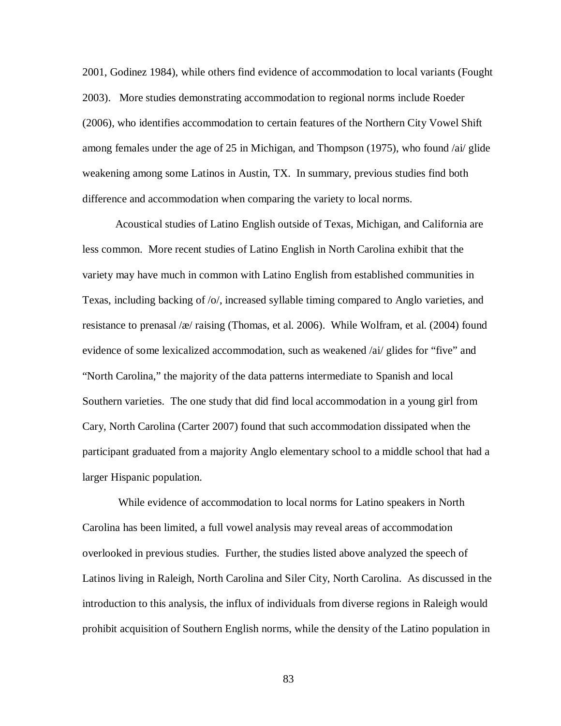2001, Godinez 1984), while others find evidence of accommodation to local variants (Fought 2003). More studies demonstrating accommodation to regional norms include Roeder (2006), who identifies accommodation to certain features of the Northern City Vowel Shift among females under the age of 25 in Michigan, and Thompson (1975), who found /ai/ glide weakening among some Latinos in Austin, TX. In summary, previous studies find both difference and accommodation when comparing the variety to local norms.

Acoustical studies of Latino English outside of Texas, Michigan, and California are less common. More recent studies of Latino English in North Carolina exhibit that the variety may have much in common with Latino English from established communities in Texas, including backing of /o/, increased syllable timing compared to Anglo varieties, and resistance to prenasal /æ/ raising (Thomas, et al. 2006). While Wolfram, et al. (2004) found evidence of some lexicalized accommodation, such as weakened /ai/ glides for "five" and "North Carolina," the majority of the data patterns intermediate to Spanish and local Southern varieties. The one study that did find local accommodation in a young girl from Cary, North Carolina (Carter 2007) found that such accommodation dissipated when the participant graduated from a majority Anglo elementary school to a middle school that had a larger Hispanic population.

While evidence of accommodation to local norms for Latino speakers in North Carolina has been limited, a full vowel analysis may reveal areas of accommodation overlooked in previous studies. Further, the studies listed above analyzed the speech of Latinos living in Raleigh, North Carolina and Siler City, North Carolina. As discussed in the introduction to this analysis, the influx of individuals from diverse regions in Raleigh would prohibit acquisition of Southern English norms, while the density of the Latino population in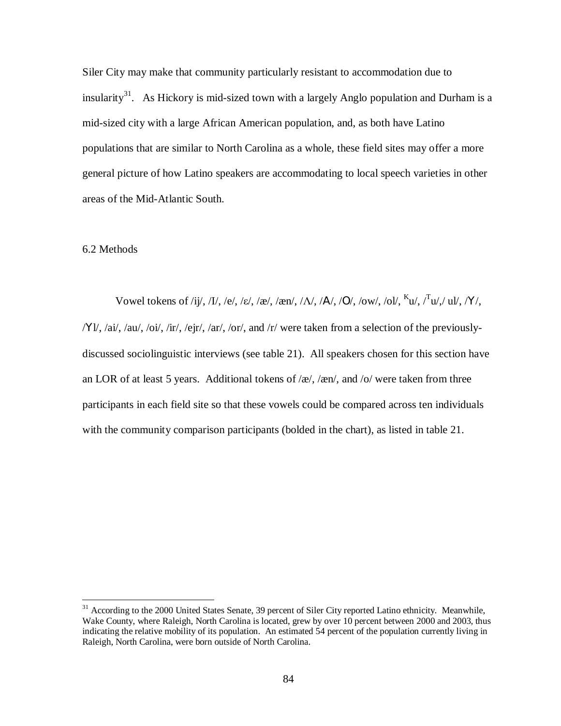Siler City may make that community particularly resistant to accommodation due to insularity<sup>31</sup>. As Hickory is mid-sized town with a largely Anglo population and Durham is a mid-sized city with a large African American population, and, as both have Latino populations that are similar to North Carolina as a whole, these field sites may offer a more general picture of how Latino speakers are accommodating to local speech varieties in other areas of the Mid-Atlantic South.

### 6.2 Methods

 $\overline{a}$ 

Vowel tokens of /ij/, /I/, /e/, /ε/, /æ/, /æn/, /Λ/, /A/, /O/, /ow/, /ol/,  $K_{\mathbf{u}}/T_{\mathbf{u}}/T_{\mathbf{u}}/T_{\mathbf{u}}/T_{\mathbf{v}}$ /, /X/, /Υl/, /ai/, /au/, /oi/, /ir/, /ejr/, /ar/, /or/, and /r/ were taken from a selection of the previouslydiscussed sociolinguistic interviews (see table 21). All speakers chosen for this section have an LOR of at least 5 years. Additional tokens of  $\alpha$ ,  $\alpha$ , and  $\alpha$  were taken from three participants in each field site so that these vowels could be compared across ten individuals with the community comparison participants (bolded in the chart), as listed in table 21.

<sup>&</sup>lt;sup>31</sup> According to the 2000 United States Senate, 39 percent of Siler City reported Latino ethnicity. Meanwhile, Wake County, where Raleigh, North Carolina is located, grew by over 10 percent between 2000 and 2003, thus indicating the relative mobility of its population. An estimated 54 percent of the population currently living in Raleigh, North Carolina, were born outside of North Carolina.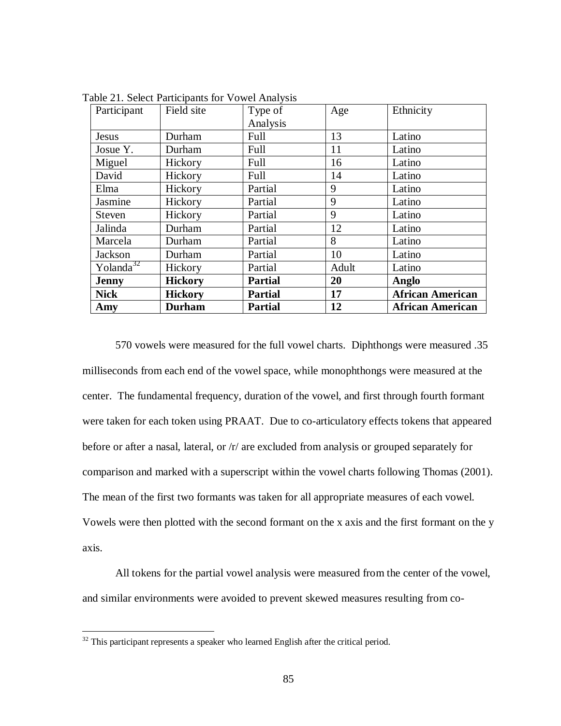| Participant           | Field site     | Type of        | Age   | Ethnicity               |
|-----------------------|----------------|----------------|-------|-------------------------|
|                       |                | Analysis       |       |                         |
| <b>Jesus</b>          | Durham         | Full           | 13    | Latino                  |
| Josue Y.              | Durham         | Full           | 11    | Latino                  |
| Miguel                | Hickory        | Full           | 16    | Latino                  |
| David                 | Hickory        | Full           | 14    | Latino                  |
| Elma                  | Hickory        | Partial        | 9     | Latino                  |
| Jasmine               | Hickory        | Partial        | 9     | Latino                  |
| Steven                | Hickory        | Partial        | 9     | Latino                  |
| Jalinda               | Durham         | Partial        | 12    | Latino                  |
| Marcela               | Durham         | Partial        | 8     | Latino                  |
| Jackson               | Durham         | Partial        | 10    | Latino                  |
| Yolanda <sup>32</sup> | Hickory        | Partial        | Adult | Latino                  |
| <b>Jenny</b>          | <b>Hickory</b> | <b>Partial</b> | 20    | Anglo                   |
| <b>Nick</b>           | <b>Hickory</b> | <b>Partial</b> | 17    | <b>African American</b> |
| Amy                   | <b>Durham</b>  | <b>Partial</b> | 12    | <b>African American</b> |

Table 21. Select Participants for Vowel Analysis

570 vowels were measured for the full vowel charts. Diphthongs were measured .35 milliseconds from each end of the vowel space, while monophthongs were measured at the center. The fundamental frequency, duration of the vowel, and first through fourth formant were taken for each token using PRAAT. Due to co-articulatory effects tokens that appeared before or after a nasal, lateral, or /r/ are excluded from analysis or grouped separately for comparison and marked with a superscript within the vowel charts following Thomas (2001). The mean of the first two formants was taken for all appropriate measures of each vowel. Vowels were then plotted with the second formant on the x axis and the first formant on the y axis.

All tokens for the partial vowel analysis were measured from the center of the vowel, and similar environments were avoided to prevent skewed measures resulting from co-

 $\overline{a}$ 

 $32$  This participant represents a speaker who learned English after the critical period.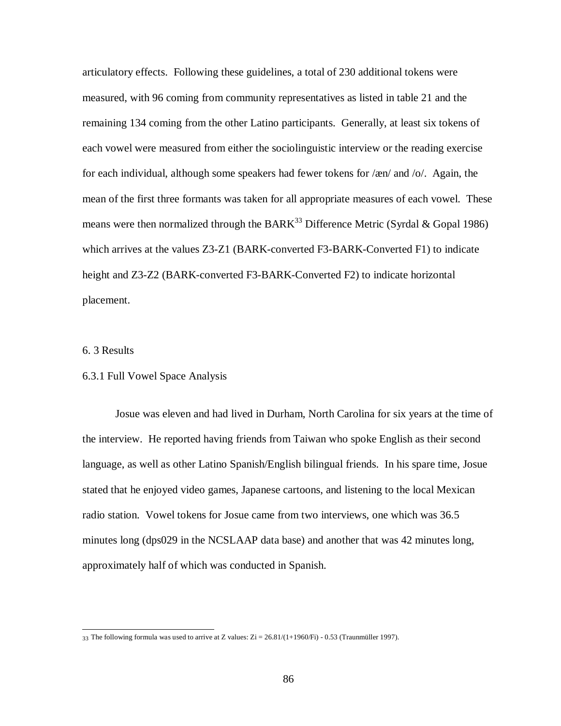articulatory effects. Following these guidelines, a total of 230 additional tokens were measured, with 96 coming from community representatives as listed in table 21 and the remaining 134 coming from the other Latino participants. Generally, at least six tokens of each vowel were measured from either the sociolinguistic interview or the reading exercise for each individual, although some speakers had fewer tokens for /æn/ and /o/. Again, the mean of the first three formants was taken for all appropriate measures of each vowel. These means were then normalized through the BARK<sup>33</sup> Difference Metric (Syrdal & Gopal 1986) which arrives at the values Z3-Z1 (BARK-converted F3-BARK-Converted F1) to indicate height and Z3-Z2 (BARK-converted F3-BARK-Converted F2) to indicate horizontal placement.

# 6. 3 Results

# 6.3.1 Full Vowel Space Analysis

Josue was eleven and had lived in Durham, North Carolina for six years at the time of the interview. He reported having friends from Taiwan who spoke English as their second language, as well as other Latino Spanish/English bilingual friends. In his spare time, Josue stated that he enjoyed video games, Japanese cartoons, and listening to the local Mexican radio station. Vowel tokens for Josue came from two interviews, one which was 36.5 minutes long (dps029 in the NCSLAAP data base) and another that was 42 minutes long, approximately half of which was conducted in Spanish.

 $\overline{a}$ 33 The following formula was used to arrive at Z values:  $Zi = 26.81/(1+1960/Fi)$  - 0.53 (Traunmüller 1997).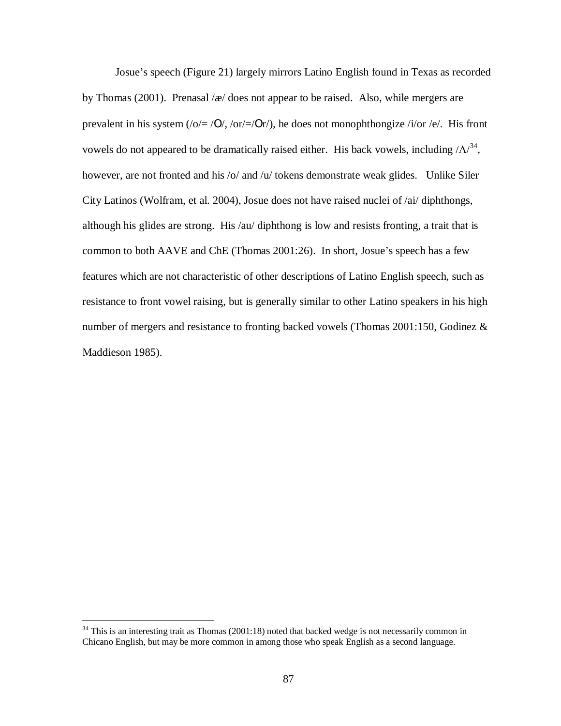Josue's speech (Figure 21) largely mirrors Latino English found in Texas as recorded by Thomas (2001). Prenasal /æ/ does not appear to be raised. Also, while mergers are prevalent in his system (/o/= /Ο/, /or/=/Οr/), he does not monophthongize /i/or /e/. His front vowels do not appeared to be dramatically raised either. His back vowels, including  $\Delta\Lambda^{34}$ , however, are not fronted and his /o/ and /u/ tokens demonstrate weak glides. Unlike Siler City Latinos (Wolfram, et al. 2004), Josue does not have raised nuclei of /ai/ diphthongs, although his glides are strong. His /au/ diphthong is low and resists fronting, a trait that is common to both AAVE and ChE (Thomas 2001:26). In short, Josue's speech has a few features which are not characteristic of other descriptions of Latino English speech, such as resistance to front vowel raising, but is generally similar to other Latino speakers in his high number of mergers and resistance to fronting backed vowels (Thomas 2001:150, Godinez & Maddieson 1985).

<u>.</u>

 $34$  This is an interesting trait as Thomas (2001:18) noted that backed wedge is not necessarily common in Chicano English, but may be more common in among those who speak English as a second language.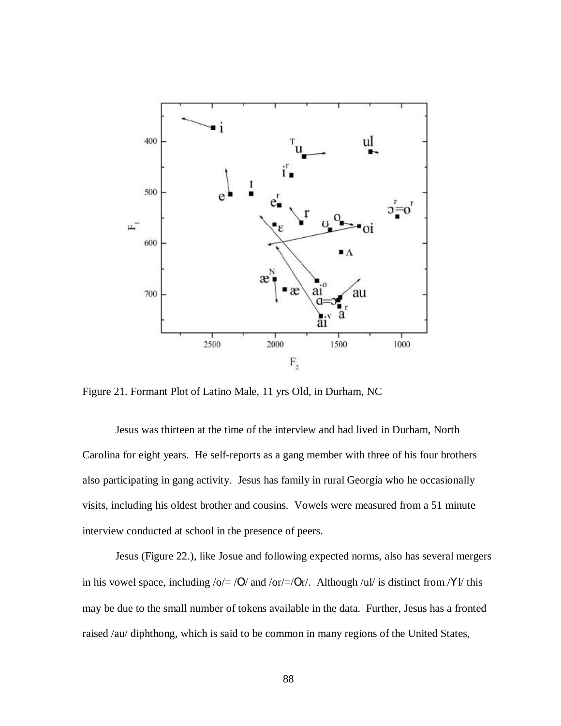

Figure 21. Formant Plot of Latino Male, 11 yrs Old, in Durham, NC

Jesus was thirteen at the time of the interview and had lived in Durham, North Carolina for eight years. He self-reports as a gang member with three of his four brothers also participating in gang activity. Jesus has family in rural Georgia who he occasionally visits, including his oldest brother and cousins. Vowels were measured from a 51 minute interview conducted at school in the presence of peers.

Jesus (Figure 22.), like Josue and following expected norms, also has several mergers in his vowel space, including  $\sqrt{\frac{6}{5}}$  /O/ and  $\sqrt{\frac{6r}{5}}$  /Or/. Although /ul/ is distinct from /Yl/ this may be due to the small number of tokens available in the data. Further, Jesus has a fronted raised /au/ diphthong, which is said to be common in many regions of the United States,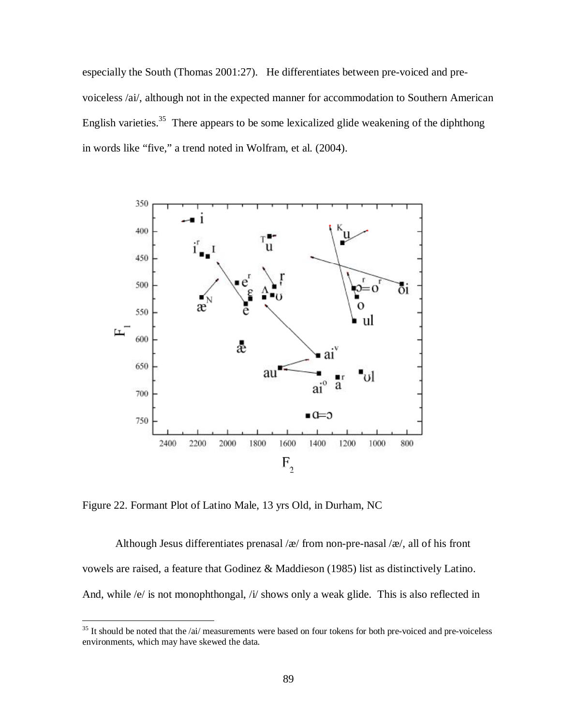especially the South (Thomas 2001:27). He differentiates between pre-voiced and prevoiceless /ai/, although not in the expected manner for accommodation to Southern American English varieties.<sup>35</sup> There appears to be some lexicalized glide weakening of the diphthong in words like "five," a trend noted in Wolfram, et al. (2004).



Figure 22. Formant Plot of Latino Male, 13 yrs Old, in Durham, NC

 $\overline{a}$ 

Although Jesus differentiates prenasal / $x$ / from non-pre-nasal / $x$ /, all of his front vowels are raised, a feature that Godinez & Maddieson (1985) list as distinctively Latino. And, while /e/ is not monophthongal, /i/ shows only a weak glide. This is also reflected in

 $35$  It should be noted that the /ai/ measurements were based on four tokens for both pre-voiced and pre-voiceless environments, which may have skewed the data.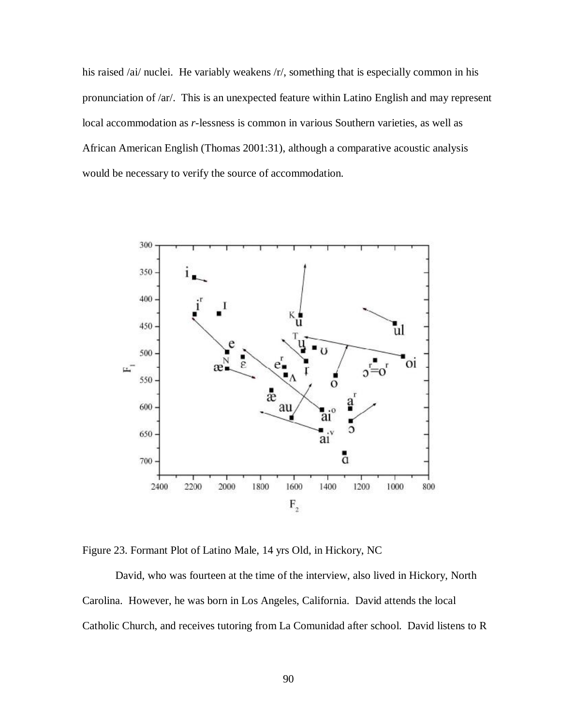his raised /ai/ nuclei. He variably weakens /r/, something that is especially common in his pronunciation of /ar/. This is an unexpected feature within Latino English and may represent local accommodation as *r-*lessness is common in various Southern varieties, as well as African American English (Thomas 2001:31), although a comparative acoustic analysis would be necessary to verify the source of accommodation.



Figure 23. Formant Plot of Latino Male, 14 yrs Old, in Hickory, NC

David, who was fourteen at the time of the interview, also lived in Hickory, North Carolina. However, he was born in Los Angeles, California. David attends the local Catholic Church, and receives tutoring from La Comunidad after school. David listens to R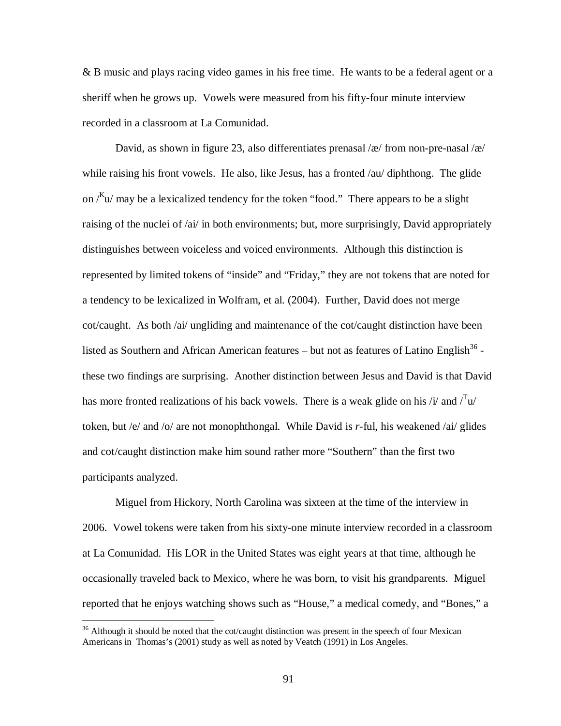& B music and plays racing video games in his free time. He wants to be a federal agent or a sheriff when he grows up. Vowels were measured from his fifty-four minute interview recorded in a classroom at La Comunidad.

David, as shown in figure 23, also differentiates prenasal /æ/ from non-pre-nasal /æ/ while raising his front vowels. He also, like Jesus, has a fronted /au/ diphthong. The glide on  $\ell^{K}$ u $\ell$  may be a lexicalized tendency for the token "food." There appears to be a slight raising of the nuclei of /ai/ in both environments; but, more surprisingly, David appropriately distinguishes between voiceless and voiced environments. Although this distinction is represented by limited tokens of "inside" and "Friday," they are not tokens that are noted for a tendency to be lexicalized in Wolfram, et al. (2004). Further, David does not merge cot/caught. As both /ai/ ungliding and maintenance of the cot/caught distinction have been listed as Southern and African American features  $-$  but not as features of Latino English<sup>36</sup> these two findings are surprising. Another distinction between Jesus and David is that David has more fronted realizations of his back vowels. There is a weak glide on his /i/ and  $T_{\text{u}}/T_{\text{u}}$ token, but /e/ and /o/ are not monophthongal. While David is *r*-ful, his weakened /ai/ glides and cot/caught distinction make him sound rather more "Southern" than the first two participants analyzed.

Miguel from Hickory, North Carolina was sixteen at the time of the interview in 2006. Vowel tokens were taken from his sixty-one minute interview recorded in a classroom at La Comunidad. His LOR in the United States was eight years at that time, although he occasionally traveled back to Mexico, where he was born, to visit his grandparents. Miguel reported that he enjoys watching shows such as "House," a medical comedy, and "Bones," a

 $\overline{a}$ 

<sup>&</sup>lt;sup>36</sup> Although it should be noted that the cot/caught distinction was present in the speech of four Mexican Americans in Thomas's (2001) study as well as noted by Veatch (1991) in Los Angeles.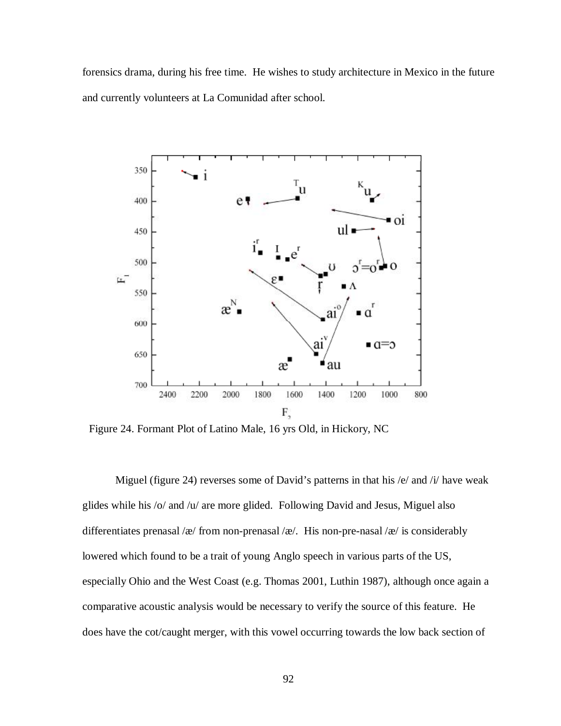forensics drama, during his free time. He wishes to study architecture in Mexico in the future and currently volunteers at La Comunidad after school.



Figure 24. Formant Plot of Latino Male, 16 yrs Old, in Hickory, NC

Miguel (figure 24) reverses some of David's patterns in that his /e/ and /i/ have weak glides while his /o/ and /u/ are more glided. Following David and Jesus, Miguel also differentiates prenasal /æ/ from non-prenasal /æ/. His non-pre-nasal /æ/ is considerably lowered which found to be a trait of young Anglo speech in various parts of the US, especially Ohio and the West Coast (e.g. Thomas 2001, Luthin 1987), although once again a comparative acoustic analysis would be necessary to verify the source of this feature. He does have the cot/caught merger, with this vowel occurring towards the low back section of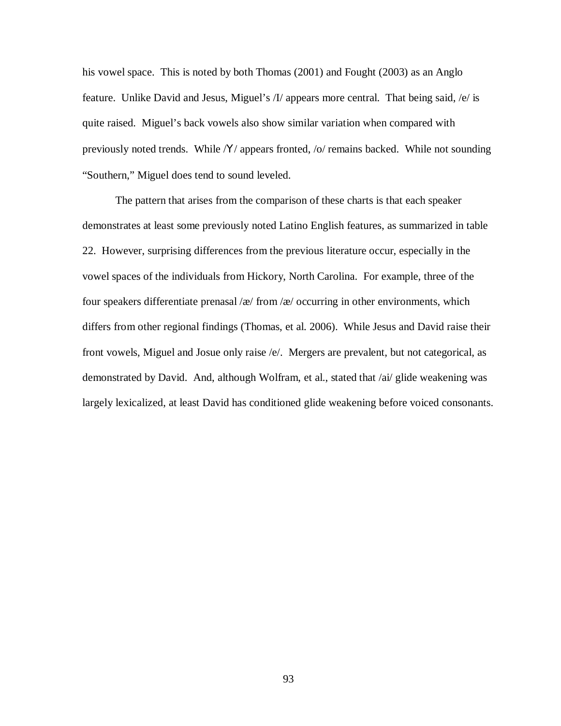his vowel space. This is noted by both Thomas (2001) and Fought (2003) as an Anglo feature. Unlike David and Jesus, Miguel's /I/ appears more central. That being said, /e/ is quite raised. Miguel's back vowels also show similar variation when compared with previously noted trends. While /Y/ appears fronted, /o/ remains backed. While not sounding "Southern," Miguel does tend to sound leveled.

The pattern that arises from the comparison of these charts is that each speaker demonstrates at least some previously noted Latino English features, as summarized in table 22. However, surprising differences from the previous literature occur, especially in the vowel spaces of the individuals from Hickory, North Carolina. For example, three of the four speakers differentiate prenasal / $x$ / from / $x$ / occurring in other environments, which differs from other regional findings (Thomas, et al. 2006). While Jesus and David raise their front vowels, Miguel and Josue only raise /e/. Mergers are prevalent, but not categorical, as demonstrated by David. And, although Wolfram, et al., stated that /ai/ glide weakening was largely lexicalized, at least David has conditioned glide weakening before voiced consonants.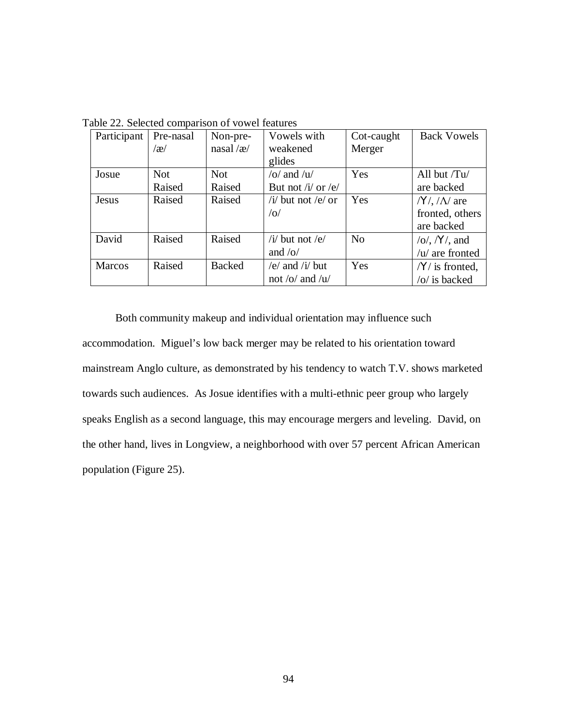| Participant | Pre-nasal  | Non-pre-          | Vowels with            | Cot-caught     | <b>Back Vowels</b>                    |
|-------------|------------|-------------------|------------------------|----------------|---------------------------------------|
|             | $\alpha$   | nasal/ $\alpha$ / | weakened               | Merger         |                                       |
|             |            |                   | glides                 |                |                                       |
| Josue       | <b>Not</b> | <b>Not</b>        | /o/ and / $u$ /        | Yes            | All but $/Tu/$                        |
|             | Raised     | Raised            | But not / $i/$ or /e/  |                | are backed                            |
| Jesus       | Raised     | Raised            | /i/ but not /e/ or     | Yes            | $/Y/$ , $/\Lambda$ are                |
|             |            |                   | o                      |                | fronted, others                       |
|             |            |                   |                        |                | are backed                            |
| David       | Raised     | Raised            | / $i$ / but not /e/    | N <sub>o</sub> | $\overline{O}$ , $\overline{Y}$ , and |
|             |            |                   | and $\frac{1}{\alpha}$ |                | $/u/$ are fronted                     |
| Marcos      | Raised     | <b>Backed</b>     | /e/ and / $i$ / but    | Yes            | $/Y/$ is fronted,                     |
|             |            |                   | not /o/ and / $u$ /    |                | $\frac{1}{2}$ is backed               |

Table 22. Selected comparison of vowel features

Both community makeup and individual orientation may influence such accommodation. Miguel's low back merger may be related to his orientation toward mainstream Anglo culture, as demonstrated by his tendency to watch T.V. shows marketed towards such audiences. As Josue identifies with a multi-ethnic peer group who largely speaks English as a second language, this may encourage mergers and leveling. David, on the other hand, lives in Longview, a neighborhood with over 57 percent African American population (Figure 25).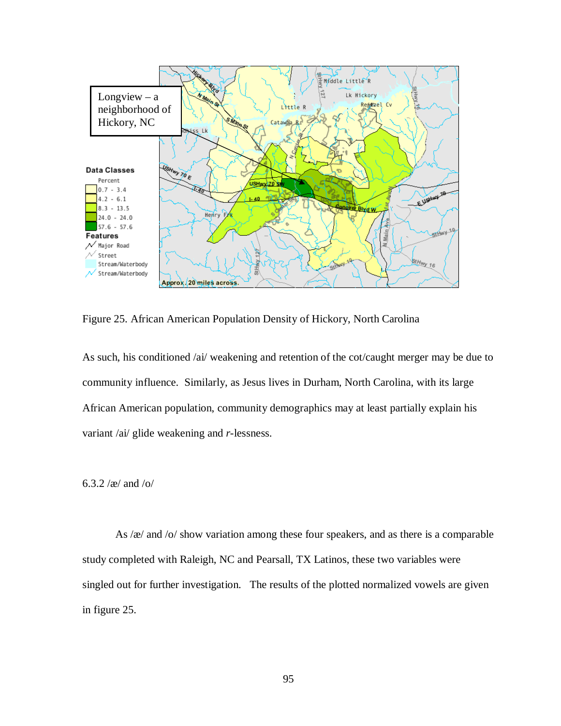

Figure 25. African American Population Density of Hickory, North Carolina

As such, his conditioned /ai/ weakening and retention of the cot/caught merger may be due to community influence. Similarly, as Jesus lives in Durham, North Carolina, with its large African American population, community demographics may at least partially explain his variant /ai/ glide weakening and *r*-lessness.

# 6.3.2 /æ/ and /o/

As /æ/ and /o/ show variation among these four speakers, and as there is a comparable study completed with Raleigh, NC and Pearsall, TX Latinos, these two variables were singled out for further investigation. The results of the plotted normalized vowels are given in figure 25.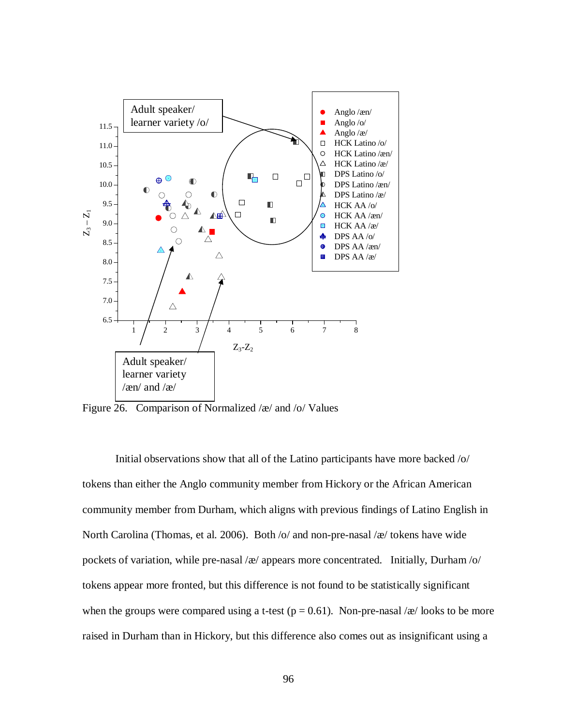

Figure 26. Comparison of Normalized /æ/ and /o/ Values

Initial observations show that all of the Latino participants have more backed /o/ tokens than either the Anglo community member from Hickory or the African American community member from Durham, which aligns with previous findings of Latino English in North Carolina (Thomas, et al. 2006). Both /o/ and non-pre-nasal /æ/ tokens have wide pockets of variation, while pre-nasal /æ/ appears more concentrated. Initially, Durham /o/ tokens appear more fronted, but this difference is not found to be statistically significant when the groups were compared using a t-test ( $p = 0.61$ ). Non-pre-nasal / $\alpha$ / looks to be more raised in Durham than in Hickory, but this difference also comes out as insignificant using a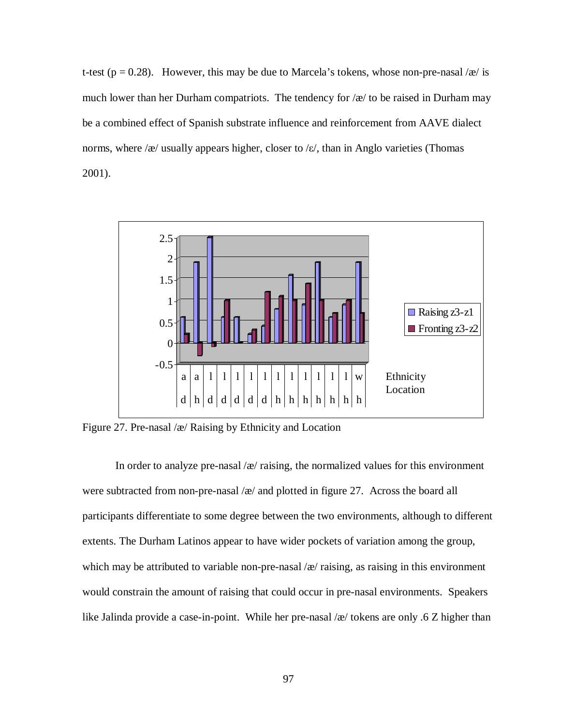t-test ( $p = 0.28$ ). However, this may be due to Marcela's tokens, whose non-pre-nasal /æ/ is much lower than her Durham compatriots. The tendency for  $\alpha$  to be raised in Durham may be a combined effect of Spanish substrate influence and reinforcement from AAVE dialect norms, where /æ/ usually appears higher, closer to / $\varepsilon$ /, than in Anglo varieties (Thomas 2001).



Figure 27. Pre-nasal /æ/ Raising by Ethnicity and Location

In order to analyze pre-nasal  $\alpha$  raising, the normalized values for this environment were subtracted from non-pre-nasal  $\alpha$  and plotted in figure 27. Across the board all participants differentiate to some degree between the two environments, although to different extents. The Durham Latinos appear to have wider pockets of variation among the group, which may be attributed to variable non-pre-nasal  $\alpha$  raising, as raising in this environment would constrain the amount of raising that could occur in pre-nasal environments. Speakers like Jalinda provide a case-in-point. While her pre-nasal /æ/ tokens are only .6 Z higher than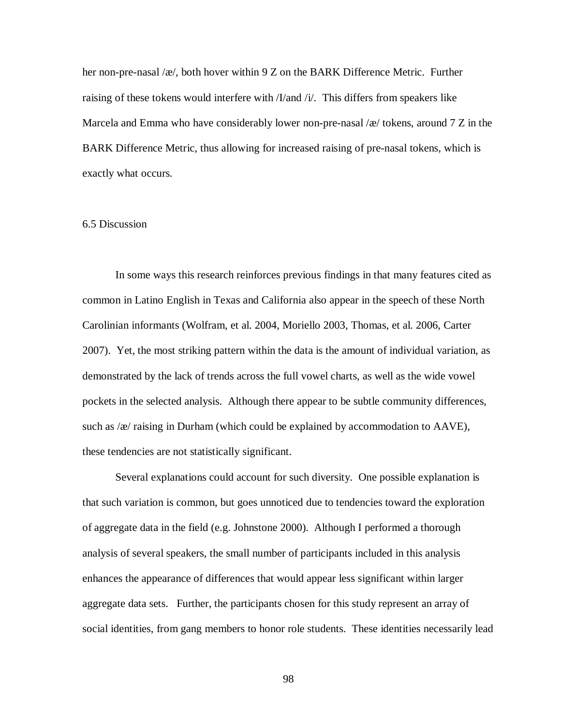her non-pre-nasal /æ/, both hover within 9 Z on the BARK Difference Metric. Further raising of these tokens would interfere with /I/and /i/. This differs from speakers like Marcela and Emma who have considerably lower non-pre-nasal /æ/ tokens, around 7 Z in the BARK Difference Metric, thus allowing for increased raising of pre-nasal tokens, which is exactly what occurs.

### 6.5 Discussion

In some ways this research reinforces previous findings in that many features cited as common in Latino English in Texas and California also appear in the speech of these North Carolinian informants (Wolfram, et al. 2004, Moriello 2003, Thomas, et al. 2006, Carter 2007). Yet, the most striking pattern within the data is the amount of individual variation, as demonstrated by the lack of trends across the full vowel charts, as well as the wide vowel pockets in the selected analysis. Although there appear to be subtle community differences, such as  $\alpha$  raising in Durham (which could be explained by accommodation to AAVE), these tendencies are not statistically significant.

Several explanations could account for such diversity. One possible explanation is that such variation is common, but goes unnoticed due to tendencies toward the exploration of aggregate data in the field (e.g. Johnstone 2000). Although I performed a thorough analysis of several speakers, the small number of participants included in this analysis enhances the appearance of differences that would appear less significant within larger aggregate data sets. Further, the participants chosen for this study represent an array of social identities, from gang members to honor role students. These identities necessarily lead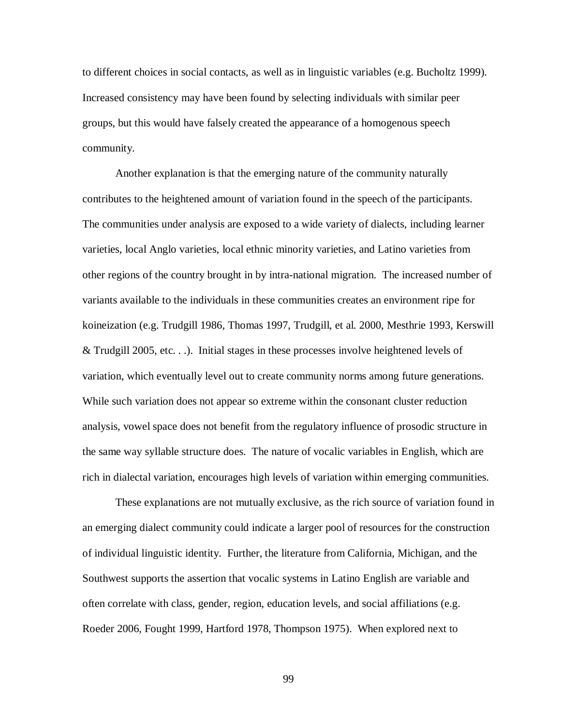to different choices in social contacts, as well as in linguistic variables (e.g. Bucholtz 1999). Increased consistency may have been found by selecting individuals with similar peer groups, but this would have falsely created the appearance of a homogenous speech community.

Another explanation is that the emerging nature of the community naturally contributes to the heightened amount of variation found in the speech of the participants. The communities under analysis are exposed to a wide variety of dialects, including learner varieties, local Anglo varieties, local ethnic minority varieties, and Latino varieties from other regions of the country brought in by intra-national migration. The increased number of variants available to the individuals in these communities creates an environment ripe for koineization (e.g. Trudgill 1986, Thomas 1997, Trudgill, et al. 2000, Mesthrie 1993, Kerswill & Trudgill 2005, etc. . .). Initial stages in these processes involve heightened levels of variation, which eventually level out to create community norms among future generations. While such variation does not appear so extreme within the consonant cluster reduction analysis, vowel space does not benefit from the regulatory influence of prosodic structure in the same way syllable structure does. The nature of vocalic variables in English, which are rich in dialectal variation, encourages high levels of variation within emerging communities.

These explanations are not mutually exclusive, as the rich source of variation found in an emerging dialect community could indicate a larger pool of resources for the construction of individual linguistic identity. Further, the literature from California, Michigan, and the Southwest supports the assertion that vocalic systems in Latino English are variable and often correlate with class, gender, region, education levels, and social affiliations (e.g. Roeder 2006, Fought 1999, Hartford 1978, Thompson 1975). When explored next to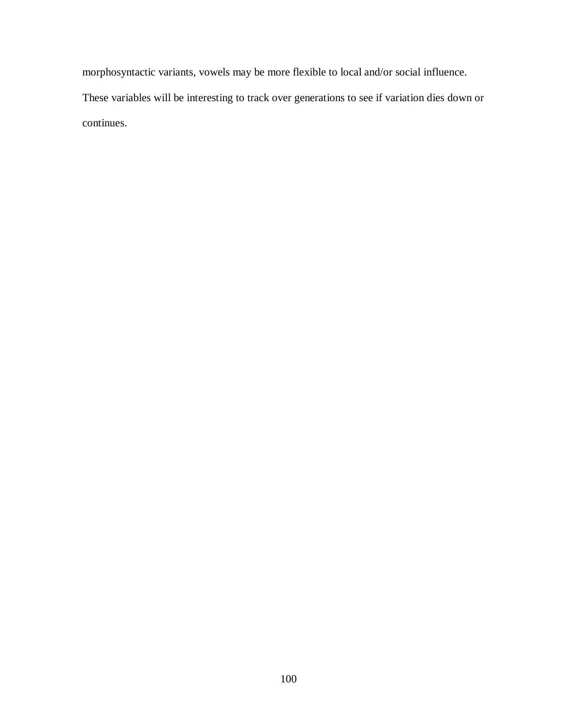morphosyntactic variants, vowels may be more flexible to local and/or social influence. These variables will be interesting to track over generations to see if variation dies down or continues.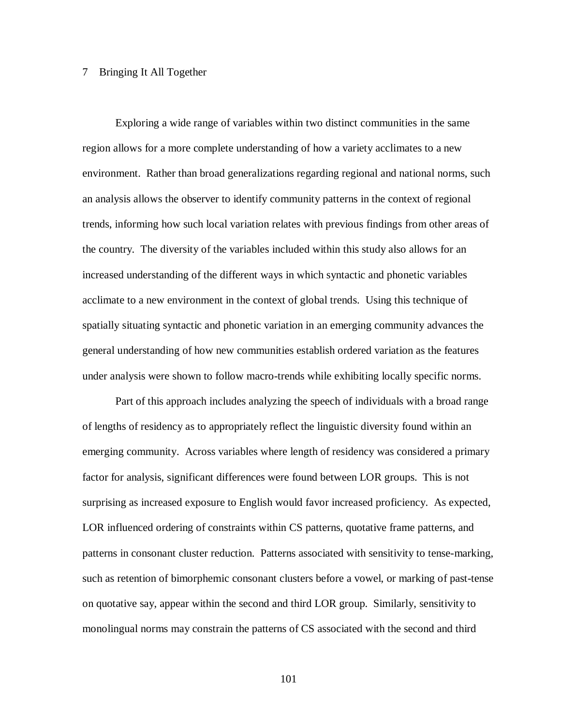## 7 Bringing It All Together

Exploring a wide range of variables within two distinct communities in the same region allows for a more complete understanding of how a variety acclimates to a new environment. Rather than broad generalizations regarding regional and national norms, such an analysis allows the observer to identify community patterns in the context of regional trends, informing how such local variation relates with previous findings from other areas of the country. The diversity of the variables included within this study also allows for an increased understanding of the different ways in which syntactic and phonetic variables acclimate to a new environment in the context of global trends. Using this technique of spatially situating syntactic and phonetic variation in an emerging community advances the general understanding of how new communities establish ordered variation as the features under analysis were shown to follow macro-trends while exhibiting locally specific norms.

Part of this approach includes analyzing the speech of individuals with a broad range of lengths of residency as to appropriately reflect the linguistic diversity found within an emerging community. Across variables where length of residency was considered a primary factor for analysis, significant differences were found between LOR groups. This is not surprising as increased exposure to English would favor increased proficiency. As expected, LOR influenced ordering of constraints within CS patterns, quotative frame patterns, and patterns in consonant cluster reduction. Patterns associated with sensitivity to tense-marking, such as retention of bimorphemic consonant clusters before a vowel, or marking of past-tense on quotative say, appear within the second and third LOR group. Similarly, sensitivity to monolingual norms may constrain the patterns of CS associated with the second and third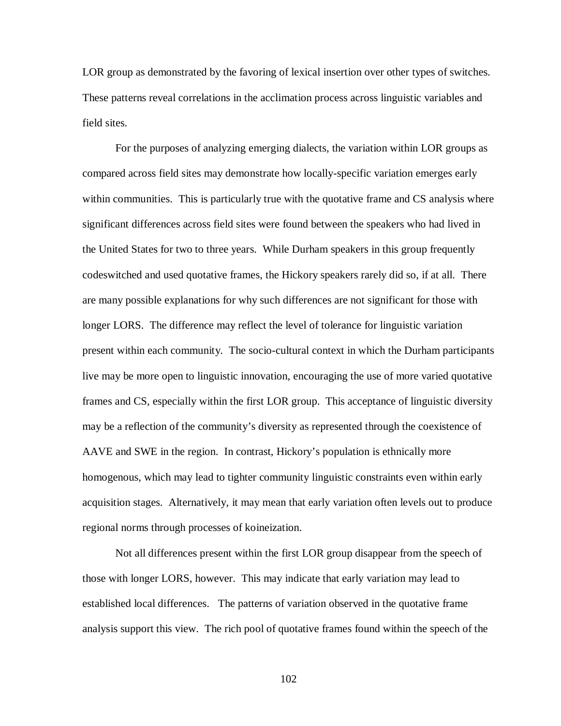LOR group as demonstrated by the favoring of lexical insertion over other types of switches. These patterns reveal correlations in the acclimation process across linguistic variables and field sites.

For the purposes of analyzing emerging dialects, the variation within LOR groups as compared across field sites may demonstrate how locally-specific variation emerges early within communities. This is particularly true with the quotative frame and CS analysis where significant differences across field sites were found between the speakers who had lived in the United States for two to three years. While Durham speakers in this group frequently codeswitched and used quotative frames, the Hickory speakers rarely did so, if at all. There are many possible explanations for why such differences are not significant for those with longer LORS. The difference may reflect the level of tolerance for linguistic variation present within each community. The socio-cultural context in which the Durham participants live may be more open to linguistic innovation, encouraging the use of more varied quotative frames and CS, especially within the first LOR group. This acceptance of linguistic diversity may be a reflection of the community's diversity as represented through the coexistence of AAVE and SWE in the region. In contrast, Hickory's population is ethnically more homogenous, which may lead to tighter community linguistic constraints even within early acquisition stages. Alternatively, it may mean that early variation often levels out to produce regional norms through processes of koineization.

Not all differences present within the first LOR group disappear from the speech of those with longer LORS, however. This may indicate that early variation may lead to established local differences. The patterns of variation observed in the quotative frame analysis support this view. The rich pool of quotative frames found within the speech of the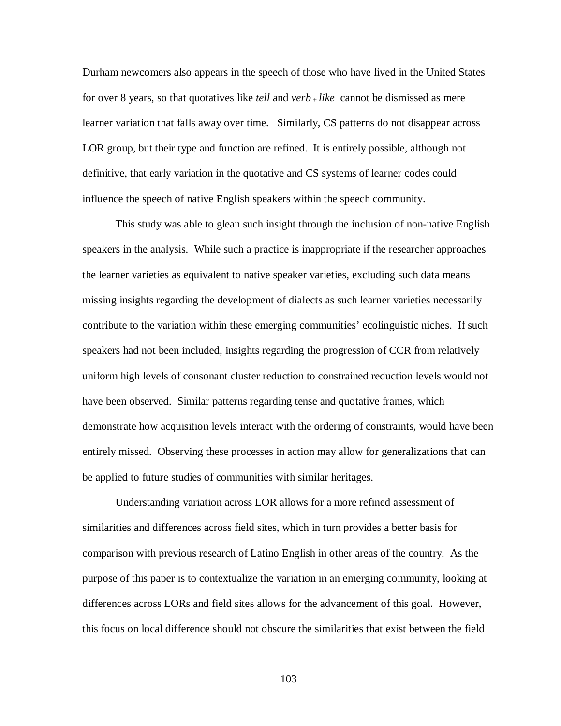Durham newcomers also appears in the speech of those who have lived in the United States for over 8 years, so that quotatives like *tell* and *verb* <sup>+</sup>*like* cannot be dismissed as mere learner variation that falls away over time. Similarly, CS patterns do not disappear across LOR group, but their type and function are refined. It is entirely possible, although not definitive, that early variation in the quotative and CS systems of learner codes could influence the speech of native English speakers within the speech community.

This study was able to glean such insight through the inclusion of non-native English speakers in the analysis. While such a practice is inappropriate if the researcher approaches the learner varieties as equivalent to native speaker varieties, excluding such data means missing insights regarding the development of dialects as such learner varieties necessarily contribute to the variation within these emerging communities' ecolinguistic niches. If such speakers had not been included, insights regarding the progression of CCR from relatively uniform high levels of consonant cluster reduction to constrained reduction levels would not have been observed. Similar patterns regarding tense and quotative frames, which demonstrate how acquisition levels interact with the ordering of constraints, would have been entirely missed. Observing these processes in action may allow for generalizations that can be applied to future studies of communities with similar heritages.

Understanding variation across LOR allows for a more refined assessment of similarities and differences across field sites, which in turn provides a better basis for comparison with previous research of Latino English in other areas of the country. As the purpose of this paper is to contextualize the variation in an emerging community, looking at differences across LORs and field sites allows for the advancement of this goal. However, this focus on local difference should not obscure the similarities that exist between the field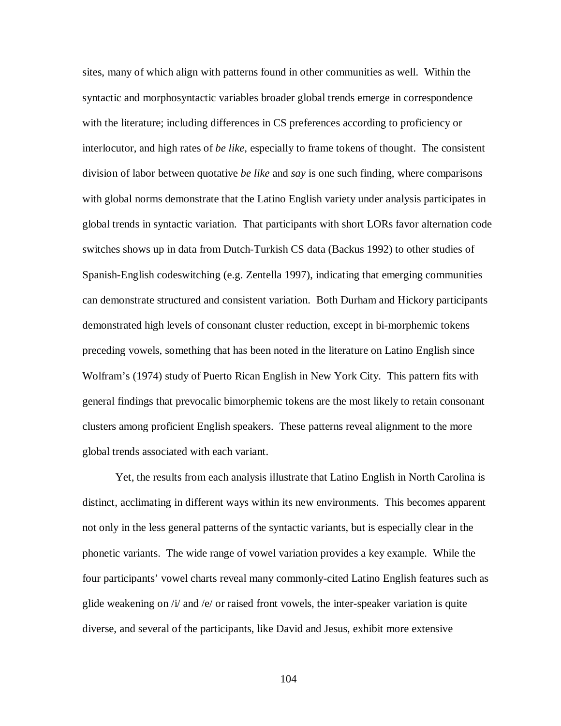sites, many of which align with patterns found in other communities as well. Within the syntactic and morphosyntactic variables broader global trends emerge in correspondence with the literature; including differences in CS preferences according to proficiency or interlocutor, and high rates of *be like*, especially to frame tokens of thought. The consistent division of labor between quotative *be like* and *say* is one such finding, where comparisons with global norms demonstrate that the Latino English variety under analysis participates in global trends in syntactic variation. That participants with short LORs favor alternation code switches shows up in data from Dutch-Turkish CS data (Backus 1992) to other studies of Spanish-English codeswitching (e.g. Zentella 1997), indicating that emerging communities can demonstrate structured and consistent variation. Both Durham and Hickory participants demonstrated high levels of consonant cluster reduction, except in bi-morphemic tokens preceding vowels, something that has been noted in the literature on Latino English since Wolfram's (1974) study of Puerto Rican English in New York City. This pattern fits with general findings that prevocalic bimorphemic tokens are the most likely to retain consonant clusters among proficient English speakers. These patterns reveal alignment to the more global trends associated with each variant.

Yet, the results from each analysis illustrate that Latino English in North Carolina is distinct, acclimating in different ways within its new environments. This becomes apparent not only in the less general patterns of the syntactic variants, but is especially clear in the phonetic variants. The wide range of vowel variation provides a key example. While the four participants' vowel charts reveal many commonly-cited Latino English features such as glide weakening on  $\pi/2$  and  $\pi/2$  or raised front vowels, the inter-speaker variation is quite diverse, and several of the participants, like David and Jesus, exhibit more extensive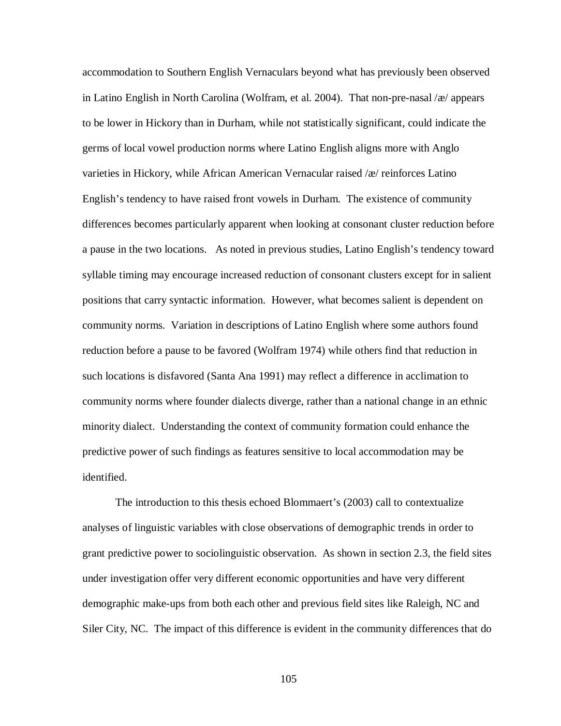accommodation to Southern English Vernaculars beyond what has previously been observed in Latino English in North Carolina (Wolfram, et al. 2004). That non-pre-nasal /æ/ appears to be lower in Hickory than in Durham, while not statistically significant, could indicate the germs of local vowel production norms where Latino English aligns more with Anglo varieties in Hickory, while African American Vernacular raised /æ/ reinforces Latino English's tendency to have raised front vowels in Durham. The existence of community differences becomes particularly apparent when looking at consonant cluster reduction before a pause in the two locations. As noted in previous studies, Latino English's tendency toward syllable timing may encourage increased reduction of consonant clusters except for in salient positions that carry syntactic information. However, what becomes salient is dependent on community norms. Variation in descriptions of Latino English where some authors found reduction before a pause to be favored (Wolfram 1974) while others find that reduction in such locations is disfavored (Santa Ana 1991) may reflect a difference in acclimation to community norms where founder dialects diverge, rather than a national change in an ethnic minority dialect. Understanding the context of community formation could enhance the predictive power of such findings as features sensitive to local accommodation may be identified.

The introduction to this thesis echoed Blommaert's (2003) call to contextualize analyses of linguistic variables with close observations of demographic trends in order to grant predictive power to sociolinguistic observation. As shown in section 2.3, the field sites under investigation offer very different economic opportunities and have very different demographic make-ups from both each other and previous field sites like Raleigh, NC and Siler City, NC. The impact of this difference is evident in the community differences that do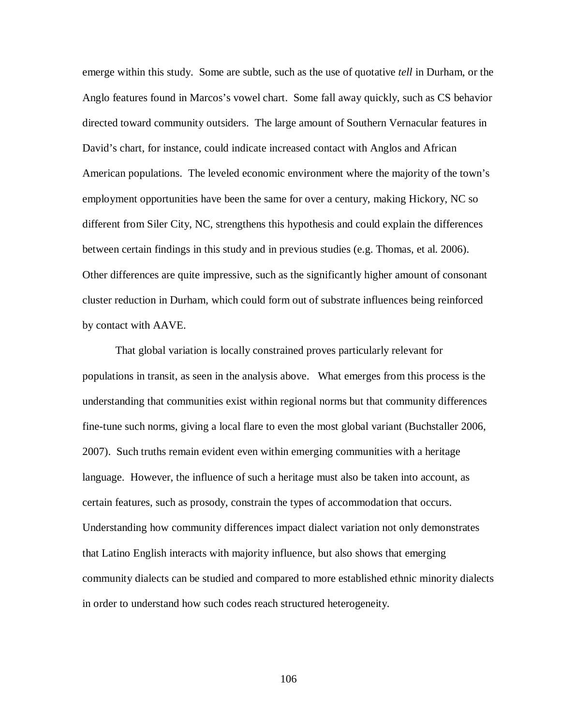emerge within this study. Some are subtle, such as the use of quotative *tell* in Durham, or the Anglo features found in Marcos's vowel chart. Some fall away quickly, such as CS behavior directed toward community outsiders. The large amount of Southern Vernacular features in David's chart, for instance, could indicate increased contact with Anglos and African American populations. The leveled economic environment where the majority of the town's employment opportunities have been the same for over a century, making Hickory, NC so different from Siler City, NC, strengthens this hypothesis and could explain the differences between certain findings in this study and in previous studies (e.g. Thomas, et al. 2006). Other differences are quite impressive, such as the significantly higher amount of consonant cluster reduction in Durham, which could form out of substrate influences being reinforced by contact with AAVE.

That global variation is locally constrained proves particularly relevant for populations in transit, as seen in the analysis above. What emerges from this process is the understanding that communities exist within regional norms but that community differences fine-tune such norms, giving a local flare to even the most global variant (Buchstaller 2006, 2007). Such truths remain evident even within emerging communities with a heritage language. However, the influence of such a heritage must also be taken into account, as certain features, such as prosody, constrain the types of accommodation that occurs. Understanding how community differences impact dialect variation not only demonstrates that Latino English interacts with majority influence, but also shows that emerging community dialects can be studied and compared to more established ethnic minority dialects in order to understand how such codes reach structured heterogeneity.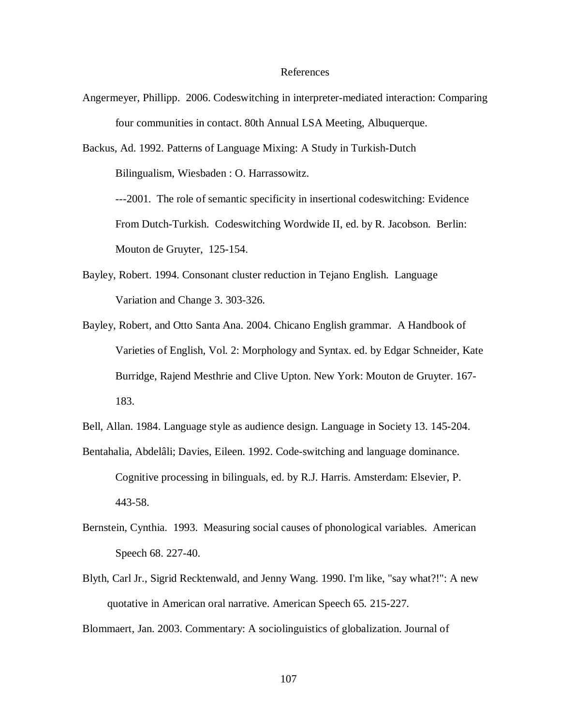## References

Angermeyer, Phillipp. 2006. Codeswitching in interpreter-mediated interaction: Comparing four communities in contact. 80th Annual LSA Meeting, Albuquerque.

Backus, Ad. 1992. Patterns of Language Mixing: A Study in Turkish-Dutch

Bilingualism, Wiesbaden : O. Harrassowitz.

---2001. The role of semantic specificity in insertional codeswitching: Evidence From Dutch-Turkish. Codeswitching Wordwide II, ed. by R. Jacobson. Berlin: Mouton de Gruyter, 125-154.

- Bayley, Robert. 1994. Consonant cluster reduction in Tejano English. Language Variation and Change 3. 303-326.
- Bayley, Robert, and Otto Santa Ana. 2004. Chicano English grammar. A Handbook of Varieties of English, Vol. 2: Morphology and Syntax. ed. by Edgar Schneider, Kate Burridge, Rajend Mesthrie and Clive Upton. New York: Mouton de Gruyter. 167- 183.
- Bell, Allan. 1984. Language style as audience design. Language in Society 13. 145-204.
- Bentahalia, Abdelâli; Davies, Eileen. 1992. Code-switching and language dominance. Cognitive processing in bilinguals, ed. by R.J. Harris. Amsterdam: Elsevier, P. 443-58.
- Bernstein, Cynthia. 1993. Measuring social causes of phonological variables. American Speech 68. 227-40.
- Blyth, Carl Jr., Sigrid Recktenwald, and Jenny Wang. 1990. I'm like, "say what?!": A new quotative in American oral narrative. American Speech 65*.* 215-227.

Blommaert, Jan. 2003. Commentary: A sociolinguistics of globalization. Journal of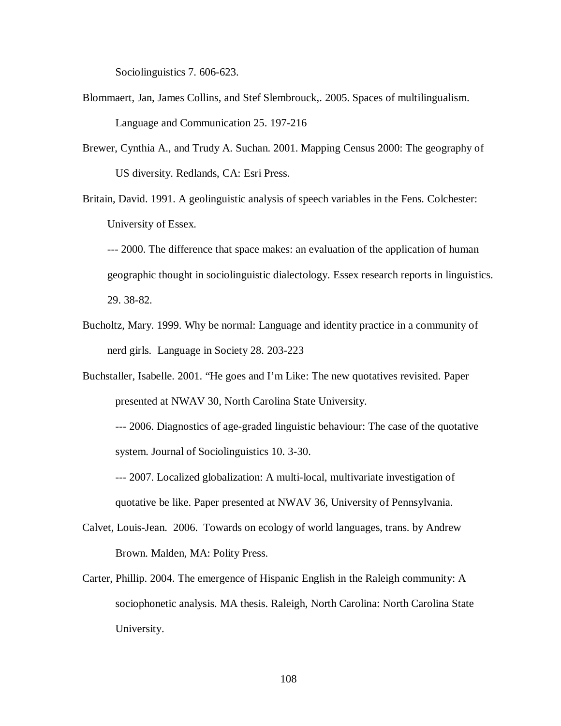Sociolinguistics 7. 606-623.

- Blommaert, Jan, James Collins, and Stef Slembrouck,. 2005. Spaces of multilingualism. Language and Communication 25. 197-216
- Brewer, Cynthia A., and Trudy A. Suchan. 2001. Mapping Census 2000: The geography of US diversity. Redlands, CA: Esri Press.
- Britain, David. 1991. A geolinguistic analysis of speech variables in the Fens*.* Colchester: University of Essex.

--- 2000. The difference that space makes: an evaluation of the application of human geographic thought in sociolinguistic dialectology. Essex research reports in linguistics. 29. 38-82.

- Bucholtz, Mary. 1999. Why be normal: Language and identity practice in a community of nerd girls. Language in Society 28. 203-223
- Buchstaller, Isabelle. 2001. "He goes and I'm Like: The new quotatives revisited. Paper presented at NWAV 30, North Carolina State University.

--- 2006. Diagnostics of age-graded linguistic behaviour: The case of the quotative system. Journal of Sociolinguistics 10. 3-30.

--- 2007. Localized globalization: A multi-local, multivariate investigation of quotative be like. Paper presented at NWAV 36, University of Pennsylvania.

- Calvet, Louis-Jean. 2006. Towards on ecology of world languages, trans. by Andrew Brown. Malden, MA: Polity Press.
- Carter, Phillip. 2004. The emergence of Hispanic English in the Raleigh community: A sociophonetic analysis. MA thesis. Raleigh, North Carolina: North Carolina State University.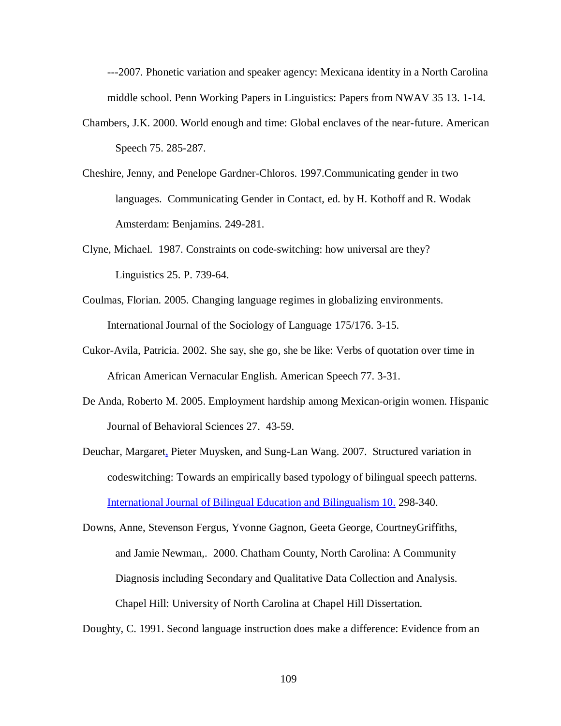---2007. Phonetic variation and speaker agency: Mexicana identity in a North Carolina middle school. Penn Working Papers in Linguistics: Papers from NWAV 35 13. 1-14.

- Chambers, J.K. 2000. World enough and time: Global enclaves of the near-future. American Speech 75. 285-287.
- Cheshire, Jenny, and Penelope Gardner-Chloros. 1997.Communicating gender in two languages. Communicating Gender in Contact, ed. by H. Kothoff and R. Wodak Amsterdam: Benjamins. 249-281.
- Clyne, Michael. 1987. Constraints on code-switching: how universal are they? Linguistics 25. P. 739-64.
- Coulmas, Florian. 2005. Changing language regimes in globalizing environments. International Journal of the Sociology of Language 175/176. 3-15.
- Cukor-Avila, Patricia. 2002. She say, she go, she be like: Verbs of quotation over time in African American Vernacular English. American Speech 77. 3-31.
- De Anda, Roberto M. 2005. Employment hardship among Mexican-origin women. Hispanic Journal of Behavioral Sciences 27. 43-59.
- Deuchar, Margaret, Pieter Muysken, and Sung-Lan Wang. 2007. Structured variation in codeswitching: Towards an empirically based typology of bilingual speech patterns. International Journal of Bilingual Education and Bilingualism 10. 298-340.

Downs, Anne, Stevenson Fergus, Yvonne Gagnon, Geeta George, CourtneyGriffiths, and Jamie Newman,. 2000. Chatham County, North Carolina: A Community Diagnosis including Secondary and Qualitative Data Collection and Analysis. Chapel Hill: University of North Carolina at Chapel Hill Dissertation.

Doughty, C. 1991. Second language instruction does make a difference: Evidence from an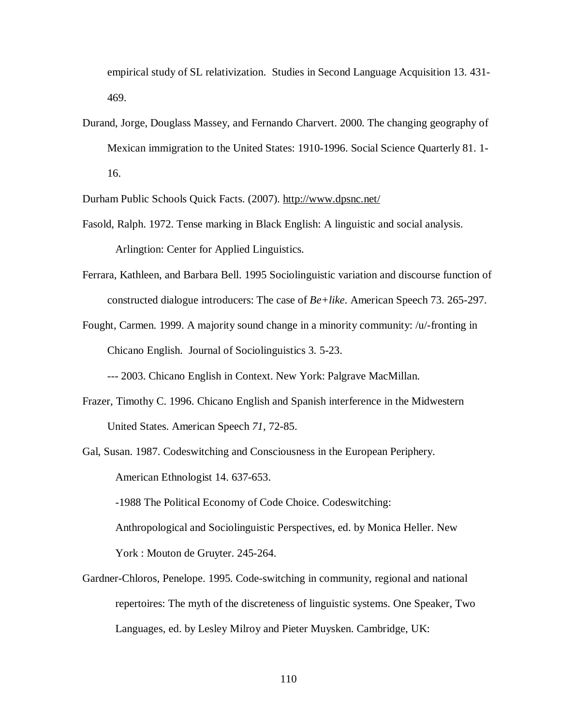empirical study of SL relativization. Studies in Second Language Acquisition 13. 431- 469.

Durand, Jorge, Douglass Massey, and Fernando Charvert. 2000. The changing geography of Mexican immigration to the United States: 1910-1996. Social Science Quarterly 81. 1- 16.

Durham Public Schools Quick Facts. (2007). <http://www.dpsnc.net/>

- Fasold, Ralph. 1972. Tense marking in Black English: A linguistic and social analysis. Arlingtion: Center for Applied Linguistics.
- Ferrara, Kathleen, and Barbara Bell. 1995 Sociolinguistic variation and discourse function of constructed dialogue introducers: The case of *Be+like*. American Speech 73. 265-297.
- Fought, Carmen. 1999. A majority sound change in a minority community: /u/-fronting in Chicano English.Journal of Sociolinguistics 3*.* 5-23.

--- 2003. Chicano English in Context. New York: Palgrave MacMillan.

- Frazer, Timothy C. 1996. Chicano English and Spanish interference in the Midwestern United States. American Speech *71*, 72-85.
- Gal, Susan. 1987. Codeswitching and Consciousness in the European Periphery. American Ethnologist 14. 637-653.

-1988 The Political Economy of Code Choice. Codeswitching: Anthropological and Sociolinguistic Perspectives, ed. by Monica Heller. New York : Mouton de Gruyter. 245-264.

Gardner-Chloros, Penelope. 1995. Code-switching in community, regional and national repertoires: The myth of the discreteness of linguistic systems. One Speaker, Two Languages, ed. by Lesley Milroy and Pieter Muysken. Cambridge, UK: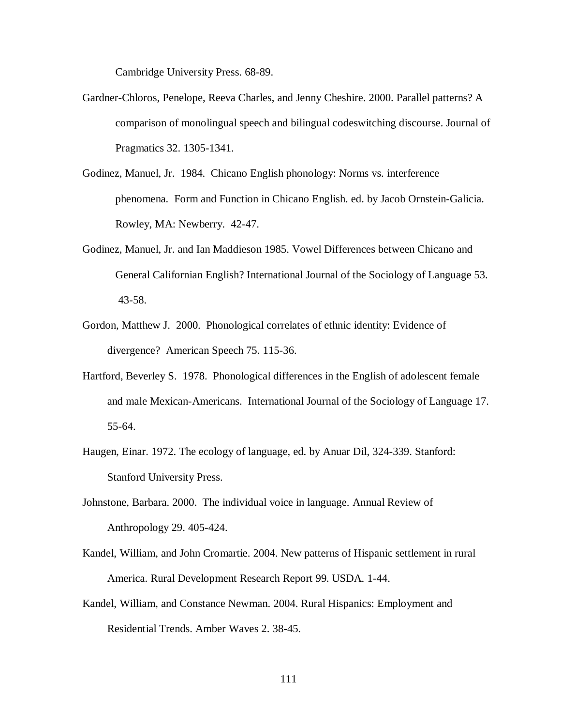Cambridge University Press. 68-89.

- Gardner-Chloros, Penelope, Reeva Charles, and Jenny Cheshire. 2000. Parallel patterns? A comparison of monolingual speech and bilingual codeswitching discourse. Journal of Pragmatics 32. 1305-1341.
- Godinez, Manuel, Jr. 1984. Chicano English phonology: Norms vs. interference phenomena. Form and Function in Chicano English. ed. by Jacob Ornstein-Galicia. Rowley, MA: Newberry. 42-47.
- Godinez, Manuel, Jr. and Ian Maddieson 1985. Vowel Differences between Chicano and General Californian English? International Journal of the Sociology of Language 53. 43-58.
- Gordon, Matthew J. 2000. Phonological correlates of ethnic identity: Evidence of divergence? American Speech 75. 115-36.
- Hartford, Beverley S. 1978. Phonological differences in the English of adolescent female and male Mexican-Americans. International Journal of the Sociology of Language 17. 55-64.
- Haugen, Einar. 1972. The ecology of language, ed. by Anuar Dil, 324-339. Stanford: Stanford University Press.
- Johnstone, Barbara. 2000. The individual voice in language. Annual Review of Anthropology 29. 405-424.
- Kandel, William, and John Cromartie. 2004. New patterns of Hispanic settlement in rural America. Rural Development Research Report 99. USDA. 1-44.
- Kandel, William, and Constance Newman. 2004. Rural Hispanics: Employment and Residential Trends. Amber Waves 2. 38-45.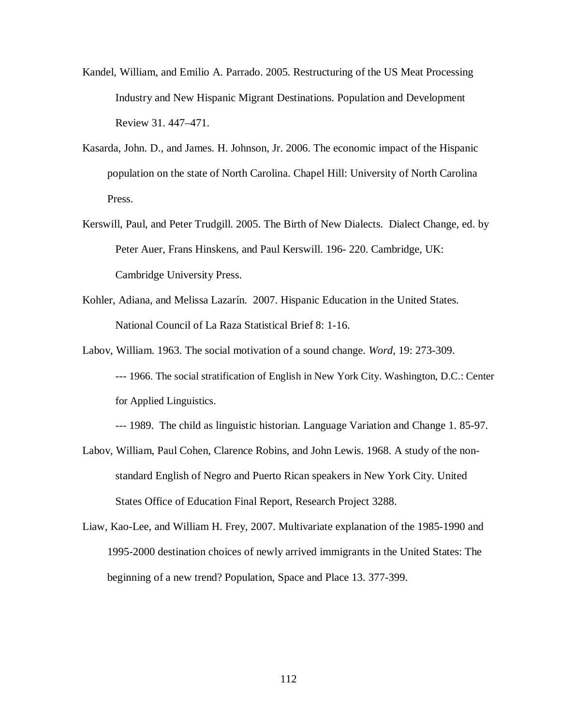- Kandel, William, and Emilio A. Parrado. 2005. Restructuring of the US Meat Processing Industry and New Hispanic Migrant Destinations. Population and Development Review 31. 447–471.
- Kasarda, John. D., and James. H. Johnson, Jr. 2006. The economic impact of the Hispanic population on the state of North Carolina. Chapel Hill: University of North Carolina Press.
- Kerswill, Paul, and Peter Trudgill. 2005. The Birth of New Dialects. Dialect Change, ed. by Peter Auer, Frans Hinskens, and Paul Kerswill. 196- 220. Cambridge, UK: Cambridge University Press.
- Kohler, Adiana, and Melissa Lazarín. 2007. Hispanic Education in the United States. National Council of La Raza Statistical Brief 8: 1-16.
- Labov, William. 1963. The social motivation of a sound change. *Word*, 19: 273-309. --- 1966. The social stratification of English in New York City. Washington, D.C.: Center for Applied Linguistics.
	- --- 1989. The child as linguistic historian. Language Variation and Change 1. 85-97.
- Labov, William, Paul Cohen, Clarence Robins, and John Lewis. 1968. A study of the nonstandard English of Negro and Puerto Rican speakers in New York City. United States Office of Education Final Report, Research Project 3288.
- Liaw, Kao-Lee, and William H. Frey, 2007. Multivariate explanation of the 1985-1990 and 1995-2000 destination choices of newly arrived immigrants in the United States: The beginning of a new trend? Population, Space and Place 13. 377-399.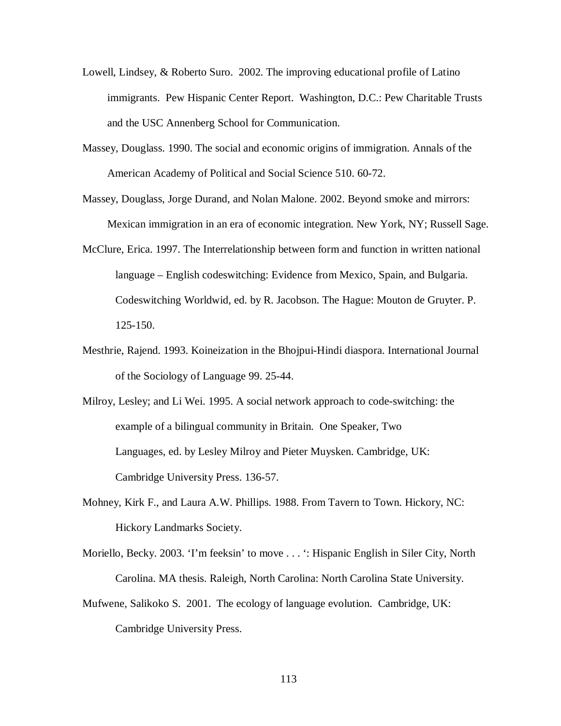- Lowell, Lindsey, & Roberto Suro. 2002. The improving educational profile of Latino immigrants. Pew Hispanic Center Report. Washington, D.C.: Pew Charitable Trusts and the USC Annenberg School for Communication.
- Massey, Douglass. 1990. The social and economic origins of immigration. Annals of the American Academy of Political and Social Science 510. 60-72.
- Massey, Douglass, Jorge Durand, and Nolan Malone. 2002. Beyond smoke and mirrors: Mexican immigration in an era of economic integration. New York, NY; Russell Sage.
- McClure, Erica. 1997. The Interrelationship between form and function in written national language – English codeswitching: Evidence from Mexico, Spain, and Bulgaria. Codeswitching Worldwid, ed. by R. Jacobson. The Hague: Mouton de Gruyter. P. 125-150.
- Mesthrie, Rajend. 1993. Koineization in the Bhojpui-Hindi diaspora. International Journal of the Sociology of Language 99. 25-44.
- Milroy, Lesley; and Li Wei. 1995. A social network approach to code-switching: the example of a bilingual community in Britain. One Speaker, Two Languages, ed. by Lesley Milroy and Pieter Muysken. Cambridge, UK: Cambridge University Press. 136-57.
- Mohney, Kirk F., and Laura A.W. Phillips. 1988. From Tavern to Town. Hickory, NC: Hickory Landmarks Society.
- Moriello, Becky. 2003. 'I'm feeksin' to move . . . ': Hispanic English in Siler City, North Carolina. MA thesis. Raleigh, North Carolina: North Carolina State University.
- Mufwene, Salikoko S. 2001. The ecology of language evolution. Cambridge, UK: Cambridge University Press.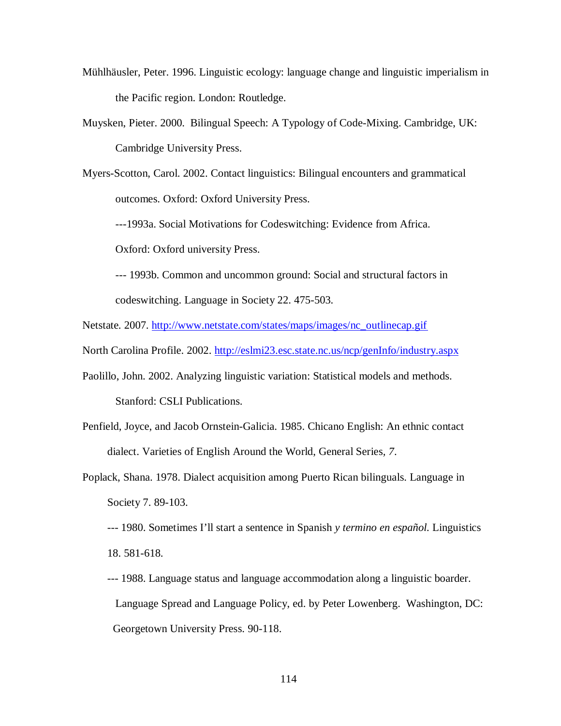- Mühlhäusler, Peter. 1996. Linguistic ecology: language change and linguistic imperialism in the Pacific region. London: Routledge.
- Muysken, Pieter. 2000. Bilingual Speech: A Typology of Code-Mixing. Cambridge, UK: Cambridge University Press.
- Myers-Scotton, Carol. 2002. Contact linguistics: Bilingual encounters and grammatical outcomes. Oxford: Oxford University Press.

---1993a. Social Motivations for Codeswitching: Evidence from Africa.

Oxford: Oxford university Press.

- --- 1993b. Common and uncommon ground: Social and structural factors in codeswitching. Language in Society 22. 475-503.
- Netstate. 2007. http://www.netstate.com/states/maps/images/nc\_outlinecap.gif
- North Carolina Profile. 2002. http://eslmi23.esc.state.nc.us/ncp/genInfo/industry.aspx
- Paolillo, John. 2002. Analyzing linguistic variation: Statistical models and methods. Stanford: CSLI Publications.
- Penfield, Joyce, and Jacob Ornstein-Galicia. 1985. Chicano English: An ethnic contact dialect. Varieties of English Around the World, General Series*, 7*.
- Poplack, Shana. 1978. Dialect acquisition among Puerto Rican bilinguals. Language in Society 7. 89-103.
	- --- 1980. Sometimes I'll start a sentence in Spanish *y termino en español.* Linguistics 18. 581-618.
	- --- 1988. Language status and language accommodation along a linguistic boarder. Language Spread and Language Policy, ed. by Peter Lowenberg. Washington, DC: Georgetown University Press. 90-118.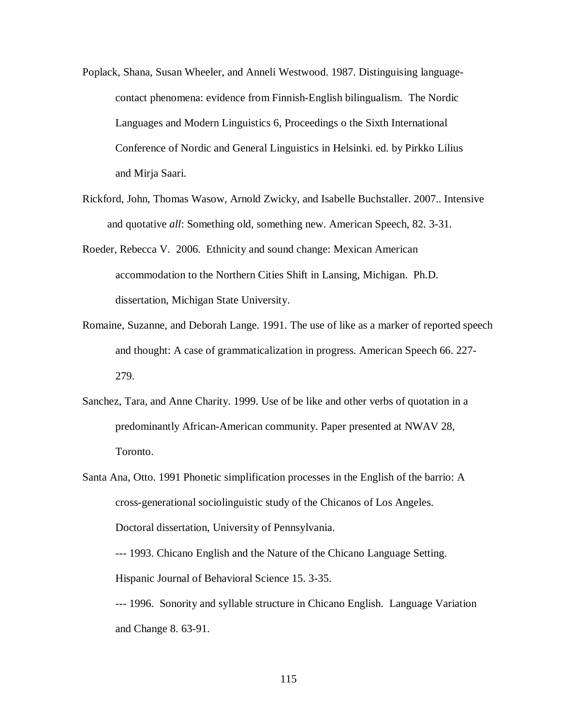- Poplack, Shana, Susan Wheeler, and Anneli Westwood. 1987. Distinguising languagecontact phenomena: evidence from Finnish-English bilingualism. The Nordic Languages and Modern Linguistics 6, Proceedings o the Sixth International Conference of Nordic and General Linguistics in Helsinki. ed. by Pirkko Lilius and Mirja Saari.
- Rickford, John, Thomas Wasow, Arnold Zwicky, and Isabelle Buchstaller. 2007.. Intensive and quotative *all*: Something old, something new. American Speech, 82. 3-31.
- Roeder, Rebecca V. 2006. Ethnicity and sound change: Mexican American accommodation to the Northern Cities Shift in Lansing, Michigan. Ph.D. dissertation, Michigan State University.
- Romaine, Suzanne, and Deborah Lange. 1991. The use of like as a marker of reported speech and thought: A case of grammaticalization in progress. American Speech 66. 227- 279.
- Sanchez, Tara, and Anne Charity. 1999. Use of be like and other verbs of quotation in a predominantly African-American community. Paper presented at NWAV 28, Toronto.
- Santa Ana, Otto. 1991 Phonetic simplification processes in the English of the barrio: A cross-generational sociolinguistic study of the Chicanos of Los Angeles. Doctoral dissertation, University of Pennsylvania. --- 1993. Chicano English and the Nature of the Chicano Language Setting. Hispanic Journal of Behavioral Science 15. 3-35. --- 1996. Sonority and syllable structure in Chicano English. Language Variation

and Change 8. 63-91.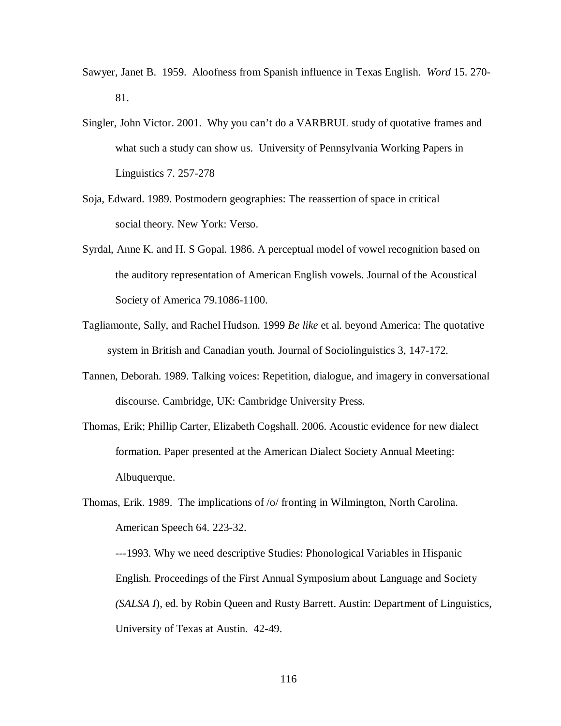- Sawyer, Janet B. 1959. Aloofness from Spanish influence in Texas English. *Word* 15. 270- 81.
- Singler, John Victor. 2001. Why you can't do a VARBRUL study of quotative frames and what such a study can show us. University of Pennsylvania Working Papers in Linguistics 7. 257-278
- Soja, Edward. 1989. Postmodern geographies: The reassertion of space in critical social theory*.* New York: Verso.
- Syrdal, Anne K. and H. S Gopal. 1986. A perceptual model of vowel recognition based on the auditory representation of American English vowels. Journal of the Acoustical Society of America 79.1086-1100.
- Tagliamonte, Sally, and Rachel Hudson. 1999 *Be like* et al. beyond America: The quotative system in British and Canadian youth. Journal of Sociolinguistics 3, 147-172.
- Tannen, Deborah. 1989. Talking voices: Repetition, dialogue, and imagery in conversational discourse. Cambridge, UK: Cambridge University Press.
- Thomas, Erik; Phillip Carter, Elizabeth Cogshall. 2006. Acoustic evidence for new dialect formation. Paper presented at the American Dialect Society Annual Meeting: Albuquerque.
- Thomas, Erik. 1989. The implications of /o/ fronting in Wilmington, North Carolina. American Speech 64. 223-32. ---1993. Why we need descriptive Studies: Phonological Variables in Hispanic English. Proceedings of the First Annual Symposium about Language and Society *(SALSA I*), ed. by Robin Queen and Rusty Barrett. Austin: Department of Linguistics,

University of Texas at Austin. 42-49.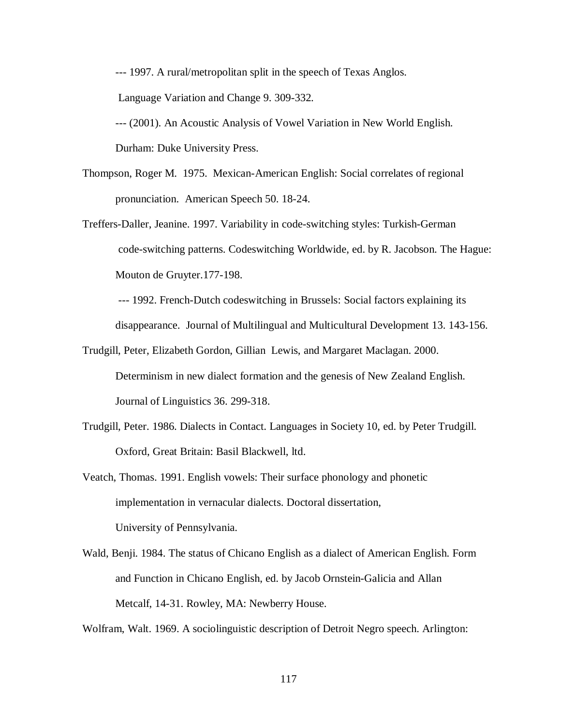--- 1997. A rural/metropolitan split in the speech of Texas Anglos.

Language Variation and Change 9. 309-332.

--- (2001). An Acoustic Analysis of Vowel Variation in New World English.

Durham: Duke University Press.

- Thompson, Roger M. 1975. Mexican-American English: Social correlates of regional pronunciation. American Speech 50. 18-24.
- Treffers-Daller, Jeanine. 1997. Variability in code-switching styles: Turkish-German code-switching patterns. Codeswitching Worldwide, ed. by R. Jacobson. The Hague: Mouton de Gruyter.177-198.

--- 1992. French-Dutch codeswitching in Brussels: Social factors explaining its disappearance. Journal of Multilingual and Multicultural Development 13. 143-156.

Trudgill, Peter, Elizabeth Gordon, Gillian Lewis, and Margaret Maclagan. 2000.

Determinism in new dialect formation and the genesis of New Zealand English. Journal of Linguistics 36. 299-318.

- Trudgill, Peter. 1986. Dialects in Contact. Languages in Society 10, ed. by Peter Trudgill. Oxford, Great Britain: Basil Blackwell, ltd.
- Veatch, Thomas. 1991. English vowels: Their surface phonology and phonetic implementation in vernacular dialects. Doctoral dissertation, University of Pennsylvania.
- Wald, Benji. 1984. The status of Chicano English as a dialect of American English. Form and Function in Chicano English, ed. by Jacob Ornstein-Galicia and Allan Metcalf, 14-31. Rowley, MA: Newberry House.

Wolfram, Walt. 1969. A sociolinguistic description of Detroit Negro speech. Arlington: